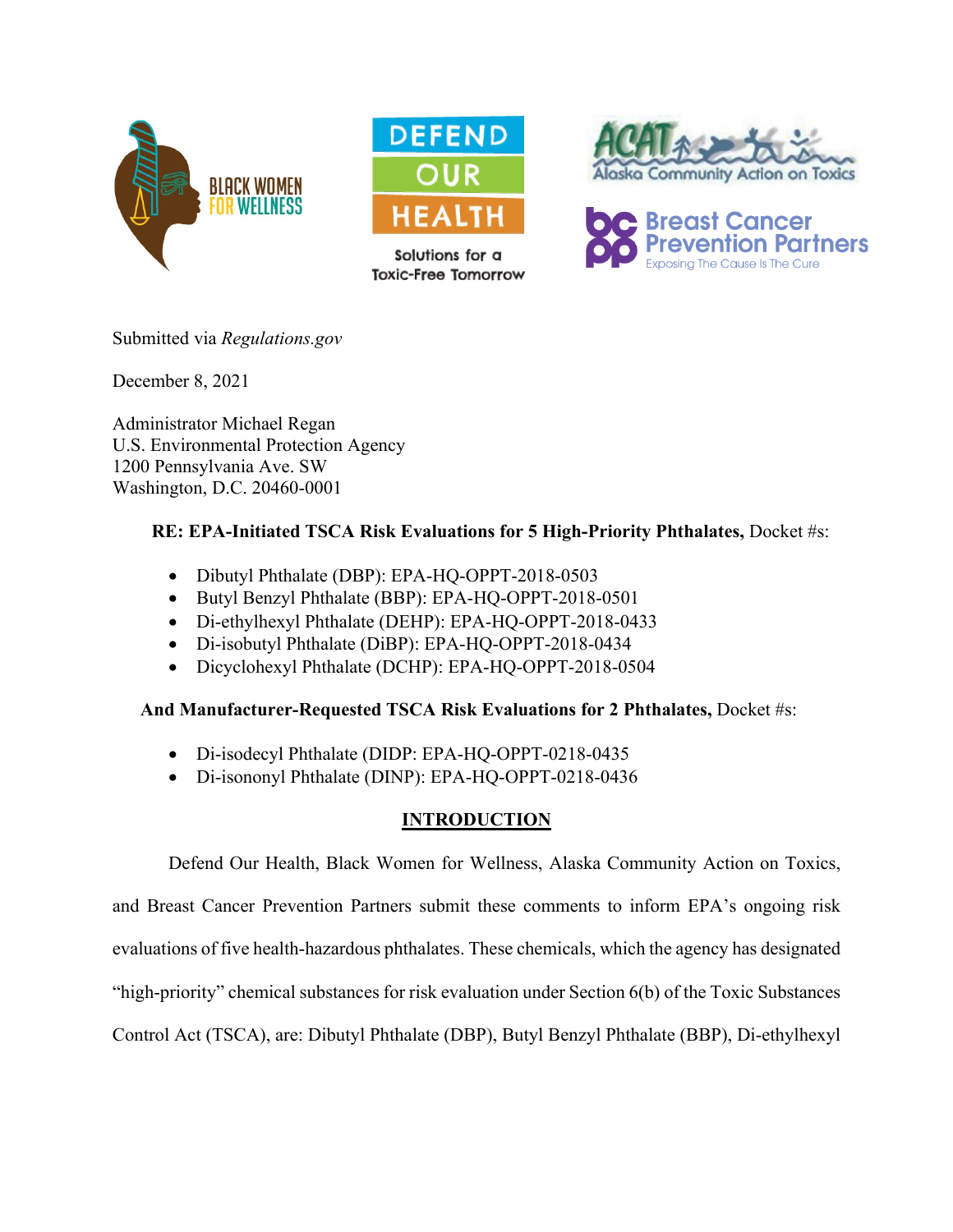



Solutions for a **Toxic-Free Tomorrow** 





Submitted via *Regulations.gov*

December 8, 2021

Administrator Michael Regan U.S. Environmental Protection Agency 1200 Pennsylvania Ave. SW Washington, D.C. 20460-0001

# **RE: EPA-Initiated TSCA Risk Evaluations for 5 High-Priority Phthalates,** Docket #s:

- Dibutyl Phthalate (DBP): EPA-HQ-OPPT-2018-0503
- Butyl Benzyl Phthalate (BBP): EPA-HQ-OPPT-2018-0501
- Di-ethylhexyl Phthalate (DEHP): EPA-HQ-OPPT-2018-0433
- Di-isobutyl Phthalate (DiBP): EPA-HQ-OPPT-2018-0434
- Dicyclohexyl Phthalate (DCHP): EPA-HQ-OPPT-2018-0504

## **And Manufacturer-Requested TSCA Risk Evaluations for 2 Phthalates,** Docket #s:

- Di-isodecyl Phthalate (DIDP: EPA-HQ-OPPT-0218-0435
- Di-isononyl Phthalate (DINP): EPA-HQ-OPPT-0218-0436

# **INTRODUCTION**

Defend Our Health, Black Women for Wellness, Alaska Community Action on Toxics,

and Breast Cancer Prevention Partners submit these comments to inform EPA's ongoing risk evaluations of five health-hazardous phthalates. These chemicals, which the agency has designated "high-priority" chemical substances for risk evaluation under Section 6(b) of the Toxic Substances Control Act (TSCA), are: Dibutyl Phthalate (DBP), Butyl Benzyl Phthalate (BBP), Di-ethylhexyl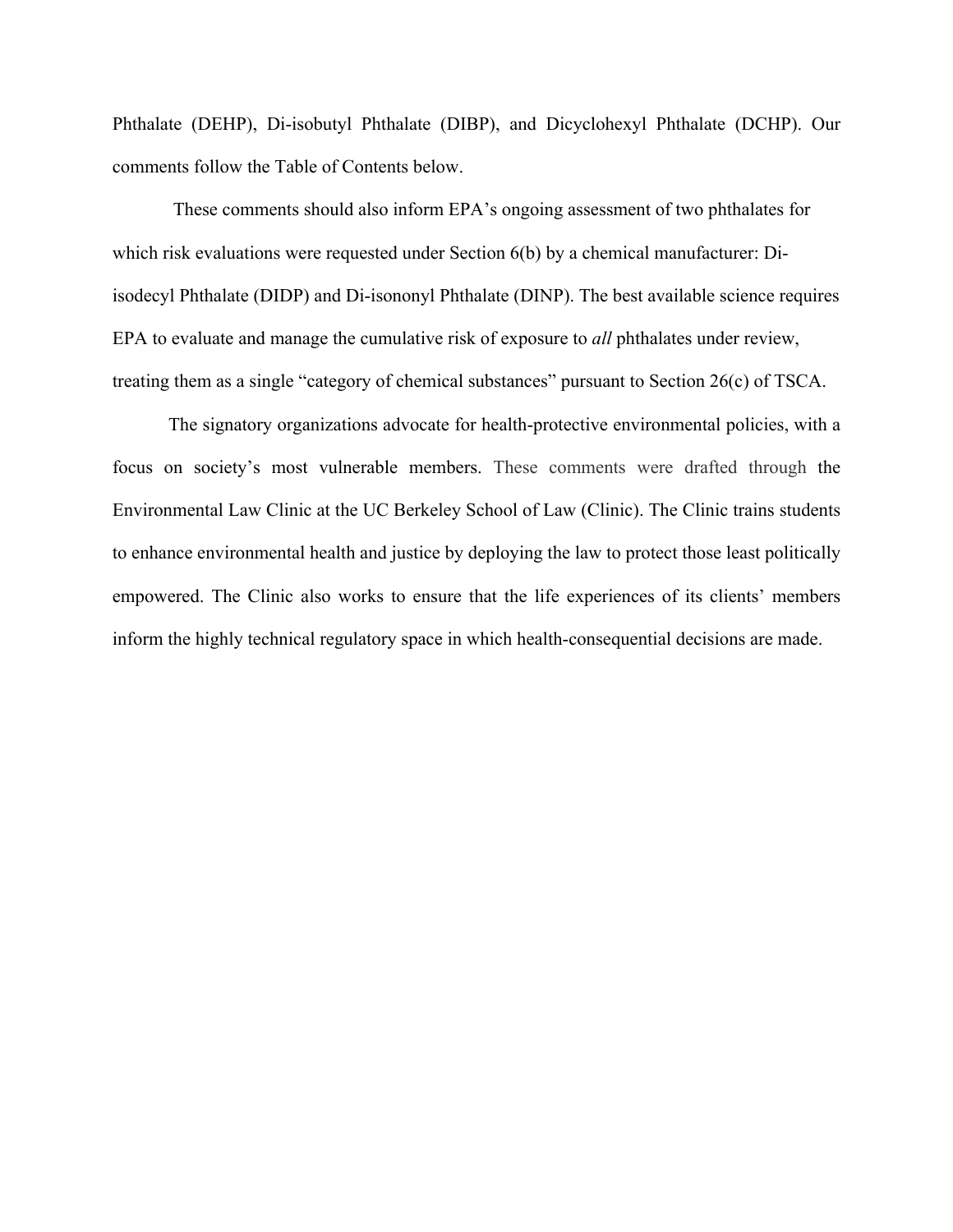Phthalate (DEHP), Di-isobutyl Phthalate (DIBP), and Dicyclohexyl Phthalate (DCHP). Our comments follow the Table of Contents below.

These comments should also inform EPA's ongoing assessment of two phthalates for which risk evaluations were requested under Section 6(b) by a chemical manufacturer: Diisodecyl Phthalate (DIDP) and Di-isononyl Phthalate (DINP). The best available science requires EPA to evaluate and manage the cumulative risk of exposure to *all* phthalates under review, treating them as a single "category of chemical substances" pursuant to Section 26(c) of TSCA.

The signatory organizations advocate for health-protective environmental policies, with a focus on society's most vulnerable members. These comments were drafted through the Environmental Law Clinic at the UC Berkeley School of Law (Clinic). The Clinic trains students to enhance environmental health and justice by deploying the law to protect those least politically empowered. The Clinic also works to ensure that the life experiences of its clients' members inform the highly technical regulatory space in which health-consequential decisions are made.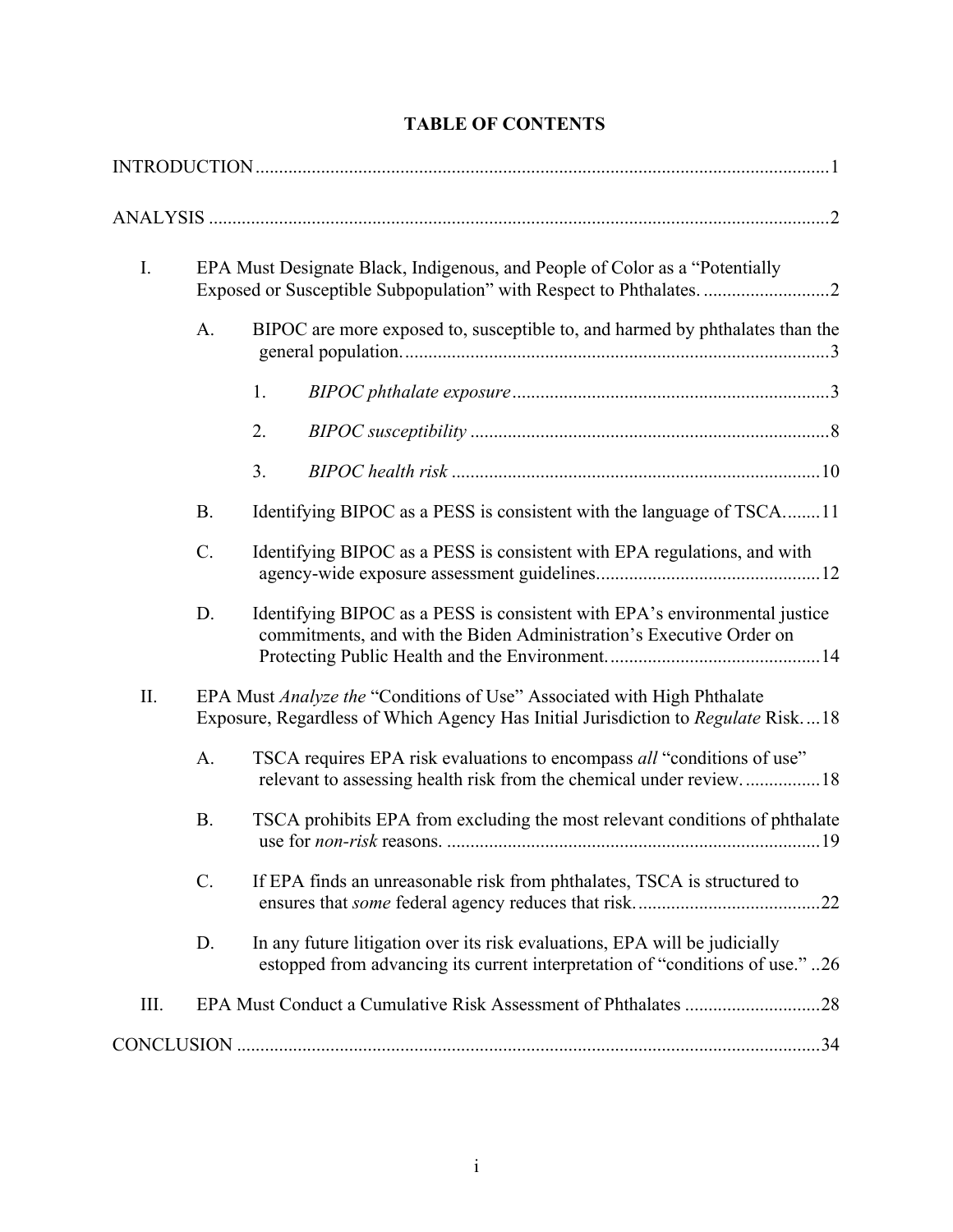| I.   |           | EPA Must Designate Black, Indigenous, and People of Color as a "Potentially<br>Exposed or Susceptible Subpopulation" with Respect to Phthalates. 2          |  |  |  |  |  |
|------|-----------|-------------------------------------------------------------------------------------------------------------------------------------------------------------|--|--|--|--|--|
|      | A.        | BIPOC are more exposed to, susceptible to, and harmed by phthalates than the                                                                                |  |  |  |  |  |
|      |           | 1.                                                                                                                                                          |  |  |  |  |  |
|      |           | 2.                                                                                                                                                          |  |  |  |  |  |
|      |           | 3.                                                                                                                                                          |  |  |  |  |  |
|      | <b>B.</b> | Identifying BIPOC as a PESS is consistent with the language of TSCA11                                                                                       |  |  |  |  |  |
|      | C.        | Identifying BIPOC as a PESS is consistent with EPA regulations, and with                                                                                    |  |  |  |  |  |
|      | D.        | Identifying BIPOC as a PESS is consistent with EPA's environmental justice<br>commitments, and with the Biden Administration's Executive Order on           |  |  |  |  |  |
| II.  |           | EPA Must Analyze the "Conditions of Use" Associated with High Phthalate<br>Exposure, Regardless of Which Agency Has Initial Jurisdiction to Regulate Risk18 |  |  |  |  |  |
|      | A.        | TSCA requires EPA risk evaluations to encompass all "conditions of use"<br>relevant to assessing health risk from the chemical under review18               |  |  |  |  |  |
|      | <b>B.</b> | TSCA prohibits EPA from excluding the most relevant conditions of phthalate                                                                                 |  |  |  |  |  |
|      | C.        | If EPA finds an unreasonable risk from phthalates, TSCA is structured to                                                                                    |  |  |  |  |  |
|      | D.        | In any future litigation over its risk evaluations, EPA will be judicially<br>estopped from advancing its current interpretation of "conditions of use." 26 |  |  |  |  |  |
| III. |           |                                                                                                                                                             |  |  |  |  |  |
|      |           |                                                                                                                                                             |  |  |  |  |  |

# **TABLE OF CONTENTS**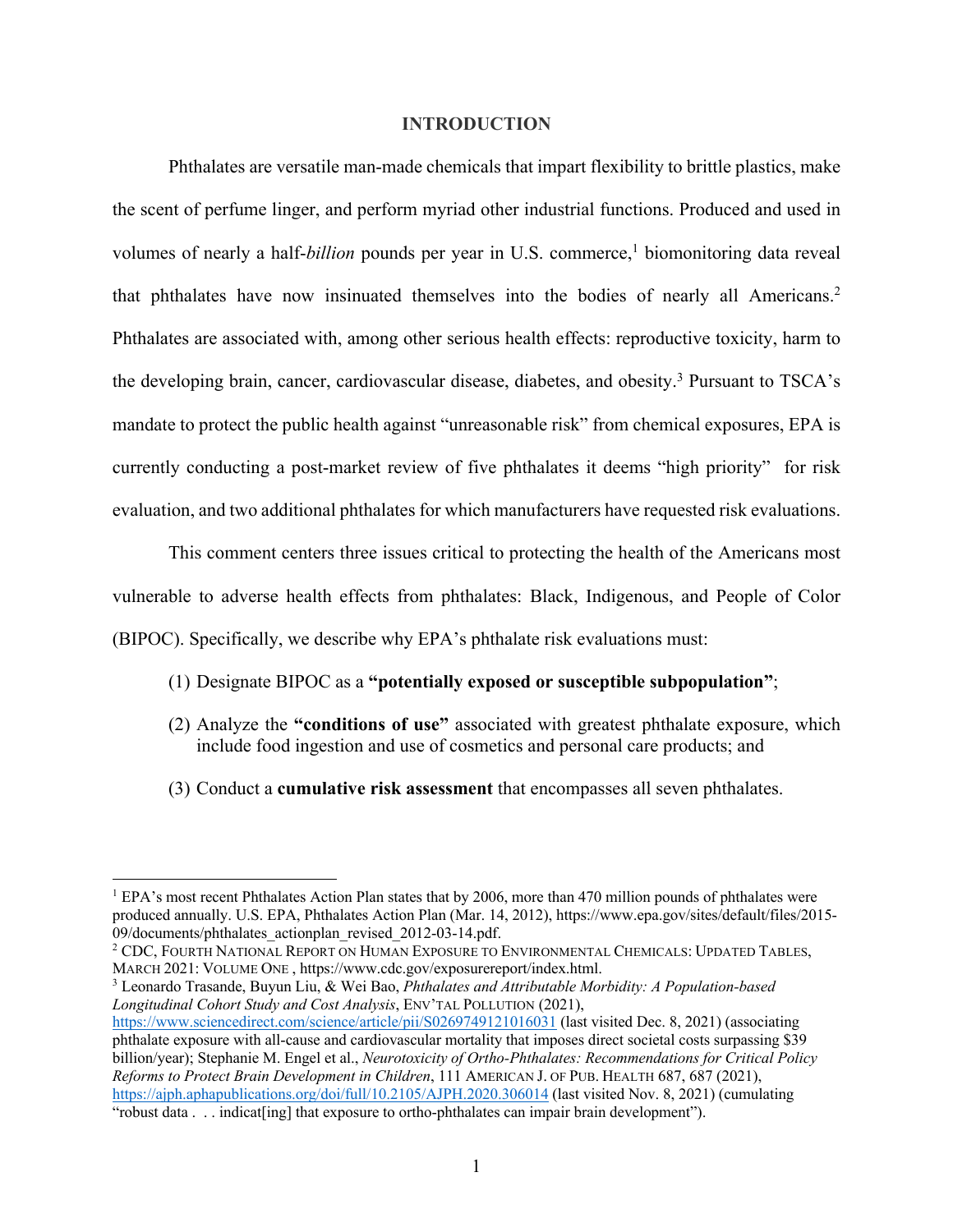#### **INTRODUCTION**

Phthalates are versatile man-made chemicals that impart flexibility to brittle plastics, make the scent of perfume linger, and perform myriad other industrial functions. Produced and used in volumes of nearly a half-*billion* pounds per year in U.S. commerce, <sup>1</sup> biomonitoring data reveal that phthalates have now insinuated themselves into the bodies of nearly all Americans. 2 Phthalates are associated with, among other serious health effects: reproductive toxicity, harm to the developing brain, cancer, cardiovascular disease, diabetes, and obesity. <sup>3</sup> Pursuant to TSCA's mandate to protect the public health against "unreasonable risk" from chemical exposures, EPA is currently conducting a post-market review of five phthalates it deems "high priority" for risk evaluation, and two additional phthalates for which manufacturers have requested risk evaluations.

This comment centers three issues critical to protecting the health of the Americans most vulnerable to adverse health effects from phthalates: Black, Indigenous, and People of Color (BIPOC). Specifically, we describe why EPA's phthalate risk evaluations must:

- (1) Designate BIPOC as a **"potentially exposed or susceptible subpopulation"**;
- (2) Analyze the **"conditions of use"** associated with greatest phthalate exposure, which include food ingestion and use of cosmetics and personal care products; and
- (3) Conduct a **cumulative risk assessment** that encompasses all seven phthalates.

<sup>3</sup> Leonardo Trasande, Buyun Liu, & Wei Bao, *Phthalates and Attributable Morbidity: A Population-based Longitudinal Cohort Study and Cost Analysis*, ENV'TAL POLLUTION (2021),

<sup>&</sup>lt;sup>1</sup> EPA's most recent Phthalates Action Plan states that by 2006, more than 470 million pounds of phthalates were produced annually. U.S. EPA, Phthalates Action Plan (Mar. 14, 2012), https://www.epa.gov/sites/default/files/2015- 09/documents/phthalates\_actionplan\_revised\_2012-03-14.pdf.

<sup>2</sup> CDC, FOURTH NATIONAL REPORT ON HUMAN EXPOSURE TO ENVIRONMENTAL CHEMICALS: UPDATED TABLES, MARCH 2021: VOLUME ONE , https://www.cdc.gov/exposurereport/index.html.

https://www.sciencedirect.com/science/article/pii/S0269749121016031 (last visited Dec. 8, 2021) (associating phthalate exposure with all-cause and cardiovascular mortality that imposes direct societal costs surpassing \$39 billion/year); Stephanie M. Engel et al., *Neurotoxicity of Ortho-Phthalates: Recommendations for Critical Policy Reforms to Protect Brain Development in Children*, 111 AMERICAN J. OF PUB. HEALTH 687, 687 (2021), https://ajph.aphapublications.org/doi/full/10.2105/AJPH.2020.306014 (last visited Nov. 8, 2021) (cumulating "robust data . . . indicat[ing] that exposure to ortho-phthalates can impair brain development").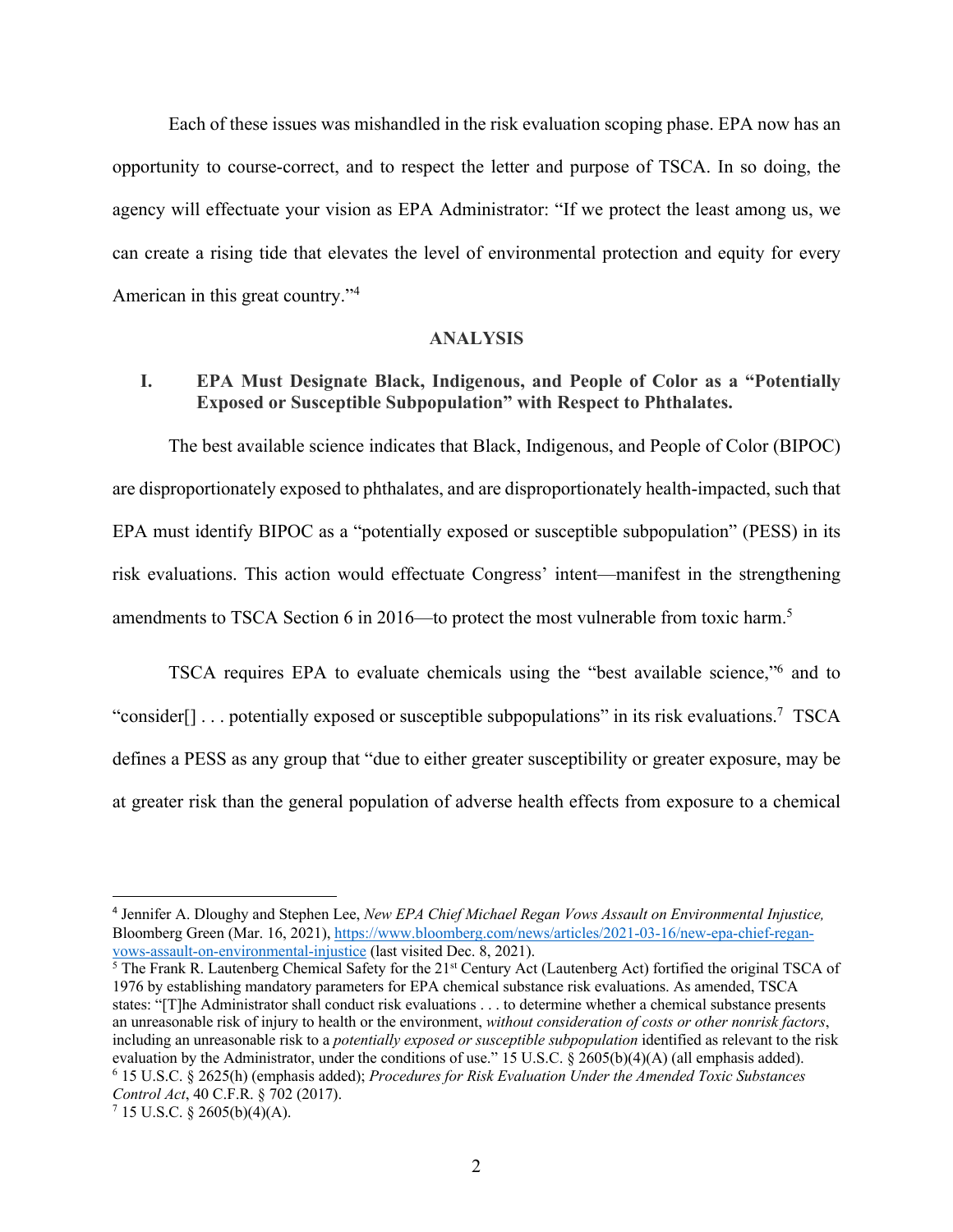Each of these issues was mishandled in the risk evaluation scoping phase. EPA now has an opportunity to course-correct, and to respect the letter and purpose of TSCA. In so doing, the agency will effectuate your vision as EPA Administrator: "If we protect the least among us, we can create a rising tide that elevates the level of environmental protection and equity for every American in this great country."4

#### **ANALYSIS**

### **I. EPA Must Designate Black, Indigenous, and People of Color as a "Potentially Exposed or Susceptible Subpopulation" with Respect to Phthalates.**

The best available science indicates that Black, Indigenous, and People of Color (BIPOC) are disproportionately exposed to phthalates, and are disproportionately health-impacted, such that EPA must identify BIPOC as a "potentially exposed or susceptible subpopulation" (PESS) in its risk evaluations. This action would effectuate Congress' intent—manifest in the strengthening amendments to TSCA Section 6 in 2016—to protect the most vulnerable from toxic harm.<sup>5</sup>

TSCA requires EPA to evaluate chemicals using the "best available science,"6 and to "consider[] . . . potentially exposed or susceptible subpopulations" in its risk evaluations.7 TSCA defines a PESS as any group that "due to either greater susceptibility or greater exposure, may be at greater risk than the general population of adverse health effects from exposure to a chemical

<sup>4</sup> Jennifer A. Dloughy and Stephen Lee, *New EPA Chief Michael Regan Vows Assault on Environmental Injustice,* Bloomberg Green (Mar. 16, 2021), https://www.bloomberg.com/news/articles/2021-03-16/new-epa-chief-reganvows-assault-on-environmental-injustice (last visited Dec. 8, 2021).

<sup>&</sup>lt;sup>5</sup> The Frank R. Lautenberg Chemical Safety for the 21<sup>st</sup> Century Act (Lautenberg Act) fortified the original TSCA of 1976 by establishing mandatory parameters for EPA chemical substance risk evaluations. As amended, TSCA states: "[T]he Administrator shall conduct risk evaluations . . . to determine whether a chemical substance presents an unreasonable risk of injury to health or the environment, *without consideration of costs or other nonrisk factors*, including an unreasonable risk to a *potentially exposed or susceptible subpopulation* identified as relevant to the risk evaluation by the Administrator, under the conditions of use." 15 U.S.C. § 2605(b)(4)(A) (all emphasis added). <sup>6</sup> 15 U.S.C. § 2625(h) (emphasis added); *Procedures for Risk Evaluation Under the Amended Toxic Substances Control Act*, 40 C.F.R. § 702 (2017).

 $7$  15 U.S.C. § 2605(b)(4)(A).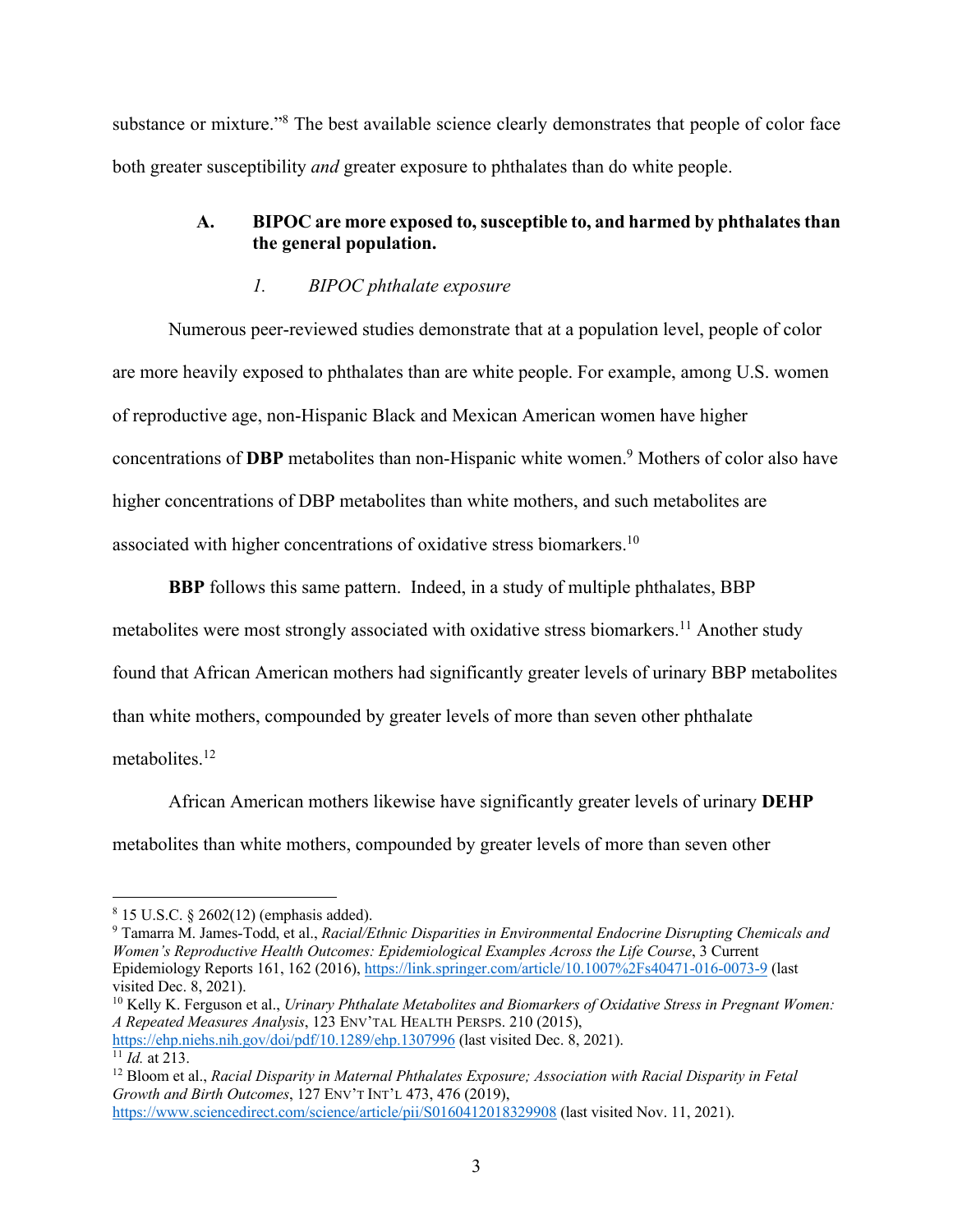substance or mixture."<sup>8</sup> The best available science clearly demonstrates that people of color face both greater susceptibility *and* greater exposure to phthalates than do white people.

## A. BIPOC are more exposed to, susceptible to, and harmed by phthalates than **the general population.**

## *1. BIPOC phthalate exposure*

Numerous peer-reviewed studies demonstrate that at a population level, people of color are more heavily exposed to phthalates than are white people. For example, among U.S. women of reproductive age, non-Hispanic Black and Mexican American women have higher concentrations of **DBP** metabolites than non-Hispanic white women.9 Mothers of color also have higher concentrations of DBP metabolites than white mothers, and such metabolites are associated with higher concentrations of oxidative stress biomarkers.10

**BBP** follows this same pattern. Indeed, in a study of multiple phthalates, BBP metabolites were most strongly associated with oxidative stress biomarkers.<sup>11</sup> Another study found that African American mothers had significantly greater levels of urinary BBP metabolites than white mothers, compounded by greater levels of more than seven other phthalate metabolites.<sup>12</sup>

African American mothers likewise have significantly greater levels of urinary **DEHP**  metabolites than white mothers, compounded by greater levels of more than seven other

<sup>10</sup> Kelly K. Ferguson et al., *Urinary Phthalate Metabolites and Biomarkers of Oxidative Stress in Pregnant Women: A Repeated Measures Analysis*, 123 ENV'TAL HEALTH PERSPS. 210 (2015), https://ehp.niehs.nih.gov/doi/pdf/10.1289/ehp.1307996 (last visited Dec. 8, 2021).

<sup>8</sup> 15 U.S.C. § 2602(12) (emphasis added).

<sup>9</sup> Tamarra M. James-Todd, et al., *Racial/Ethnic Disparities in Environmental Endocrine Disrupting Chemicals and Women's Reproductive Health Outcomes: Epidemiological Examples Across the Life Course*, 3 Current Epidemiology Reports 161, 162 (2016), https://link.springer.com/article/10.1007%2Fs40471-016-0073-9 (last visited Dec. 8, 2021).

 $\frac{11}{11}$ *Id.* at 213.

<sup>12</sup> Bloom et al., *Racial Disparity in Maternal Phthalates Exposure; Association with Racial Disparity in Fetal Growth and Birth Outcomes*, 127 ENV'T INT'L 473, 476 (2019), https://www.sciencedirect.com/science/article/pii/S0160412018329908 (last visited Nov. 11, 2021).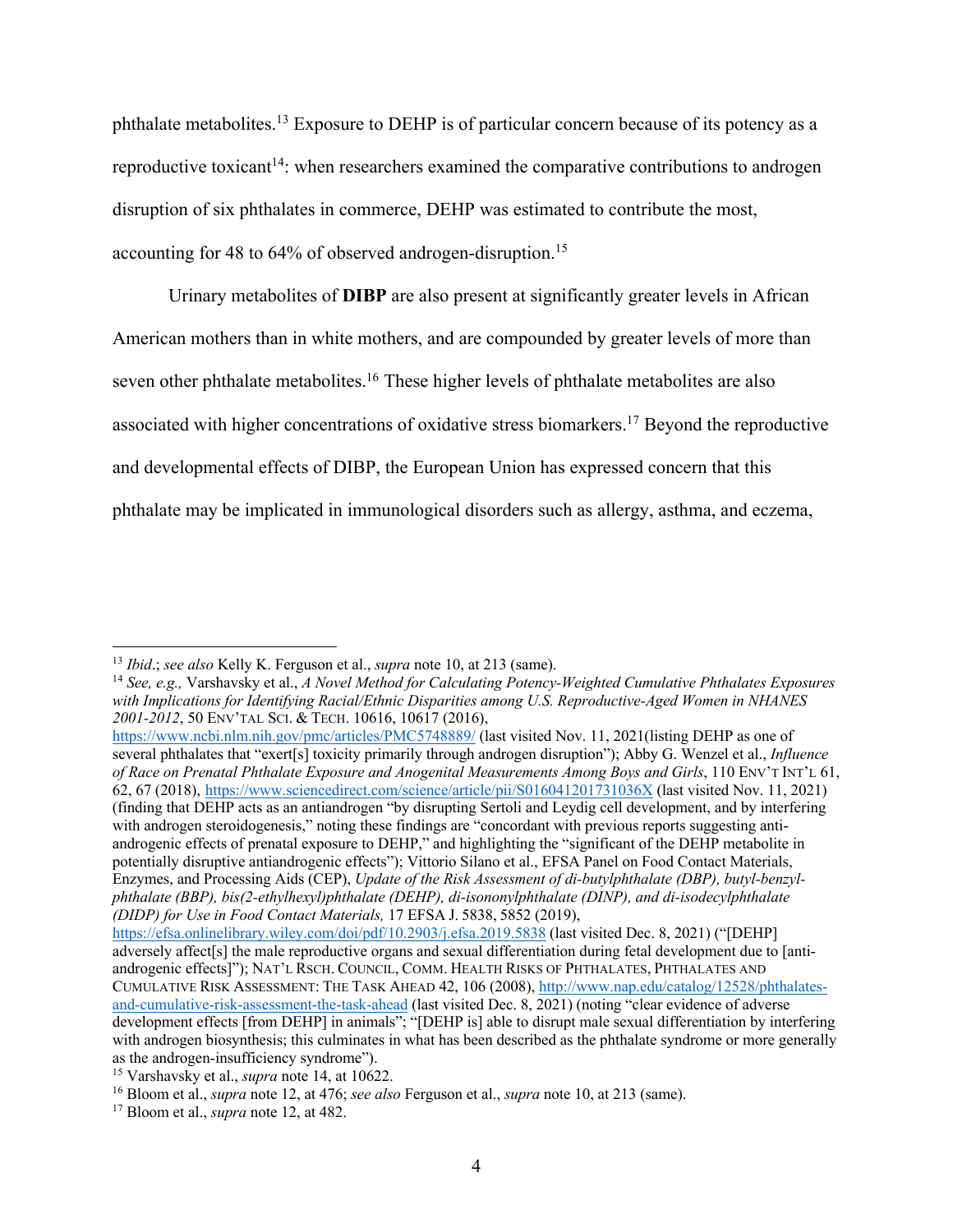phthalate metabolites.13 Exposure to DEHP is of particular concern because of its potency as a reproductive toxicant<sup>14</sup>: when researchers examined the comparative contributions to androgen disruption of six phthalates in commerce, DEHP was estimated to contribute the most, accounting for 48 to 64% of observed androgen-disruption.<sup>15</sup>

Urinary metabolites of **DIBP** are also present at significantly greater levels in African American mothers than in white mothers, and are compounded by greater levels of more than seven other phthalate metabolites.<sup>16</sup> These higher levels of phthalate metabolites are also associated with higher concentrations of oxidative stress biomarkers.17 Beyond the reproductive and developmental effects of DIBP, the European Union has expressed concern that this phthalate may be implicated in immunological disorders such as allergy, asthma, and eczema,

https://www.ncbi.nlm.nih.gov/pmc/articles/PMC5748889/ (last visited Nov. 11, 2021(listing DEHP as one of several phthalates that "exert[s] toxicity primarily through androgen disruption"); Abby G. Wenzel et al., *Influence of Race on Prenatal Phthalate Exposure and Anogenital Measurements Among Boys and Girls*, 110 ENV'T INT'L 61, 62, 67 (2018), https://www.sciencedirect.com/science/article/pii/S016041201731036X (last visited Nov. 11, 2021) (finding that DEHP acts as an antiandrogen "by disrupting Sertoli and Leydig cell development, and by interfering with androgen steroidogenesis," noting these findings are "concordant with previous reports suggesting antiandrogenic effects of prenatal exposure to DEHP," and highlighting the "significant of the DEHP metabolite in potentially disruptive antiandrogenic effects"); Vittorio Silano et al., EFSA Panel on Food Contact Materials, Enzymes, and Processing Aids (CEP), *Update of the Risk Assessment of di-butylphthalate (DBP), butyl-benzylphthalate (BBP), bis(2-ethylhexyl)phthalate (DEHP), di-isononylphthalate (DINP), and di-isodecylphthalate (DIDP) for Use in Food Contact Materials,* 17 EFSA J. 5838, 5852 (2019),

https://efsa.onlinelibrary.wiley.com/doi/pdf/10.2903/j.efsa.2019.5838 (last visited Dec. 8, 2021) ("[DEHP] adversely affect[s] the male reproductive organs and sexual differentiation during fetal development due to [antiandrogenic effects]"); NAT'L RSCH. COUNCIL, COMM. HEALTH RISKS OF PHTHALATES, PHTHALATES AND CUMULATIVE RISK ASSESSMENT: THE TASK AHEAD 42, 106 (2008), http://www.nap.edu/catalog/12528/phthalatesand-cumulative-risk-assessment-the-task-ahead (last visited Dec. 8, 2021) (noting "clear evidence of adverse development effects [from DEHP] in animals"; "[DEHP is] able to disrupt male sexual differentiation by interfering with androgen biosynthesis; this culminates in what has been described as the phthalate syndrome or more generally as the androgen-insufficiency syndrome").

<sup>13</sup> *Ibid*.; *see also* Kelly K. Ferguson et al., *supra* note 10, at 213 (same).

<sup>14</sup> *See, e.g.,* Varshavsky et al., *A Novel Method for Calculating Potency-Weighted Cumulative Phthalates Exposures with Implications for Identifying Racial/Ethnic Disparities among U.S. Reproductive-Aged Women in NHANES 2001-2012*, 50 ENV'TAL SCI. & TECH. 10616, 10617 (2016),

<sup>15</sup> Varshavsky et al., *supra* note 14, at 10622.

<sup>16</sup> Bloom et al., *supra* note 12, at 476; *see also* Ferguson et al., *supra* note 10, at 213 (same).

<sup>17</sup> Bloom et al., *supra* note 12, at 482.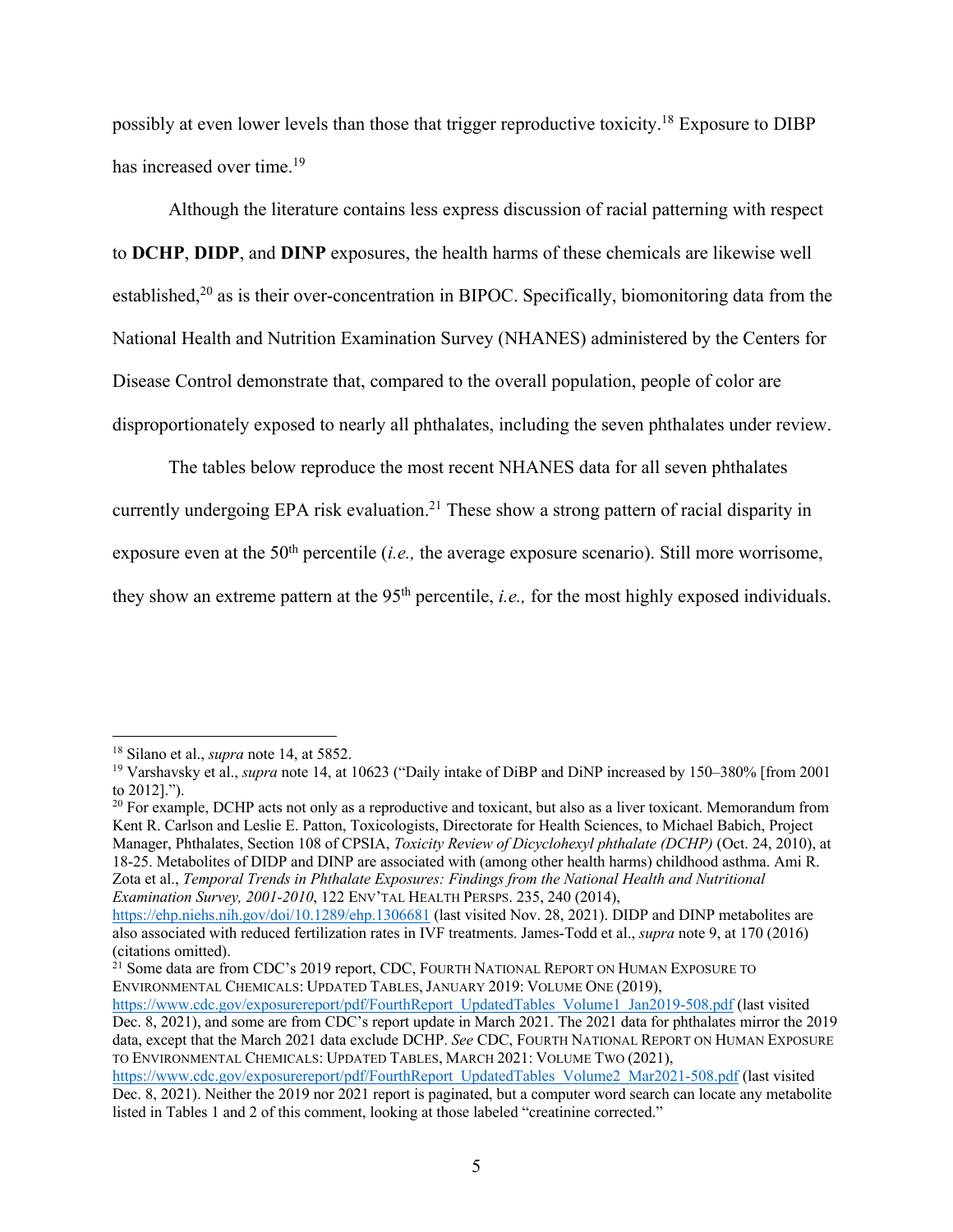possibly at even lower levels than those that trigger reproductive toxicity.18 Exposure to DIBP has increased over time.<sup>19</sup>

Although the literature contains less express discussion of racial patterning with respect to **DCHP**, **DIDP**, and **DINP** exposures, the health harms of these chemicals are likewise well established, $20$  as is their over-concentration in BIPOC. Specifically, biomonitoring data from the National Health and Nutrition Examination Survey (NHANES) administered by the Centers for Disease Control demonstrate that, compared to the overall population, people of color are disproportionately exposed to nearly all phthalates, including the seven phthalates under review.

The tables below reproduce the most recent NHANES data for all seven phthalates

currently undergoing EPA risk evaluation.<sup>21</sup> These show a strong pattern of racial disparity in

exposure even at the 50<sup>th</sup> percentile (*i.e.*, the average exposure scenario). Still more worrisome,

they show an extreme pattern at the 95<sup>th</sup> percentile, *i.e.*, for the most highly exposed individuals.

 $21$  Some data are from CDC's 2019 report, CDC, FOURTH NATIONAL REPORT ON HUMAN EXPOSURE TO ENVIRONMENTAL CHEMICALS: UPDATED TABLES, JANUARY 2019: VOLUME ONE (2019),

<sup>18</sup> Silano et al., *supra* note 14, at 5852.

<sup>19</sup> Varshavsky et al., *supra* note 14, at 10623 ("Daily intake of DiBP and DiNP increased by 150–380% [from 2001 to 2012].").

<sup>&</sup>lt;sup>20</sup> For example, DCHP acts not only as a reproductive and toxicant, but also as a liver toxicant. Memorandum from Kent R. Carlson and Leslie E. Patton, Toxicologists, Directorate for Health Sciences, to Michael Babich, Project Manager, Phthalates, Section 108 of CPSIA, *Toxicity Review of Dicyclohexyl phthalate (DCHP)* (Oct. 24, 2010), at 18-25. Metabolites of DIDP and DINP are associated with (among other health harms) childhood asthma. Ami R. Zota et al., *Temporal Trends in Phthalate Exposures: Findings from the National Health and Nutritional Examination Survey, 2001-2010*, 122 ENV'TAL HEALTH PERSPS. 235, 240 (2014),

https://ehp.niehs.nih.gov/doi/10.1289/ehp.1306681 (last visited Nov. 28, 2021). DIDP and DINP metabolites are also associated with reduced fertilization rates in IVF treatments. James-Todd et al., *supra* note 9, at 170 (2016) (citations omitted).

https://www.cdc.gov/exposurereport/pdf/FourthReport\_UpdatedTables\_Volume1\_Jan2019-508.pdf (last visited Dec. 8, 2021), and some are from CDC's report update in March 2021. The 2021 data for phthalates mirror the 2019 data, except that the March 2021 data exclude DCHP. *See* CDC, FOURTH NATIONAL REPORT ON HUMAN EXPOSURE TO ENVIRONMENTAL CHEMICALS: UPDATED TABLES, MARCH 2021: VOLUME TWO (2021),

https://www.cdc.gov/exposurereport/pdf/FourthReport\_UpdatedTables\_Volume2\_Mar2021-508.pdf (last visited Dec. 8, 2021). Neither the 2019 nor 2021 report is paginated, but a computer word search can locate any metabolite listed in Tables 1 and 2 of this comment, looking at those labeled "creatinine corrected."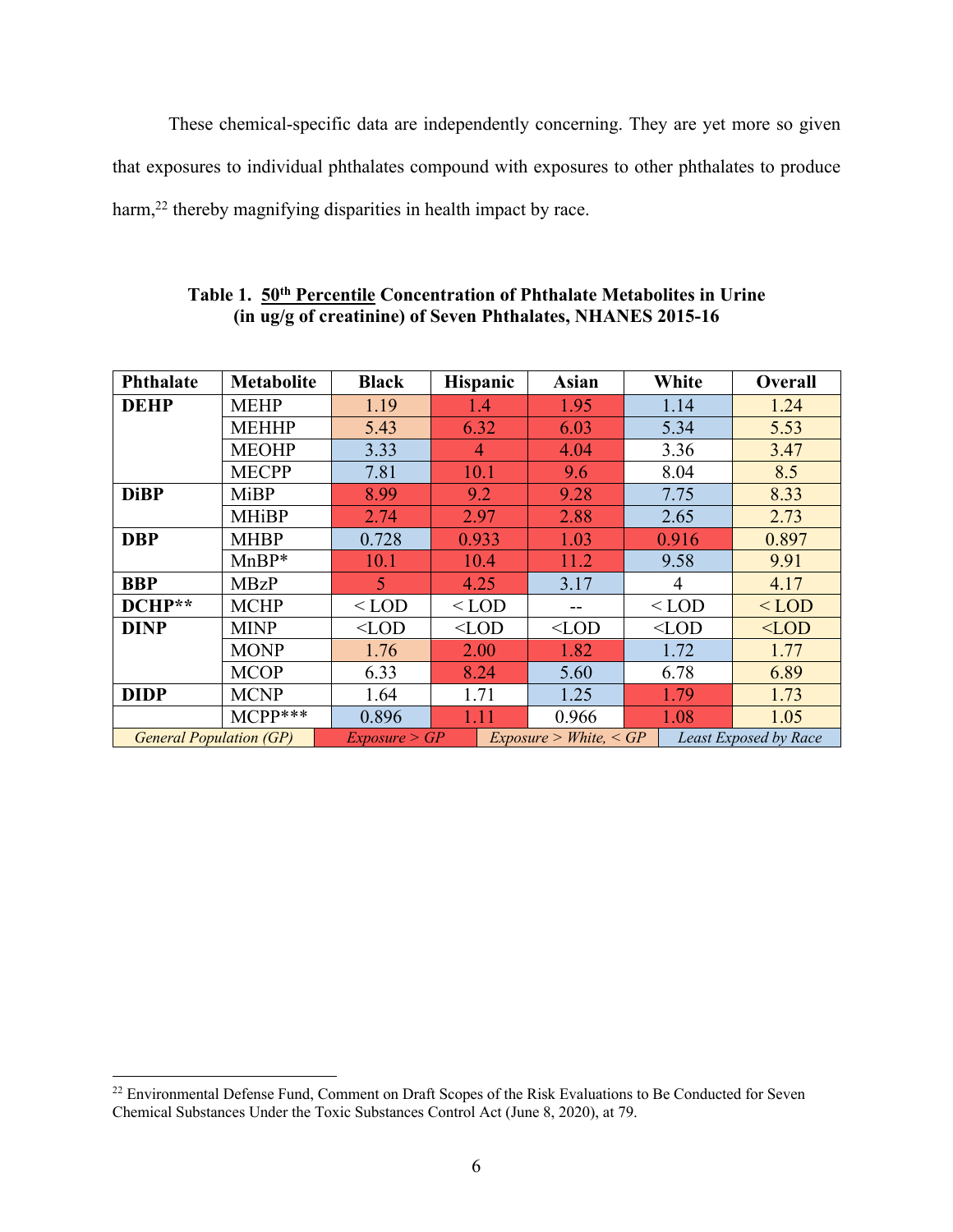These chemical-specific data are independently concerning. They are yet more so given that exposures to individual phthalates compound with exposures to other phthalates to produce harm,<sup>22</sup> thereby magnifying disparities in health impact by race.

| <b>Phthalate</b>               | <b>Metabolite</b> | <b>Black</b>  | Hispanic       | Asian                  | White   | Overall               |
|--------------------------------|-------------------|---------------|----------------|------------------------|---------|-----------------------|
| <b>DEHP</b>                    | <b>MEHP</b>       | 1.19          | 1.4            | 1.95                   | 1.14    | 1.24                  |
|                                | <b>MEHHP</b>      | 5.43          | 6.32           | 6.03                   | 5.34    | 5.53                  |
|                                | <b>MEOHP</b>      | 3.33          | $\overline{4}$ | 4.04                   | 3.36    | 3.47                  |
|                                | <b>MECPP</b>      | 7.81          | 10.1           | 9.6                    | 8.04    | 8.5                   |
| <b>DiBP</b>                    | <b>MiBP</b>       | 8.99          | 9.2            | 9.28                   | 7.75    | 8.33                  |
|                                | <b>MHiBP</b>      | 2.74          | 2.97           | 2.88                   | 2.65    | 2.73                  |
| <b>DBP</b>                     | <b>MHBP</b>       | 0.728         | 0.933          | 1.03                   | 0.916   | 0.897                 |
|                                | $MnBP*$           | 10.1          | 10.4           | 11.2                   | 9.58    | 9.91                  |
| <b>BBP</b>                     | <b>MBzP</b>       | 5             | 4.25           | 3.17                   | 4       | 4.17                  |
| DCHP**                         | <b>MCHP</b>       | $<$ LOD       | $<$ LOD        |                        | $<$ LOD | $<$ LOD               |
| <b>DINP</b>                    | <b>MINP</b>       | $<$ LOD       | $<$ LOD        | $<$ LOD                | $<$ LOD | $<$ LOD               |
|                                | <b>MONP</b>       | 1.76          | 2.00           | 1.82                   | 1.72    | 1.77                  |
|                                | <b>MCOP</b>       | 6.33          | 8.24           | 5.60                   | 6.78    | 6.89                  |
| <b>DIDP</b>                    | <b>MCNP</b>       | 1.64          | 1.71           | 1.25                   | 1.79    | 1.73                  |
|                                | $MCPP***$         | 0.896         | 1.11           | 0.966                  | 1.08    | 1.05                  |
| <b>General Population (GP)</b> |                   | Exposure > GP |                | Exposure > White, < GP |         | Least Exposed by Race |

# **Table 1. 50th Percentile Concentration of Phthalate Metabolites in Urine (in ug/g of creatinine) of Seven Phthalates, NHANES 2015-16**

<sup>&</sup>lt;sup>22</sup> Environmental Defense Fund, Comment on Draft Scopes of the Risk Evaluations to Be Conducted for Seven Chemical Substances Under the Toxic Substances Control Act (June 8, 2020), at 79.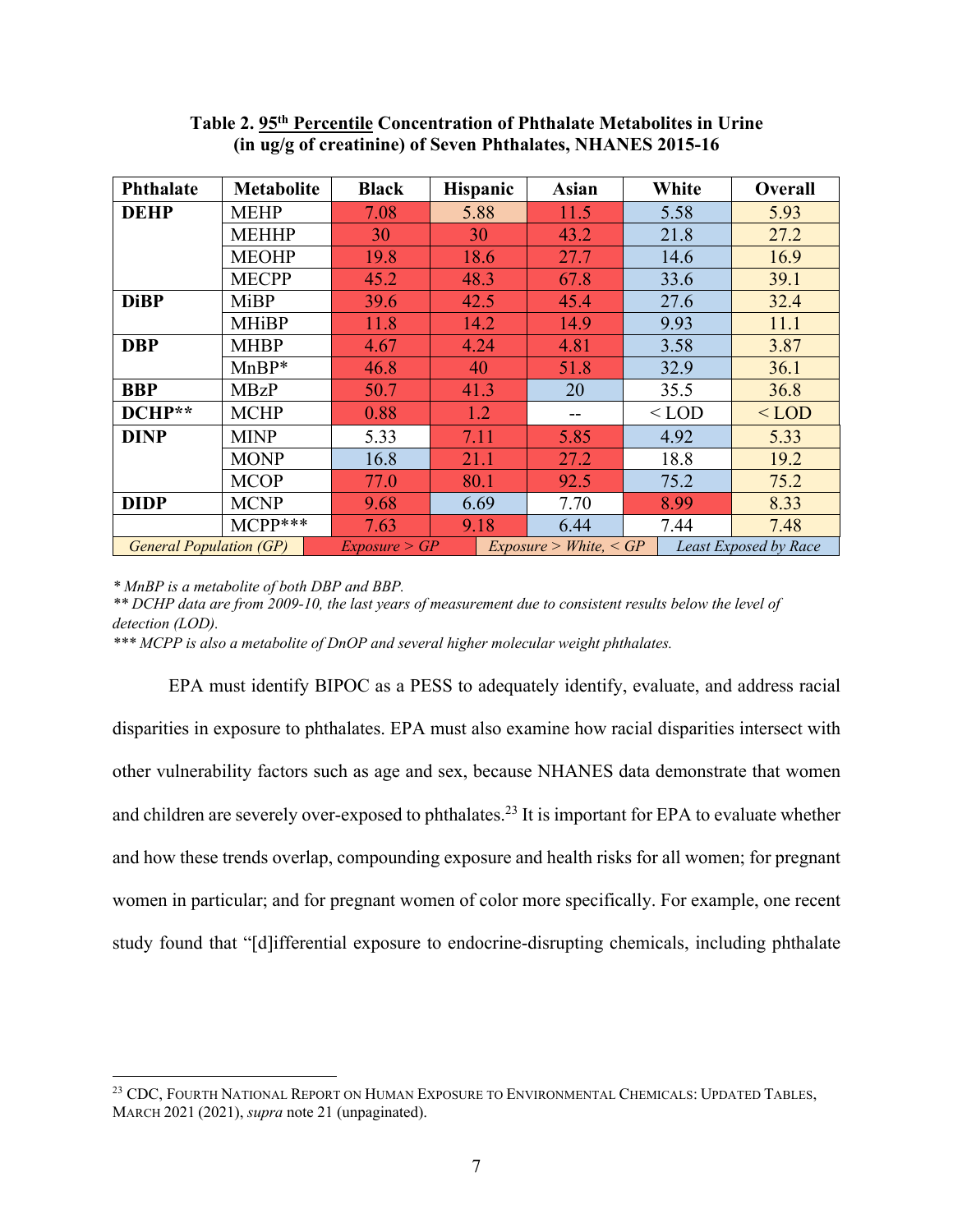| <b>Phthalate</b>               | <b>Metabolite</b> | <b>Black</b>  | <b>Hispanic</b>        | Asian | White   | Overall               |  |
|--------------------------------|-------------------|---------------|------------------------|-------|---------|-----------------------|--|
| <b>DEHP</b>                    | <b>MEHP</b>       | 7.08          | 5.88                   | 11.5  | 5.58    | 5.93                  |  |
|                                | <b>MEHHP</b>      | 30            | 30                     | 43.2  | 21.8    | 27.2                  |  |
|                                | <b>MEOHP</b>      | 19.8          | 18.6                   | 27.7  | 14.6    | 16.9                  |  |
|                                | <b>MECPP</b>      | 45.2          | 48.3                   | 67.8  | 33.6    | 39.1                  |  |
| <b>DiBP</b>                    | <b>MiBP</b>       | 39.6          | 42.5                   | 45.4  | 27.6    | 32.4                  |  |
|                                | <b>MHiBP</b>      | 11.8          | 14.2                   | 14.9  | 9.93    | 11.1                  |  |
| <b>DBP</b>                     | <b>MHBP</b>       | 4.67          | 4.24                   | 4.81  | 3.58    | 3.87                  |  |
|                                | $MnBP*$           | 46.8          | 40                     | 51.8  | 32.9    | 36.1                  |  |
| <b>BBP</b>                     | <b>MBzP</b>       | 50.7          | 41.3                   | 20    | 35.5    | 36.8                  |  |
| DCHP**                         | <b>MCHP</b>       | 0.88          | 1.2                    |       | $<$ LOD | $<$ LOD               |  |
| <b>DINP</b>                    | <b>MINP</b>       | 5.33          | 7.11                   | 5.85  | 4.92    | 5.33                  |  |
|                                | <b>MONP</b>       | 16.8          | 21.1                   | 27.2  | 18.8    | 19.2                  |  |
|                                | <b>MCOP</b>       | 77.0          | 80.1                   | 92.5  | 75.2    | 75.2                  |  |
| <b>DIDP</b>                    | <b>MCNP</b>       | 9.68          | 6.69                   | 7.70  | 8.99    | 8.33                  |  |
|                                | $MCPP***$         | 7.63          | 9.18                   | 6.44  | 7.44    | 7.48                  |  |
| <b>General Population (GP)</b> |                   | Exposure > GP | Exposure > White, < GP |       |         | Least Exposed by Race |  |

## **Table 2. 95th Percentile Concentration of Phthalate Metabolites in Urine (in ug/g of creatinine) of Seven Phthalates, NHANES 2015-16**

*\* MnBP is a metabolite of both DBP and BBP.*

*\*\* DCHP data are from 2009-10, the last years of measurement due to consistent results below the level of detection (LOD).* 

*\*\*\* MCPP is also a metabolite of DnOP and several higher molecular weight phthalates.*

EPA must identify BIPOC as a PESS to adequately identify, evaluate, and address racial disparities in exposure to phthalates. EPA must also examine how racial disparities intersect with other vulnerability factors such as age and sex, because NHANES data demonstrate that women and children are severely over-exposed to phthalates.<sup>23</sup> It is important for EPA to evaluate whether and how these trends overlap, compounding exposure and health risks for all women; for pregnant women in particular; and for pregnant women of color more specifically. For example, one recent study found that "[d]ifferential exposure to endocrine-disrupting chemicals, including phthalate

<sup>23</sup> CDC, FOURTH NATIONAL REPORT ON HUMAN EXPOSURE TO ENVIRONMENTAL CHEMICALS: UPDATED TABLES, MARCH 2021 (2021), *supra* note 21 (unpaginated).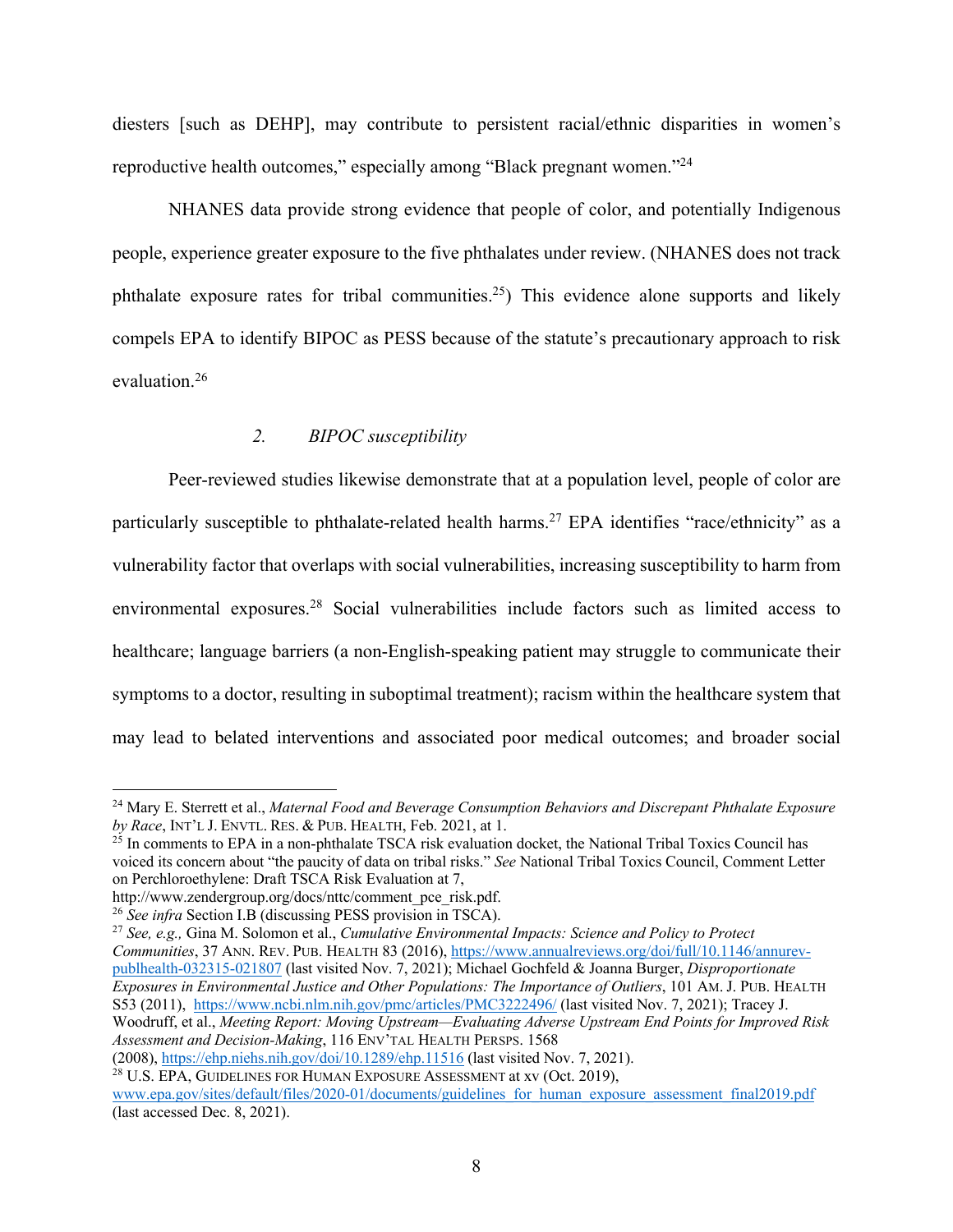diesters [such as DEHP], may contribute to persistent racial/ethnic disparities in women's reproductive health outcomes," especially among "Black pregnant women."24

NHANES data provide strong evidence that people of color, and potentially Indigenous people, experience greater exposure to the five phthalates under review. (NHANES does not track phthalate exposure rates for tribal communities.<sup>25</sup>) This evidence alone supports and likely compels EPA to identify BIPOC as PESS because of the statute's precautionary approach to risk evaluation.26

### *2. BIPOC susceptibility*

Peer-reviewed studies likewise demonstrate that at a population level, people of color are particularly susceptible to phthalate-related health harms.<sup>27</sup> EPA identifies "race/ethnicity" as a vulnerability factor that overlaps with social vulnerabilities, increasing susceptibility to harm from environmental exposures.<sup>28</sup> Social vulnerabilities include factors such as limited access to healthcare; language barriers (a non-English-speaking patient may struggle to communicate their symptoms to a doctor, resulting in suboptimal treatment); racism within the healthcare system that may lead to belated interventions and associated poor medical outcomes; and broader social

<sup>24</sup> Mary E. Sterrett et al., *Maternal Food and Beverage Consumption Behaviors and Discrepant Phthalate Exposure by Race*, INT'L J. ENVTL. RES. & PUB. HEALTH, Feb. 2021, at 1.

<sup>&</sup>lt;sup>25</sup> In comments to EPA in a non-phthalate TSCA risk evaluation docket, the National Tribal Toxics Council has voiced its concern about "the paucity of data on tribal risks." *See* National Tribal Toxics Council, Comment Letter on Perchloroethylene: Draft TSCA Risk Evaluation at 7,

http://www.zendergroup.org/docs/nttc/comment\_pce\_risk.pdf.

<sup>26</sup> *See infra* Section I.B (discussing PESS provision in TSCA).

<sup>27</sup> *See, e.g.,* Gina M. Solomon et al., *Cumulative Environmental Impacts: Science and Policy to Protect Communities*, 37 ANN. REV. PUB. HEALTH 83 (2016), https://www.annualreviews.org/doi/full/10.1146/annurevpublhealth-032315-021807 (last visited Nov. 7, 2021); Michael Gochfeld & Joanna Burger, *Disproportionate Exposures in Environmental Justice and Other Populations: The Importance of Outliers*, 101 AM. J. PUB. HEALTH S53 (2011), https://www.ncbi.nlm.nih.gov/pmc/articles/PMC3222496/ (last visited Nov. 7, 2021); Tracey J. Woodruff, et al., *Meeting Report: Moving Upstream—Evaluating Adverse Upstream End Points for Improved Risk Assessment and Decision-Making*, 116 ENV'TAL HEALTH PERSPS. 1568 (2008), https://ehp.niehs.nih.gov/doi/10.1289/ehp.11516 (last visited Nov. 7, 2021).

<sup>&</sup>lt;sup>28</sup> U.S. EPA, GUIDELINES FOR HUMAN EXPOSURE ASSESSMENT at xv (Oct. 2019), www.epa.gov/sites/default/files/2020-01/documents/guidelines\_for\_human\_exposure\_assessment\_final2019.pdf (last accessed Dec. 8, 2021).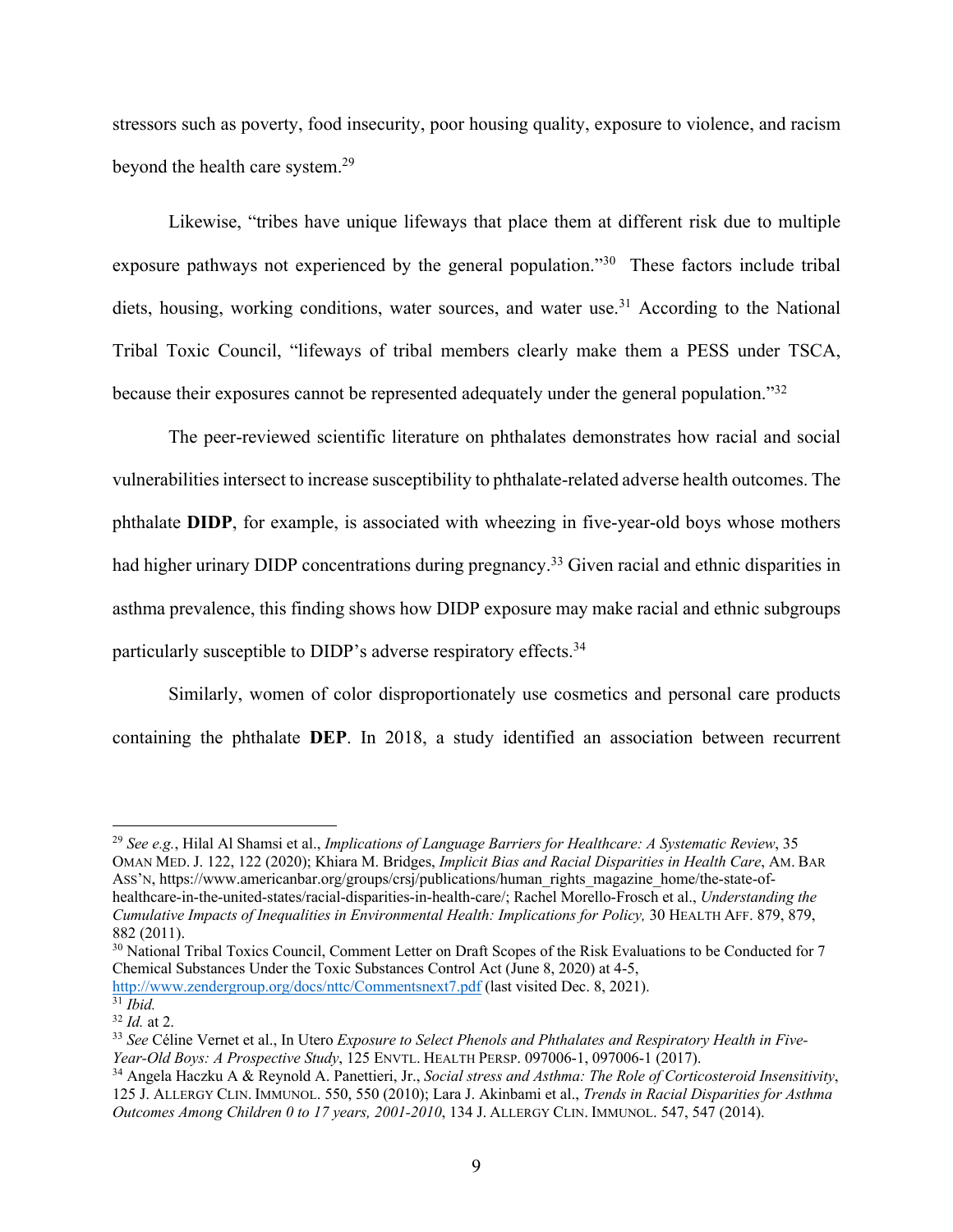stressors such as poverty, food insecurity, poor housing quality, exposure to violence, and racism beyond the health care system. 29

Likewise, "tribes have unique lifeways that place them at different risk due to multiple exposure pathways not experienced by the general population."<sup>30</sup> These factors include tribal diets, housing, working conditions, water sources, and water use.<sup>31</sup> According to the National Tribal Toxic Council, "lifeways of tribal members clearly make them a PESS under TSCA, because their exposures cannot be represented adequately under the general population."32

The peer-reviewed scientific literature on phthalates demonstrates how racial and social vulnerabilities intersect to increase susceptibility to phthalate-related adverse health outcomes. The phthalate **DIDP**, for example, is associated with wheezing in five-year-old boys whose mothers had higher urinary DIDP concentrations during pregnancy.<sup>33</sup> Given racial and ethnic disparities in asthma prevalence, this finding shows how DIDP exposure may make racial and ethnic subgroups particularly susceptible to DIDP's adverse respiratory effects.34

Similarly, women of color disproportionately use cosmetics and personal care products containing the phthalate **DEP**. In 2018, a study identified an association between recurrent

<sup>29</sup> *See e.g.*, Hilal Al Shamsi et al., *Implications of Language Barriers for Healthcare: A Systematic Review*, 35 OMAN MED. J. 122, 122 (2020); Khiara M. Bridges, *Implicit Bias and Racial Disparities in Health Care*, AM. BAR Ass'N, https://www.americanbar.org/groups/crsj/publications/human\_rights\_magazine\_home/the-state-ofhealthcare-in-the-united-states/racial-disparities-in-health-care/; Rachel Morello-Frosch et al., *Understanding the Cumulative Impacts of Inequalities in Environmental Health: Implications for Policy,* 30 HEALTH AFF. 879, 879, 882 (2011).

<sup>&</sup>lt;sup>30</sup> National Tribal Toxics Council, Comment Letter on Draft Scopes of the Risk Evaluations to be Conducted for 7 Chemical Substances Under the Toxic Substances Control Act (June 8, 2020) at 4-5, http://www.zendergroup.org/docs/nttc/Commentsnext7.pdf (last visited Dec. 8, 2021).

 $\frac{31}{32}$ *Ibid.*<br> $\frac{32}{1}$ *Id.* at 2.

<sup>&</sup>lt;sup>33</sup> See Céline Vernet et al., In Utero *Exposure to Select Phenols and Phthalates and Respiratory Health in Five-Year-Old Boys: A Prospective Study*, 125 ENVTL. HEALTH PERSP. 097006-1, 097006-1 (2017).

<sup>34</sup> Angela Haczku A & Reynold A. Panettieri, Jr., *Social stress and Asthma: The Role of Corticosteroid Insensitivity*, 125 J. ALLERGY CLIN. IMMUNOL. 550, 550 (2010); Lara J. Akinbami et al., *Trends in Racial Disparities for Asthma Outcomes Among Children 0 to 17 years, 2001-2010*, 134 J. ALLERGY CLIN. IMMUNOL. 547, 547 (2014).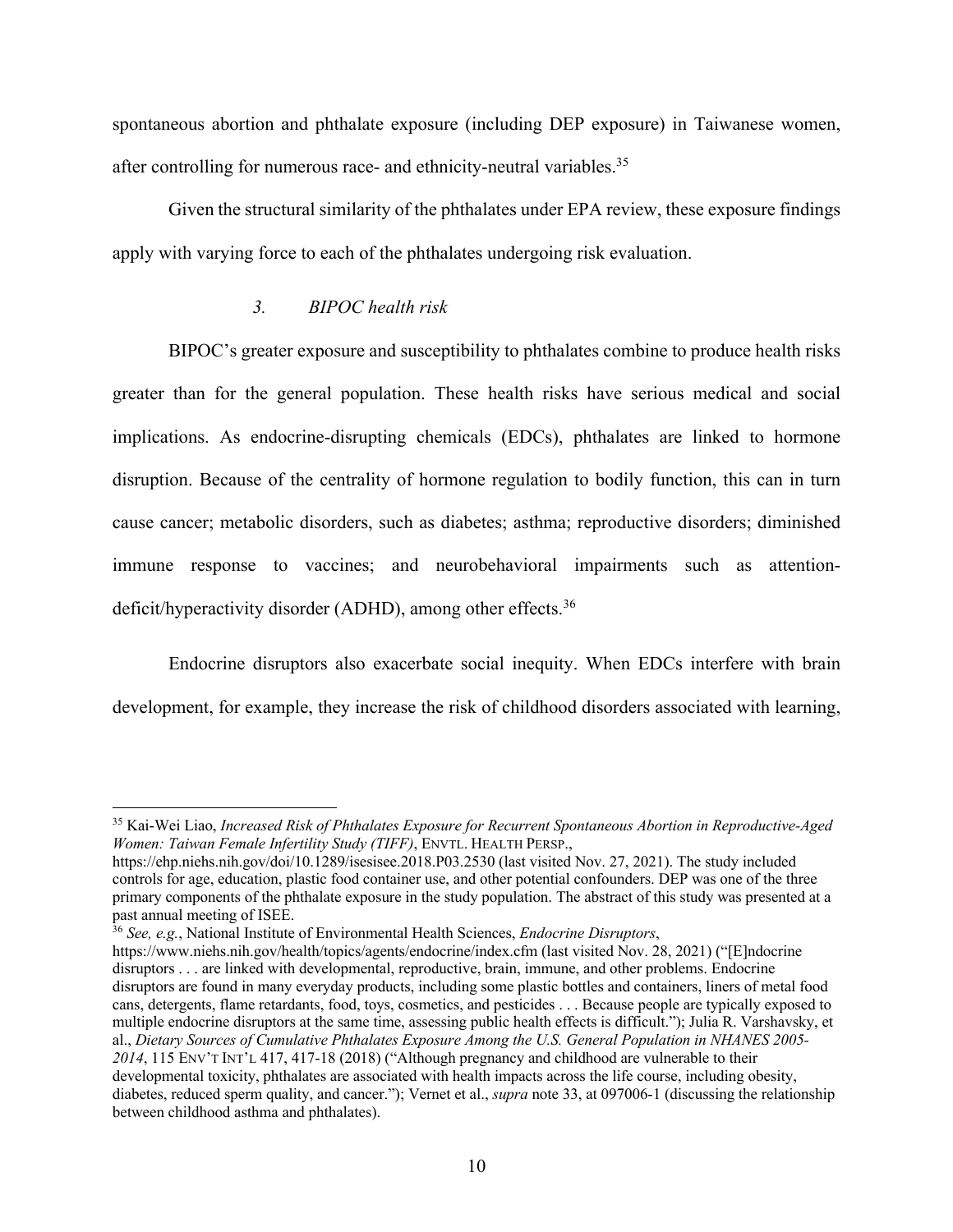spontaneous abortion and phthalate exposure (including DEP exposure) in Taiwanese women, after controlling for numerous race- and ethnicity-neutral variables.35

Given the structural similarity of the phthalates under EPA review, these exposure findings apply with varying force to each of the phthalates undergoing risk evaluation.

#### *3. BIPOC health risk*

BIPOC's greater exposure and susceptibility to phthalates combine to produce health risks greater than for the general population. These health risks have serious medical and social implications. As endocrine-disrupting chemicals (EDCs), phthalates are linked to hormone disruption. Because of the centrality of hormone regulation to bodily function, this can in turn cause cancer; metabolic disorders, such as diabetes; asthma; reproductive disorders; diminished immune response to vaccines; and neurobehavioral impairments such as attentiondeficit/hyperactivity disorder (ADHD), among other effects.<sup>36</sup>

Endocrine disruptors also exacerbate social inequity. When EDCs interfere with brain development, for example, they increase the risk of childhood disorders associated with learning,

<sup>35</sup> Kai-Wei Liao, *Increased Risk of Phthalates Exposure for Recurrent Spontaneous Abortion in Reproductive-Aged Women: Taiwan Female Infertility Study (TIFF)*, ENVTL. HEALTH PERSP.,

https://ehp.niehs.nih.gov/doi/10.1289/isesisee.2018.P03.2530 (last visited Nov. 27, 2021). The study included controls for age, education, plastic food container use, and other potential confounders. DEP was one of the three primary components of the phthalate exposure in the study population. The abstract of this study was presented at a past annual meeting of ISEE.

<sup>36</sup> *See, e.g.*, National Institute of Environmental Health Sciences, *Endocrine Disruptors*,

https://www.niehs.nih.gov/health/topics/agents/endocrine/index.cfm (last visited Nov. 28, 2021) ("[E]ndocrine disruptors . . . are linked with developmental, reproductive, brain, immune, and other problems. Endocrine disruptors are found in many everyday products, including some plastic bottles and containers, liners of metal food cans, detergents, flame retardants, food, toys, cosmetics, and pesticides . . . Because people are typically exposed to multiple endocrine disruptors at the same time, assessing public health effects is difficult."); Julia R. Varshavsky, et al., *Dietary Sources of Cumulative Phthalates Exposure Among the U.S. General Population in NHANES 2005- 2014*, 115 ENV'T INT'L 417, 417-18 (2018) ("Although pregnancy and childhood are vulnerable to their developmental toxicity, phthalates are associated with health impacts across the life course, including obesity, diabetes, reduced sperm quality, and cancer."); Vernet et al., *supra* note 33, at 097006-1 (discussing the relationship between childhood asthma and phthalates).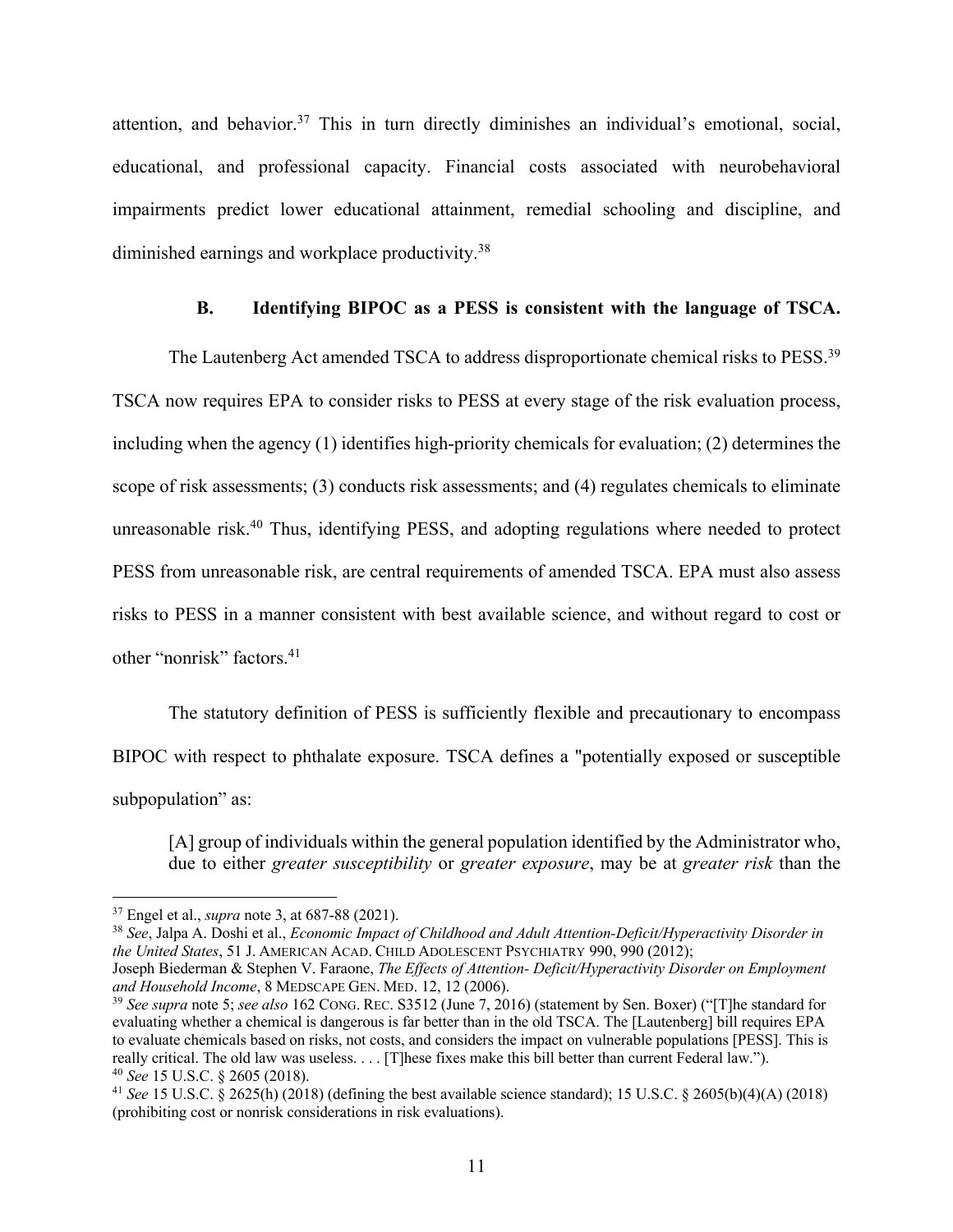attention, and behavior.<sup>37</sup> This in turn directly diminishes an individual's emotional, social, educational, and professional capacity. Financial costs associated with neurobehavioral impairments predict lower educational attainment, remedial schooling and discipline, and diminished earnings and workplace productivity.38

#### **B. Identifying BIPOC as a PESS is consistent with the language of TSCA.**

The Lautenberg Act amended TSCA to address disproportionate chemical risks to PESS.39 TSCA now requires EPA to consider risks to PESS at every stage of the risk evaluation process, including when the agency (1) identifies high-priority chemicals for evaluation; (2) determines the scope of risk assessments; (3) conducts risk assessments; and (4) regulates chemicals to eliminate unreasonable risk.<sup>40</sup> Thus, identifying PESS, and adopting regulations where needed to protect PESS from unreasonable risk, are central requirements of amended TSCA. EPA must also assess risks to PESS in a manner consistent with best available science, and without regard to cost or other "nonrisk" factors.41

The statutory definition of PESS is sufficiently flexible and precautionary to encompass BIPOC with respect to phthalate exposure. TSCA defines a "potentially exposed or susceptible subpopulation" as:

[A] group of individuals within the general population identified by the Administrator who, due to either *greater susceptibility* or *greater exposure*, may be at *greater risk* than the

<sup>38</sup> *See*, Jalpa A. Doshi et al., *Economic Impact of Childhood and Adult Attention-Deficit/Hyperactivity Disorder in the United States*, 51 J. AMERICAN ACAD. CHILD ADOLESCENT PSYCHIATRY 990, 990 (2012);

<sup>37</sup> Engel et al., *supra* note 3, at 687-88 (2021).

Joseph Biederman & Stephen V. Faraone, *The Effects of Attention- Deficit/Hyperactivity Disorder on Employment and Household Income*, 8 MEDSCAPE GEN. MED. 12, 12 (2006).

<sup>39</sup> *See supra* note 5; *see also* 162 CONG. REC. S3512 (June 7, 2016) (statement by Sen. Boxer) ("[T]he standard for evaluating whether a chemical is dangerous is far better than in the old TSCA. The [Lautenberg] bill requires EPA to evaluate chemicals based on risks, not costs, and considers the impact on vulnerable populations [PESS]. This is really critical. The old law was useless. . . . [T]hese fixes make this bill better than current Federal law.").

<sup>40</sup> *See* 15 U.S.C. § 2605 (2018). 41 *See* 15 U.S.C. § 2625(h) (2018) (defining the best available science standard); 15 U.S.C. § 2605(b)(4)(A) (2018) (prohibiting cost or nonrisk considerations in risk evaluations).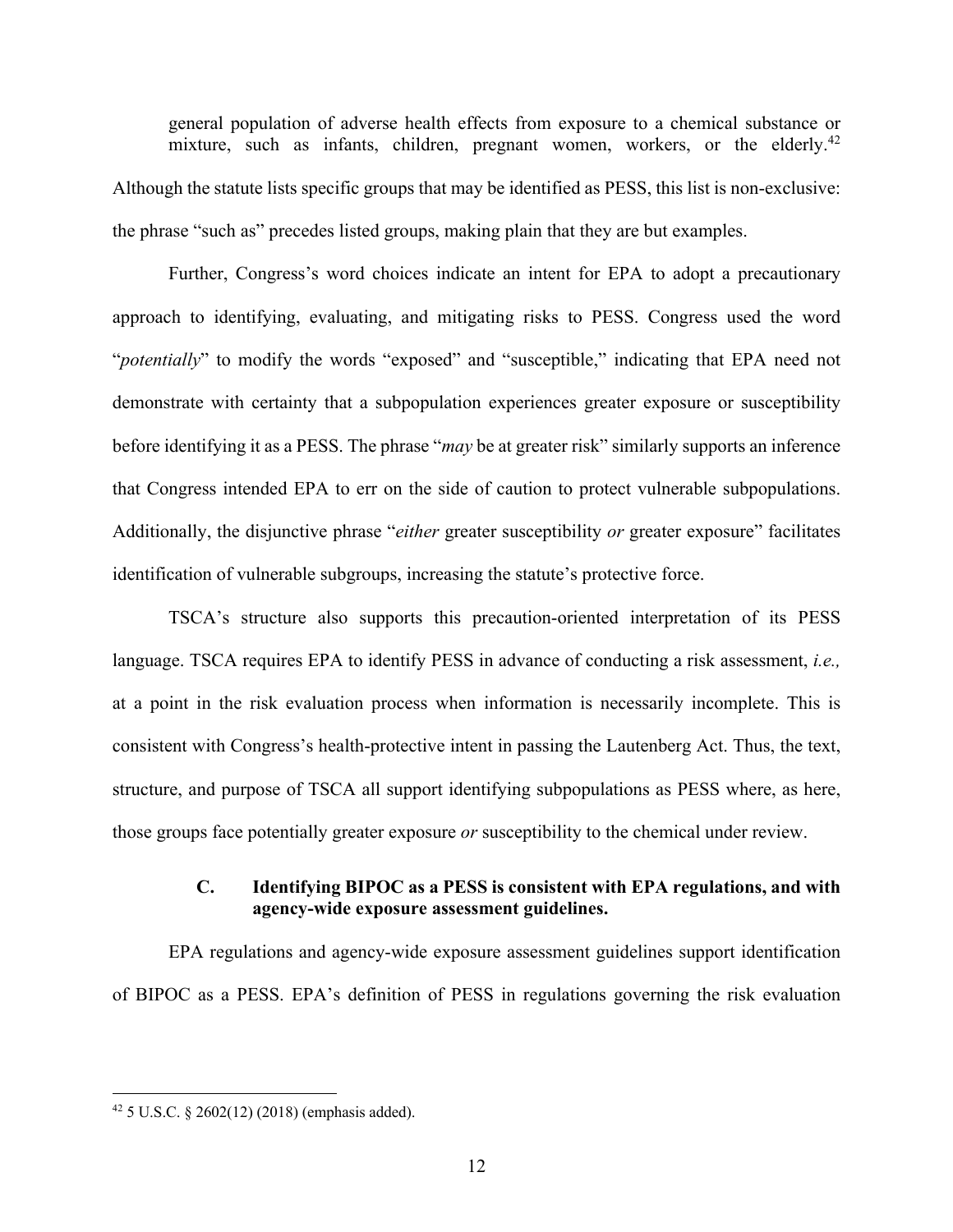general population of adverse health effects from exposure to a chemical substance or mixture, such as infants, children, pregnant women, workers, or the elderly.<sup>42</sup> Although the statute lists specific groups that may be identified as PESS, this list is non-exclusive: the phrase "such as" precedes listed groups, making plain that they are but examples.

Further, Congress's word choices indicate an intent for EPA to adopt a precautionary approach to identifying, evaluating, and mitigating risks to PESS. Congress used the word "*potentially*" to modify the words "exposed" and "susceptible," indicating that EPA need not demonstrate with certainty that a subpopulation experiences greater exposure or susceptibility before identifying it as a PESS. The phrase "*may* be at greater risk" similarly supports an inference that Congress intended EPA to err on the side of caution to protect vulnerable subpopulations. Additionally, the disjunctive phrase "*either* greater susceptibility *or* greater exposure" facilitates identification of vulnerable subgroups, increasing the statute's protective force.

TSCA's structure also supports this precaution-oriented interpretation of its PESS language. TSCA requires EPA to identify PESS in advance of conducting a risk assessment, *i.e.,* at a point in the risk evaluation process when information is necessarily incomplete. This is consistent with Congress's health-protective intent in passing the Lautenberg Act. Thus, the text, structure, and purpose of TSCA all support identifying subpopulations as PESS where, as here, those groups face potentially greater exposure *or* susceptibility to the chemical under review.

#### **C. Identifying BIPOC as a PESS is consistent with EPA regulations, and with agency-wide exposure assessment guidelines.**

EPA regulations and agency-wide exposure assessment guidelines support identification of BIPOC as a PESS. EPA's definition of PESS in regulations governing the risk evaluation

 $42$  5 U.S.C. § 2602(12) (2018) (emphasis added).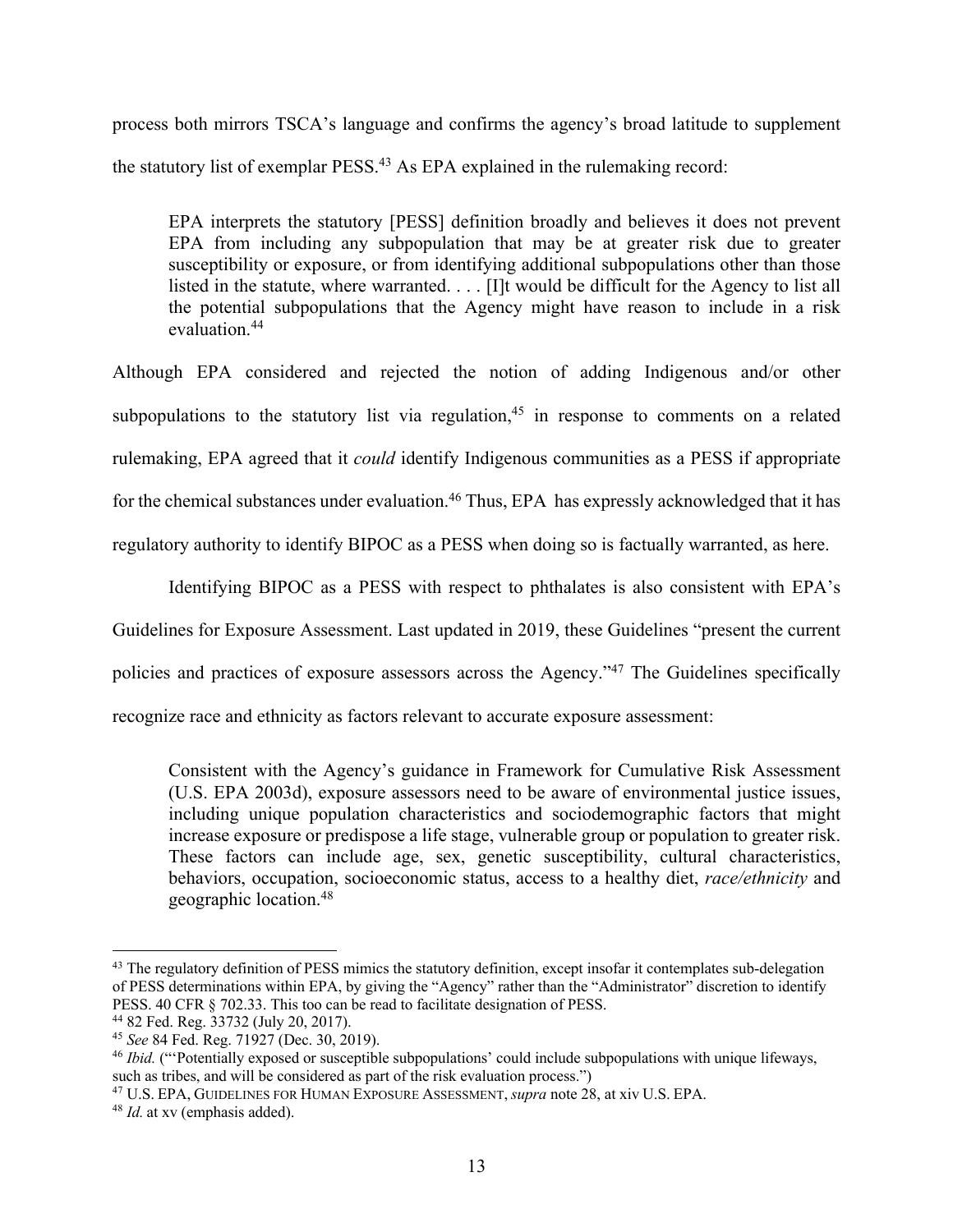process both mirrors TSCA's language and confirms the agency's broad latitude to supplement the statutory list of exemplar PESS.43 As EPA explained in the rulemaking record:

EPA interprets the statutory [PESS] definition broadly and believes it does not prevent EPA from including any subpopulation that may be at greater risk due to greater susceptibility or exposure, or from identifying additional subpopulations other than those listed in the statute, where warranted. . . . [I]t would be difficult for the Agency to list all the potential subpopulations that the Agency might have reason to include in a risk evaluation.44

Although EPA considered and rejected the notion of adding Indigenous and/or other subpopulations to the statutory list via regulation,<sup>45</sup> in response to comments on a related rulemaking, EPA agreed that it *could* identify Indigenous communities as a PESS if appropriate for the chemical substances under evaluation.<sup>46</sup> Thus, EPA has expressly acknowledged that it has regulatory authority to identify BIPOC as a PESS when doing so is factually warranted, as here.

Identifying BIPOC as a PESS with respect to phthalates is also consistent with EPA's

Guidelines for Exposure Assessment. Last updated in 2019, these Guidelines "present the current

policies and practices of exposure assessors across the Agency."47 The Guidelines specifically

recognize race and ethnicity as factors relevant to accurate exposure assessment:

Consistent with the Agency's guidance in Framework for Cumulative Risk Assessment (U.S. EPA 2003d), exposure assessors need to be aware of environmental justice issues, including unique population characteristics and sociodemographic factors that might increase exposure or predispose a life stage, vulnerable group or population to greater risk. These factors can include age, sex, genetic susceptibility, cultural characteristics, behaviors, occupation, socioeconomic status, access to a healthy diet, *race/ethnicity* and geographic location.48

<sup>&</sup>lt;sup>43</sup> The regulatory definition of PESS mimics the statutory definition, except insofar it contemplates sub-delegation of PESS determinations within EPA, by giving the "Agency" rather than the "Administrator" discretion to identify PESS. 40 CFR § 702.33. This too can be read to facilitate designation of PESS. 44 82 Fed. Reg. 33732 (July 20, 2017).

<sup>45</sup> *See* 84 Fed. Reg. 71927 (Dec. 30, 2019).

<sup>46</sup> *Ibid.* ("'Potentially exposed or susceptible subpopulations' could include subpopulations with unique lifeways, such as tribes, and will be considered as part of the risk evaluation process.")

<sup>47</sup> U.S. EPA, GUIDELINES FOR HUMAN EXPOSURE ASSESSMENT, *supra* note 28, at xiv U.S. EPA.

<sup>48</sup> *Id.* at xv (emphasis added).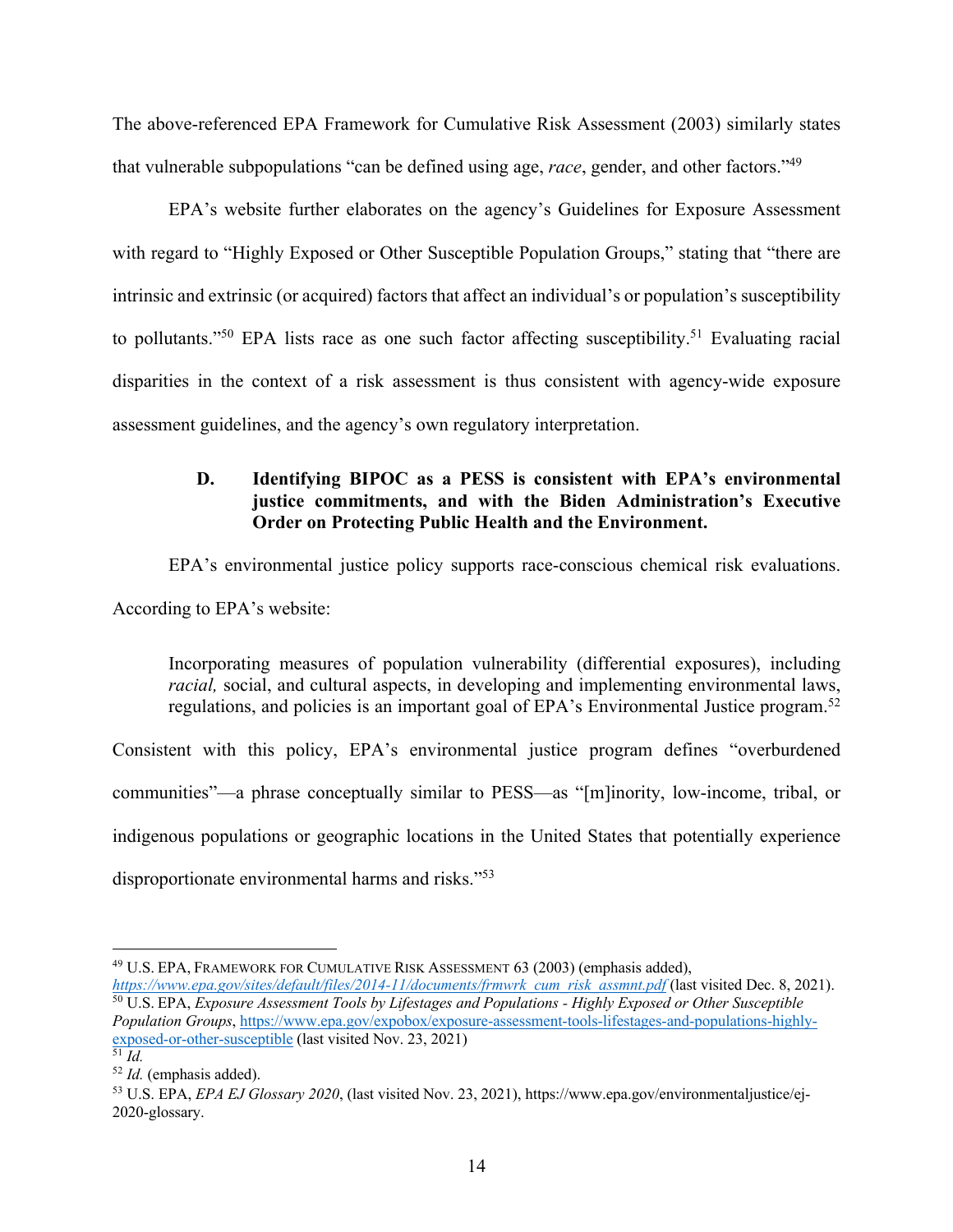The above-referenced EPA Framework for Cumulative Risk Assessment (2003) similarly states that vulnerable subpopulations "can be defined using age, *race*, gender, and other factors."49

EPA's website further elaborates on the agency's Guidelines for Exposure Assessment with regard to "Highly Exposed or Other Susceptible Population Groups," stating that "there are intrinsic and extrinsic (or acquired) factors that affect an individual's or population's susceptibility to pollutants."<sup>50</sup> EPA lists race as one such factor affecting susceptibility.<sup>51</sup> Evaluating racial disparities in the context of a risk assessment is thus consistent with agency-wide exposure assessment guidelines, and the agency's own regulatory interpretation.

## **D. Identifying BIPOC as a PESS is consistent with EPA's environmental justice commitments, and with the Biden Administration's Executive Order on Protecting Public Health and the Environment.**

EPA's environmental justice policy supports race-conscious chemical risk evaluations. According to EPA's website:

Incorporating measures of population vulnerability (differential exposures), including *racial*, social, and cultural aspects, in developing and implementing environmental laws, regulations, and policies is an important goal of EPA's Environmental Justice program.<sup>52</sup>

Consistent with this policy, EPA's environmental justice program defines "overburdened communities"—a phrase conceptually similar to PESS—as "[m]inority, low-income, tribal, or indigenous populations or geographic locations in the United States that potentially experience disproportionate environmental harms and risks."53

<sup>&</sup>lt;sup>49</sup> U.S. EPA, FRAMEWORK FOR CUMULATIVE RISK ASSESSMENT 63 (2003) (emphasis added),

*https://www.epa.gov/sites/default/files/2014-11/documents/frmwrk\_cum\_risk\_assmnt.pdf* (last visited Dec. 8, 2021). <sup>50</sup> U.S. EPA, *Exposure Assessment Tools by Lifestages and Populations - Highly Exposed or Other Susceptible Population Groups*, https://www.epa.gov/expobox/exposure-assessment-tools-lifestages-and-populations-highlyexposed-or-other-susceptible (last visited Nov. 23, 2021)  $\overline{\overline{51} \overline{Id}}$ .

<sup>52</sup> *Id.* (emphasis added).

<sup>53</sup> U.S. EPA, *EPA EJ Glossary 2020*, (last visited Nov. 23, 2021), https://www.epa.gov/environmentaljustice/ej-2020-glossary.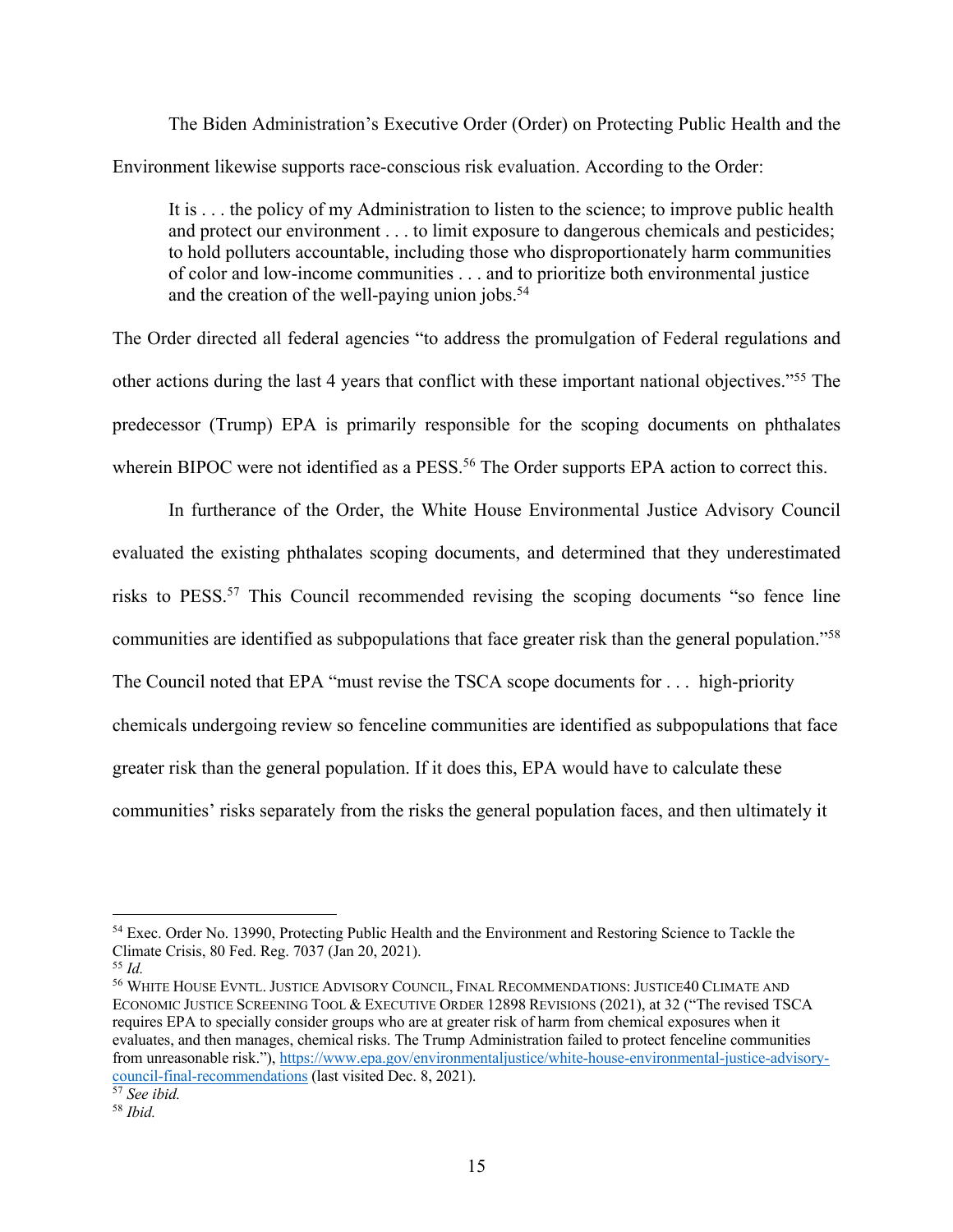The Biden Administration's Executive Order (Order) on Protecting Public Health and the Environment likewise supports race-conscious risk evaluation. According to the Order:

It is . . . the policy of my Administration to listen to the science; to improve public health and protect our environment . . . to limit exposure to dangerous chemicals and pesticides; to hold polluters accountable, including those who disproportionately harm communities of color and low-income communities . . . and to prioritize both environmental justice and the creation of the well-paying union jobs.<sup>54</sup>

The Order directed all federal agencies "to address the promulgation of Federal regulations and other actions during the last 4 years that conflict with these important national objectives."55 The predecessor (Trump) EPA is primarily responsible for the scoping documents on phthalates wherein BIPOC were not identified as a PESS.<sup>56</sup> The Order supports EPA action to correct this.

In furtherance of the Order, the White House Environmental Justice Advisory Council evaluated the existing phthalates scoping documents, and determined that they underestimated risks to PESS.<sup>57</sup> This Council recommended revising the scoping documents "so fence line communities are identified as subpopulations that face greater risk than the general population."58 The Council noted that EPA "must revise the TSCA scope documents for . . . high-priority chemicals undergoing review so fenceline communities are identified as subpopulations that face greater risk than the general population. If it does this, EPA would have to calculate these communities' risks separately from the risks the general population faces, and then ultimately it

<sup>54</sup> Exec. Order No. 13990, Protecting Public Health and the Environment and Restoring Science to Tackle the Climate Crisis, 80 Fed. Reg. 7037 (Jan 20, 2021).

<sup>55</sup> *Id.*

<sup>56</sup> WHITE HOUSE EVNTL. JUSTICE ADVISORY COUNCIL, FINAL RECOMMENDATIONS: JUSTICE40 CLIMATE AND ECONOMIC JUSTICE SCREENING TOOL & EXECUTIVE ORDER 12898 REVISIONS (2021), at 32 ("The revised TSCA requires EPA to specially consider groups who are at greater risk of harm from chemical exposures when it evaluates, and then manages, chemical risks. The Trump Administration failed to protect fenceline communities from unreasonable risk."), https://www.epa.gov/environmentaljustice/white-house-environmental-justice-advisorycouncil-final-recommendations (last visited Dec. 8, 2021).

<sup>57</sup> *See ibid.*

<sup>58</sup> *Ibid.*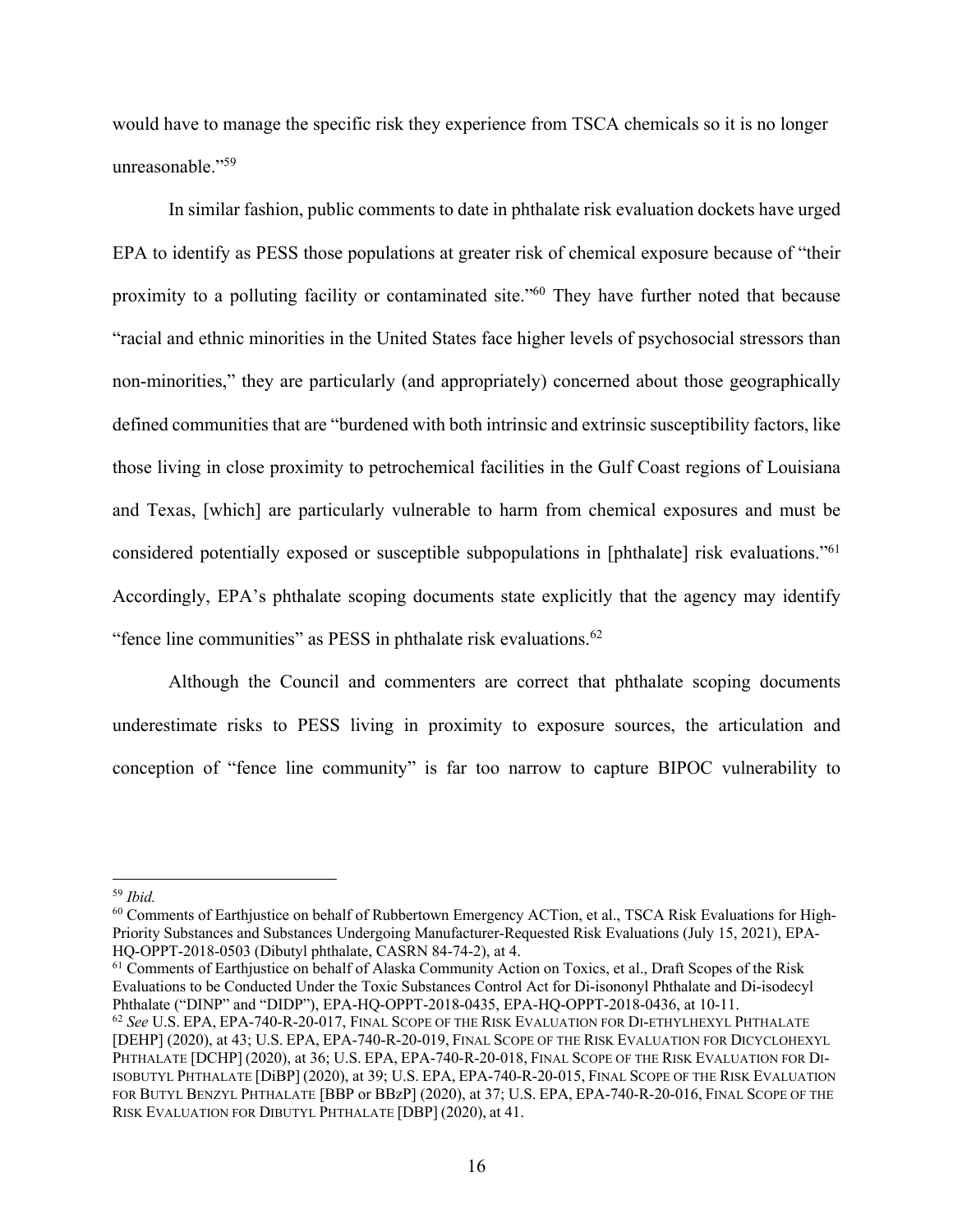would have to manage the specific risk they experience from TSCA chemicals so it is no longer unreasonable."59

In similar fashion, public comments to date in phthalate risk evaluation dockets have urged EPA to identify as PESS those populations at greater risk of chemical exposure because of "their proximity to a polluting facility or contaminated site."60 They have further noted that because "racial and ethnic minorities in the United States face higher levels of psychosocial stressors than non-minorities," they are particularly (and appropriately) concerned about those geographically defined communities that are "burdened with both intrinsic and extrinsic susceptibility factors, like those living in close proximity to petrochemical facilities in the Gulf Coast regions of Louisiana and Texas, [which] are particularly vulnerable to harm from chemical exposures and must be considered potentially exposed or susceptible subpopulations in [phthalate] risk evaluations."61 Accordingly, EPA's phthalate scoping documents state explicitly that the agency may identify "fence line communities" as PESS in phthalate risk evaluations.<sup>62</sup>

Although the Council and commenters are correct that phthalate scoping documents underestimate risks to PESS living in proximity to exposure sources, the articulation and conception of "fence line community" is far too narrow to capture BIPOC vulnerability to

<sup>61</sup> Comments of Earthjustice on behalf of Alaska Community Action on Toxics, et al., Draft Scopes of the Risk Evaluations to be Conducted Under the Toxic Substances Control Act for Di-isononyl Phthalate and Di-isodecyl Phthalate ("DINP" and "DIDP"), EPA-HQ-OPPT-2018-0435, EPA-HQ-OPPT-2018-0436, at 10-11.<br><sup>62</sup> *See* U.S. EPA, EPA-740-R-20-017, FINAL SCOPE OF THE RISK EVALUATION FOR DI-ETHYLHEXYL PHTHALATE

<sup>59</sup> *Ibid.*

<sup>60</sup> Comments of Earthjustice on behalf of Rubbertown Emergency ACTion, et al., TSCA Risk Evaluations for High-Priority Substances and Substances Undergoing Manufacturer-Requested Risk Evaluations (July 15, 2021), EPA-HQ-OPPT-2018-0503 (Dibutyl phthalate, CASRN 84-74-2), at 4.

<sup>[</sup>DEHP] (2020), at 43; U.S. EPA, EPA-740-R-20-019, FINAL SCOPE OF THE RISK EVALUATION FOR DICYCLOHEXYL PHTHALATE [DCHP] (2020), at 36; U.S. EPA, EPA-740-R-20-018, FINAL SCOPE OF THE RISK EVALUATION FOR DI-ISOBUTYL PHTHALATE [DiBP] (2020), at 39; U.S. EPA, EPA-740-R-20-015, FINAL SCOPE OF THE RISK EVALUATION FOR BUTYL BENZYL PHTHALATE [BBP or BBzP] (2020), at 37; U.S. EPA, EPA-740-R-20-016, FINAL SCOPE OF THE RISK EVALUATION FOR DIBUTYL PHTHALATE [DBP] (2020), at 41.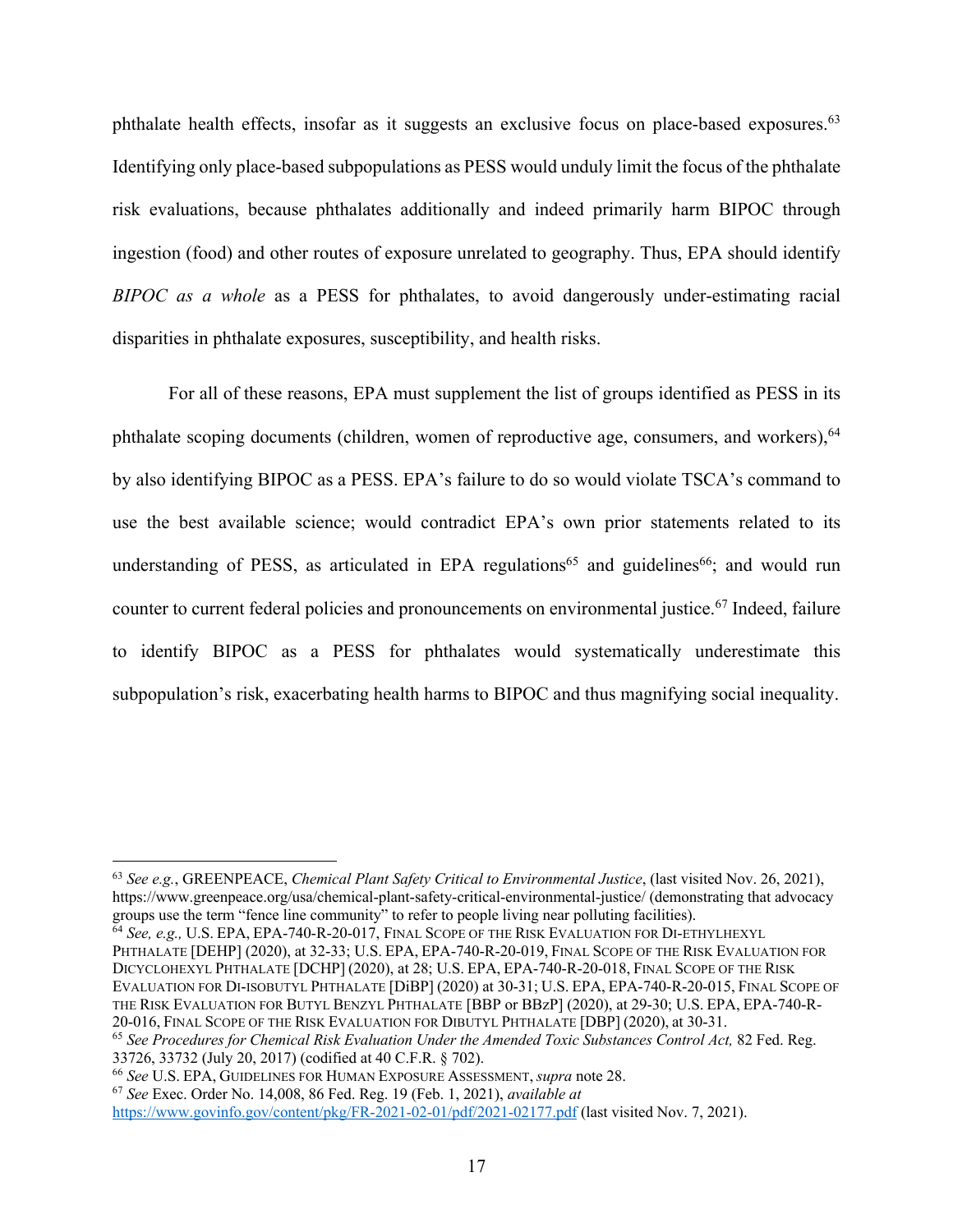phthalate health effects, insofar as it suggests an exclusive focus on place-based exposures.<sup>63</sup> Identifying only place-based subpopulations as PESS would unduly limit the focus of the phthalate risk evaluations, because phthalates additionally and indeed primarily harm BIPOC through ingestion (food) and other routes of exposure unrelated to geography. Thus, EPA should identify *BIPOC as a whole* as a PESS for phthalates, to avoid dangerously under-estimating racial disparities in phthalate exposures, susceptibility, and health risks.

For all of these reasons, EPA must supplement the list of groups identified as PESS in its phthalate scoping documents (children, women of reproductive age, consumers, and workers), 64 by also identifying BIPOC as a PESS. EPA's failure to do so would violate TSCA's command to use the best available science; would contradict EPA's own prior statements related to its understanding of PESS, as articulated in EPA regulations<sup>65</sup> and guidelines<sup>66</sup>; and would run counter to current federal policies and pronouncements on environmental justice.67 Indeed, failure to identify BIPOC as a PESS for phthalates would systematically underestimate this subpopulation's risk, exacerbating health harms to BIPOC and thus magnifying social inequality.

PHTHALATE [DEHP] (2020), at 32-33; U.S. EPA, EPA-740-R-20-019, FINAL SCOPE OF THE RISK EVALUATION FOR DICYCLOHEXYL PHTHALATE [DCHP] (2020), at 28; U.S. EPA, EPA-740-R-20-018, FINAL SCOPE OF THE RISK EVALUATION FOR DI-ISOBUTYL PHTHALATE [DiBP] (2020) at 30-31; U.S. EPA, EPA-740-R-20-015, FINAL SCOPE OF THE RISK EVALUATION FOR BUTYL BENZYL PHTHALATE [BBP or BBzP] (2020), at 29-30; U.S. EPA, EPA-740-R-20-016, FINAL SCOPE OF THE RISK EVALUATION FOR DIBUTYL PHTHALATE [DBP] (2020), at 30-31.

<sup>65</sup> *See Procedures for Chemical Risk Evaluation Under the Amended Toxic Substances Control Act,* 82 Fed. Reg. 33726, 33732 (July 20, 2017) (codified at 40 C.F.R. § 702).

<sup>63</sup> *See e.g.*, GREENPEACE, *Chemical Plant Safety Critical to Environmental Justice*, (last visited Nov. 26, 2021), https://www.greenpeace.org/usa/chemical-plant-safety-critical-environmental-justice/ (demonstrating that advocacy groups use the term "fence line community" to refer to people living near polluting facilities).<br><sup>64</sup> *See, e.g.,* U.S. EPA, EPA-740-R-20-017, FINAL SCOPE OF THE RISK EVALUATION FOR DI-ETHYLHEXYL

<sup>66</sup> *See* U.S. EPA, GUIDELINES FOR HUMAN EXPOSURE ASSESSMENT, *supra* note 28.

<sup>67</sup> *See* Exec. Order No. 14,008, 86 Fed. Reg. 19 (Feb. 1, 2021), *available at*

https://www.govinfo.gov/content/pkg/FR-2021-02-01/pdf/2021-02177.pdf (last visited Nov. 7, 2021).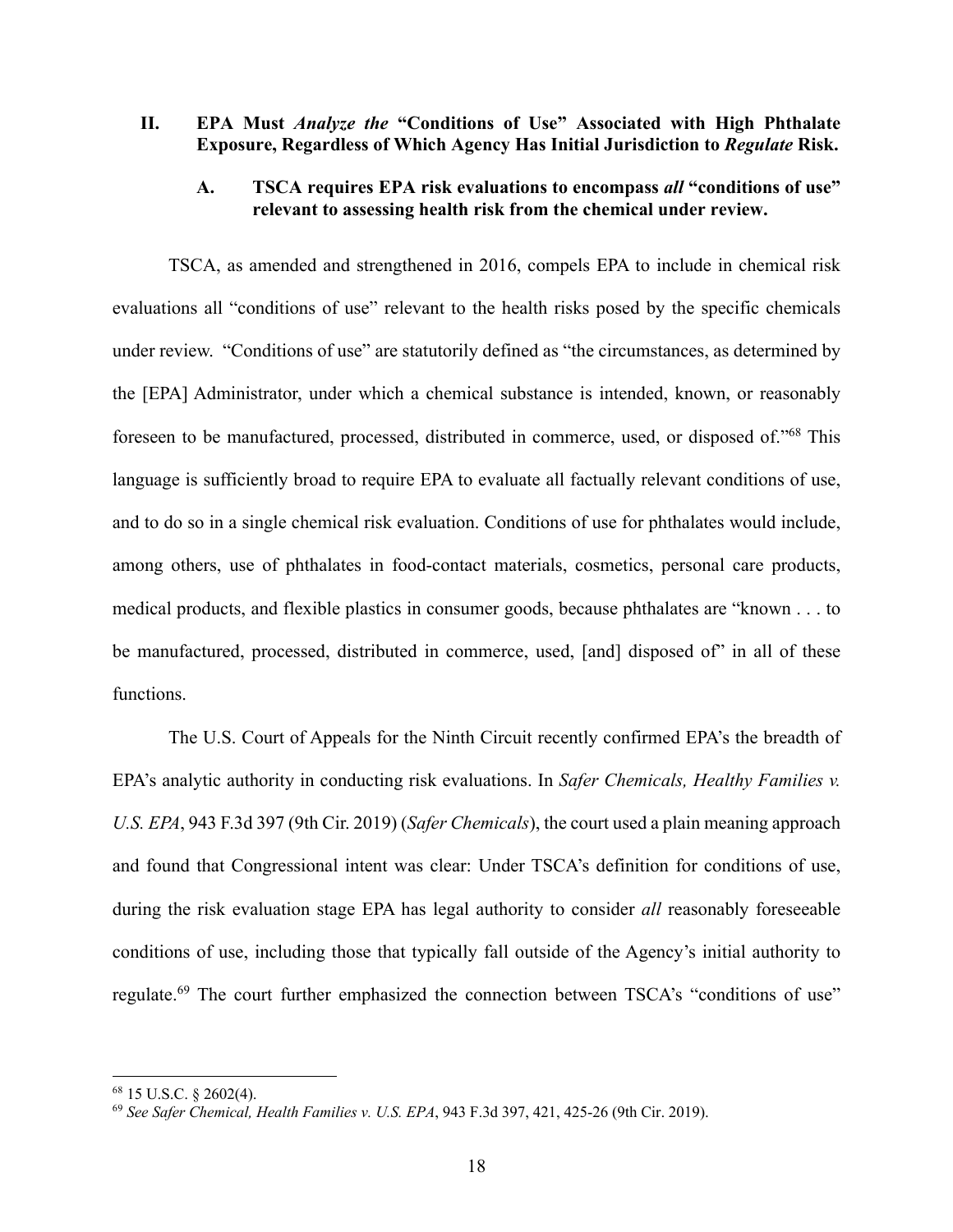## **II. EPA Must** *Analyze the* **"Conditions of Use" Associated with High Phthalate Exposure, Regardless of Which Agency Has Initial Jurisdiction to** *Regulate* **Risk.**

### **A. TSCA requires EPA risk evaluations to encompass** *all* **"conditions of use" relevant to assessing health risk from the chemical under review.**

TSCA, as amended and strengthened in 2016, compels EPA to include in chemical risk evaluations all "conditions of use" relevant to the health risks posed by the specific chemicals under review. "Conditions of use" are statutorily defined as "the circumstances, as determined by the [EPA] Administrator, under which a chemical substance is intended, known, or reasonably foreseen to be manufactured, processed, distributed in commerce, used, or disposed of."68 This language is sufficiently broad to require EPA to evaluate all factually relevant conditions of use, and to do so in a single chemical risk evaluation. Conditions of use for phthalates would include, among others, use of phthalates in food-contact materials, cosmetics, personal care products, medical products, and flexible plastics in consumer goods, because phthalates are "known . . . to be manufactured, processed, distributed in commerce, used, [and] disposed of" in all of these functions.

The U.S. Court of Appeals for the Ninth Circuit recently confirmed EPA's the breadth of EPA's analytic authority in conducting risk evaluations. In *Safer Chemicals, Healthy Families v. U.S. EPA*, 943 F.3d 397 (9th Cir. 2019) (*Safer Chemicals*), the court used a plain meaning approach and found that Congressional intent was clear: Under TSCA's definition for conditions of use, during the risk evaluation stage EPA has legal authority to consider *all* reasonably foreseeable conditions of use, including those that typically fall outside of the Agency's initial authority to regulate.<sup>69</sup> The court further emphasized the connection between TSCA's "conditions of use"

<sup>68</sup> 15 U.S.C. § 2602(4).

<sup>69</sup> *See Safer Chemical, Health Families v. U.S. EPA*, 943 F.3d 397, 421, 425-26 (9th Cir. 2019).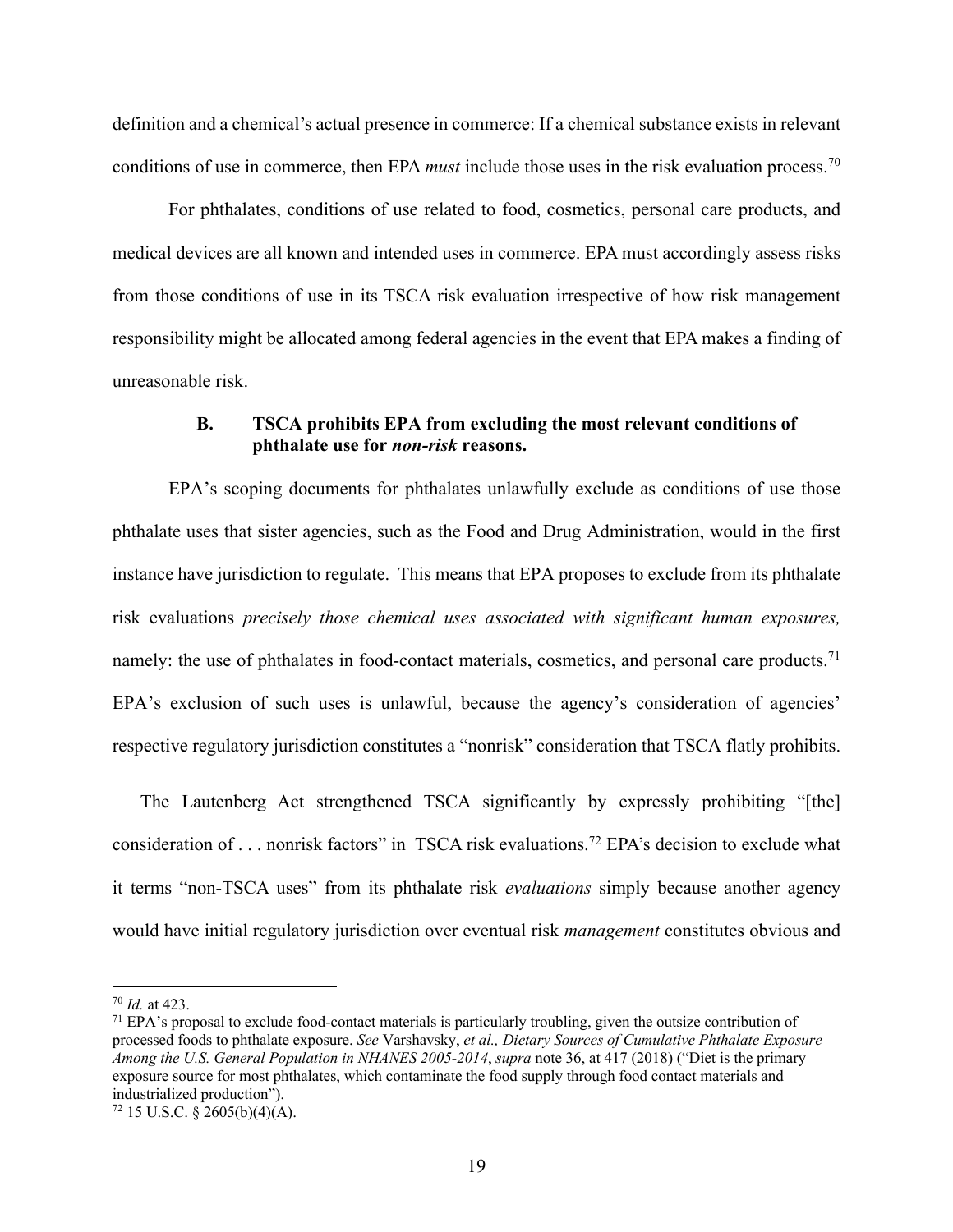definition and a chemical's actual presence in commerce: If a chemical substance exists in relevant conditions of use in commerce, then EPA *must* include those uses in the risk evaluation process.70

For phthalates, conditions of use related to food, cosmetics, personal care products, and medical devices are all known and intended uses in commerce. EPA must accordingly assess risks from those conditions of use in its TSCA risk evaluation irrespective of how risk management responsibility might be allocated among federal agencies in the event that EPA makes a finding of unreasonable risk.

#### **B. TSCA prohibits EPA from excluding the most relevant conditions of phthalate use for** *non-risk* **reasons.**

EPA's scoping documents for phthalates unlawfully exclude as conditions of use those phthalate uses that sister agencies, such as the Food and Drug Administration, would in the first instance have jurisdiction to regulate. This means that EPA proposes to exclude from its phthalate risk evaluations *precisely those chemical uses associated with significant human exposures,* namely: the use of phthalates in food-contact materials, cosmetics, and personal care products.<sup>71</sup> EPA's exclusion of such uses is unlawful, because the agency's consideration of agencies' respective regulatory jurisdiction constitutes a "nonrisk" consideration that TSCA flatly prohibits.

The Lautenberg Act strengthened TSCA significantly by expressly prohibiting "[the] consideration of . . . nonrisk factors" in TSCA risk evaluations.72 EPA's decision to exclude what it terms "non-TSCA uses" from its phthalate risk *evaluations* simply because another agency would have initial regulatory jurisdiction over eventual risk *management* constitutes obvious and

<sup>70</sup> *Id.* at 423.

<sup>71</sup> EPA's proposal to exclude food-contact materials is particularly troubling, given the outsize contribution of processed foods to phthalate exposure. *See* Varshavsky, *et al., Dietary Sources of Cumulative Phthalate Exposure Among the U.S. General Population in NHANES 2005-2014*, *supra* note 36, at 417 (2018) ("Diet is the primary exposure source for most phthalates, which contaminate the food supply through food contact materials and industrialized production").

 $72$  15 U.S.C. § 2605(b)(4)(A).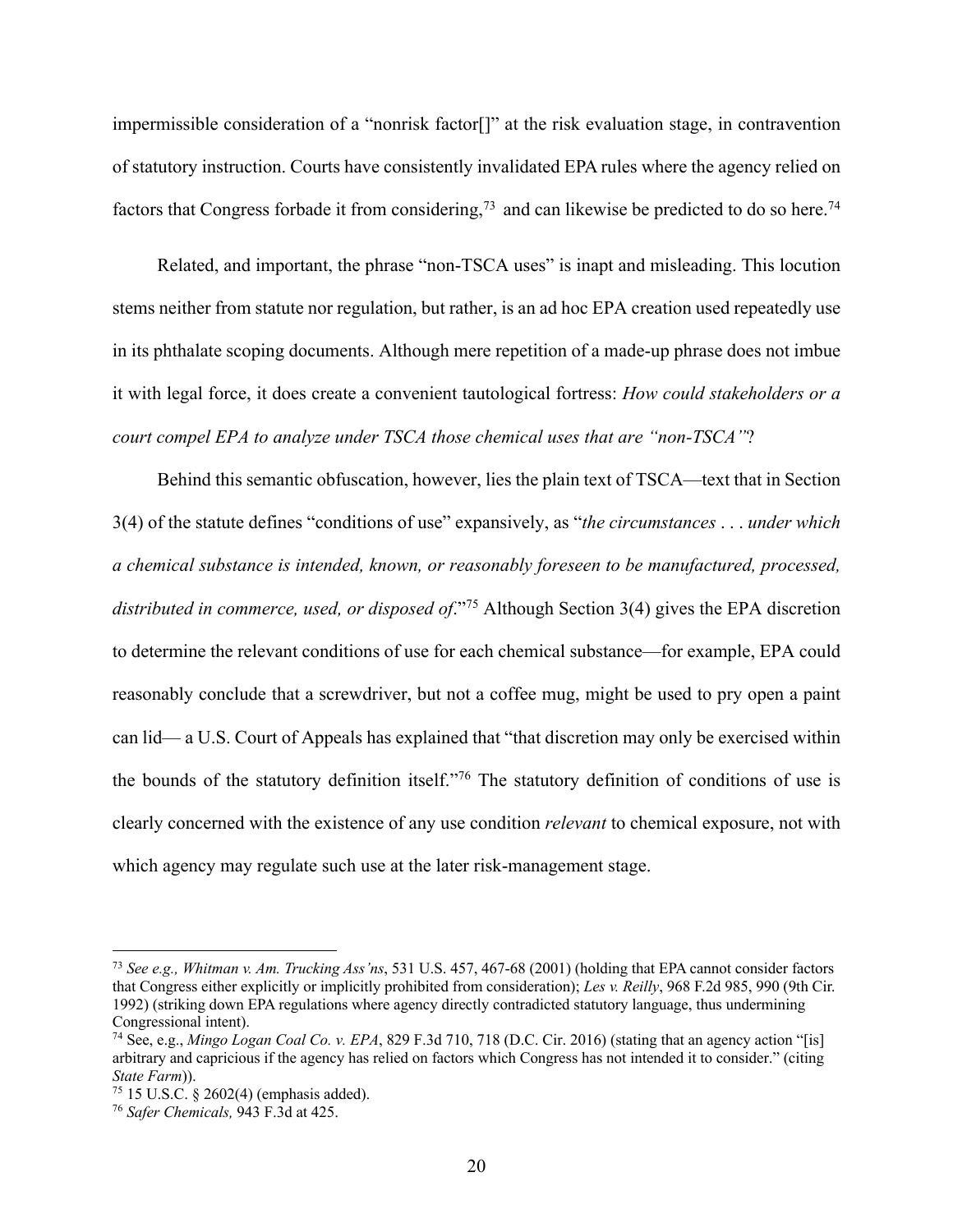impermissible consideration of a "nonrisk factor[]" at the risk evaluation stage, in contravention of statutory instruction. Courts have consistently invalidated EPA rules where the agency relied on factors that Congress forbade it from considering,<sup>73</sup> and can likewise be predicted to do so here.<sup>74</sup>

Related, and important, the phrase "non-TSCA uses" is inapt and misleading. This locution stems neither from statute nor regulation, but rather, is an ad hoc EPA creation used repeatedly use in its phthalate scoping documents. Although mere repetition of a made-up phrase does not imbue it with legal force, it does create a convenient tautological fortress: *How could stakeholders or a court compel EPA to analyze under TSCA those chemical uses that are "non-TSCA"*?

Behind this semantic obfuscation, however, lies the plain text of TSCA—text that in Section 3(4) of the statute defines "conditions of use" expansively, as "*the circumstances* . . . *under which a chemical substance is intended, known, or reasonably foreseen to be manufactured, processed, distributed in commerce, used, or disposed of*."75 Although Section 3(4) gives the EPA discretion to determine the relevant conditions of use for each chemical substance—for example, EPA could reasonably conclude that a screwdriver, but not a coffee mug, might be used to pry open a paint can lid— a U.S. Court of Appeals has explained that "that discretion may only be exercised within the bounds of the statutory definition itself."76 The statutory definition of conditions of use is clearly concerned with the existence of any use condition *relevant* to chemical exposure, not with which agency may regulate such use at the later risk-management stage.

<sup>73</sup> *See e.g., Whitman v. Am. Trucking Ass'ns*, 531 U.S. 457, 467-68 (2001) (holding that EPA cannot consider factors that Congress either explicitly or implicitly prohibited from consideration); *Les v. Reilly*, 968 F.2d 985, 990 (9th Cir. 1992) (striking down EPA regulations where agency directly contradicted statutory language, thus undermining Congressional intent).

<sup>74</sup> See, e.g., *Mingo Logan Coal Co. v. EPA*, 829 F.3d 710, 718 (D.C. Cir. 2016) (stating that an agency action "[is] arbitrary and capricious if the agency has relied on factors which Congress has not intended it to consider." (citing *State Farm*)).

<sup>75</sup> 15 U.S.C. § 2602(4) (emphasis added).

<sup>76</sup> *Safer Chemicals,* 943 F.3d at 425.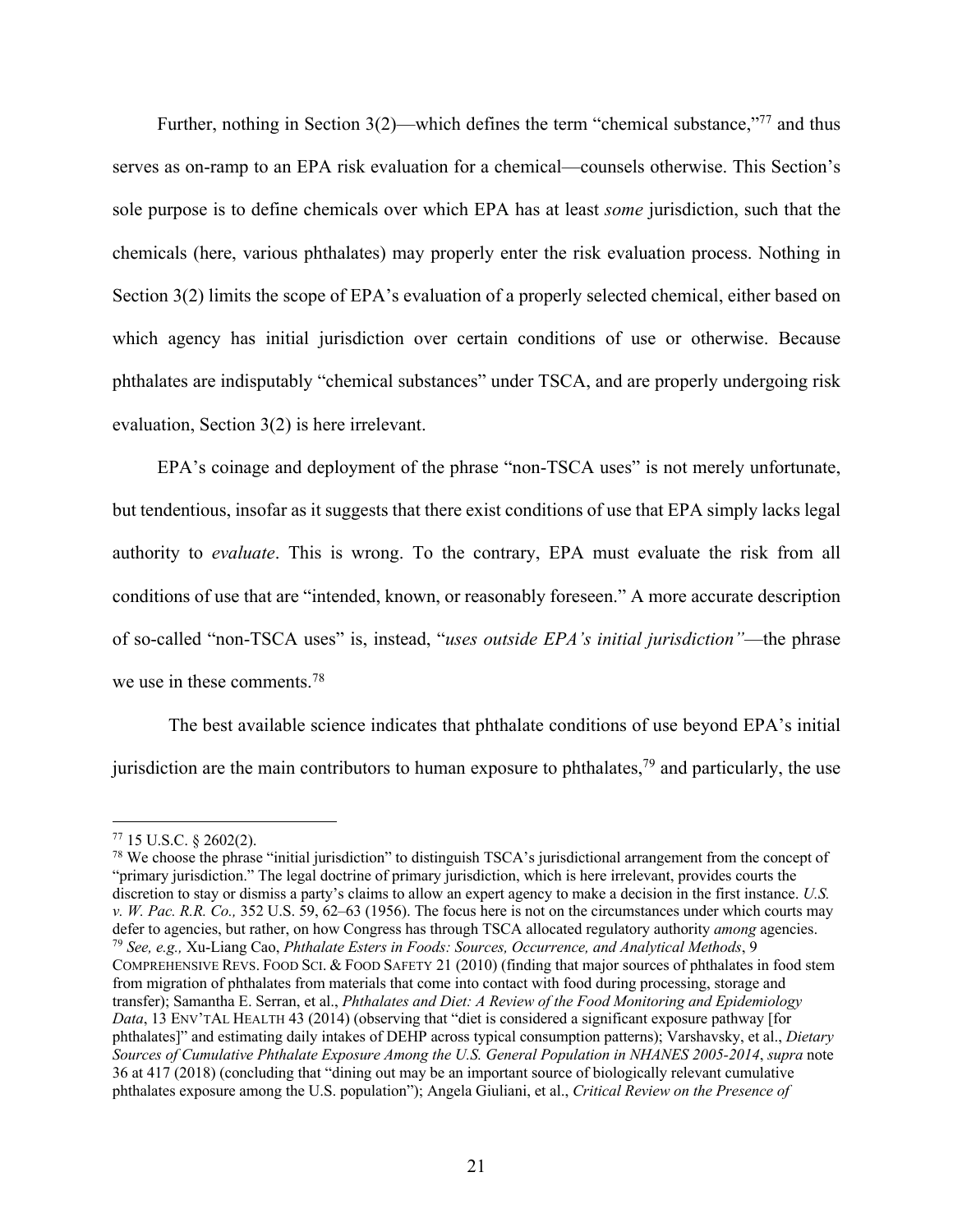Further, nothing in Section 3(2)—which defines the term "chemical substance,"<sup>77</sup> and thus serves as on-ramp to an EPA risk evaluation for a chemical—counsels otherwise. This Section's sole purpose is to define chemicals over which EPA has at least *some* jurisdiction, such that the chemicals (here, various phthalates) may properly enter the risk evaluation process. Nothing in Section 3(2) limits the scope of EPA's evaluation of a properly selected chemical, either based on which agency has initial jurisdiction over certain conditions of use or otherwise. Because phthalates are indisputably "chemical substances" under TSCA, and are properly undergoing risk evaluation, Section 3(2) is here irrelevant.

EPA's coinage and deployment of the phrase "non-TSCA uses" is not merely unfortunate, but tendentious, insofar as it suggests that there exist conditions of use that EPA simply lacks legal authority to *evaluate*. This is wrong. To the contrary, EPA must evaluate the risk from all conditions of use that are "intended, known, or reasonably foreseen." A more accurate description of so-called "non-TSCA uses" is, instead, "*uses outside EPA's initial jurisdiction"*—the phrase we use in these comments. 78

The best available science indicates that phthalate conditions of use beyond EPA's initial jurisdiction are the main contributors to human exposure to phthalates,<sup>79</sup> and particularly, the use

<sup>77</sup> 15 U.S.C. § 2602(2).

 $^{78}$  We choose the phrase "initial jurisdiction" to distinguish TSCA's jurisdictional arrangement from the concept of "primary jurisdiction." The legal doctrine of primary jurisdiction, which is here irrelevant, provides courts the discretion to stay or dismiss a party's claims to allow an expert agency to make a decision in the first instance. *U.S. v. W. Pac. R.R. Co.,* 352 U.S. 59, 62–63 (1956). The focus here is not on the circumstances under which courts may defer to agencies, but rather, on how Congress has through TSCA allocated regulatory authority *among* agencies. <sup>79</sup> *See, e.g.,* Xu-Liang Cao, *Phthalate Esters in Foods: Sources, Occurrence, and Analytical Methods*, 9 COMPREHENSIVE REVS. FOOD SCI. & FOOD SAFETY 21 (2010) (finding that major sources of phthalates in food stem from migration of phthalates from materials that come into contact with food during processing, storage and transfer); Samantha E. Serran, et al., *Phthalates and Diet: A Review of the Food Monitoring and Epidemiology Data*, 13 ENV'TAL HEALTH 43 (2014) (observing that "diet is considered a significant exposure pathway [for phthalates]" and estimating daily intakes of DEHP across typical consumption patterns); Varshavsky, et al., *Dietary Sources of Cumulative Phthalate Exposure Among the U.S. General Population in NHANES 2005-2014*, *supra* note 36 at 417 (2018) (concluding that "dining out may be an important source of biologically relevant cumulative phthalates exposure among the U.S. population"); Angela Giuliani, et al., *Critical Review on the Presence of*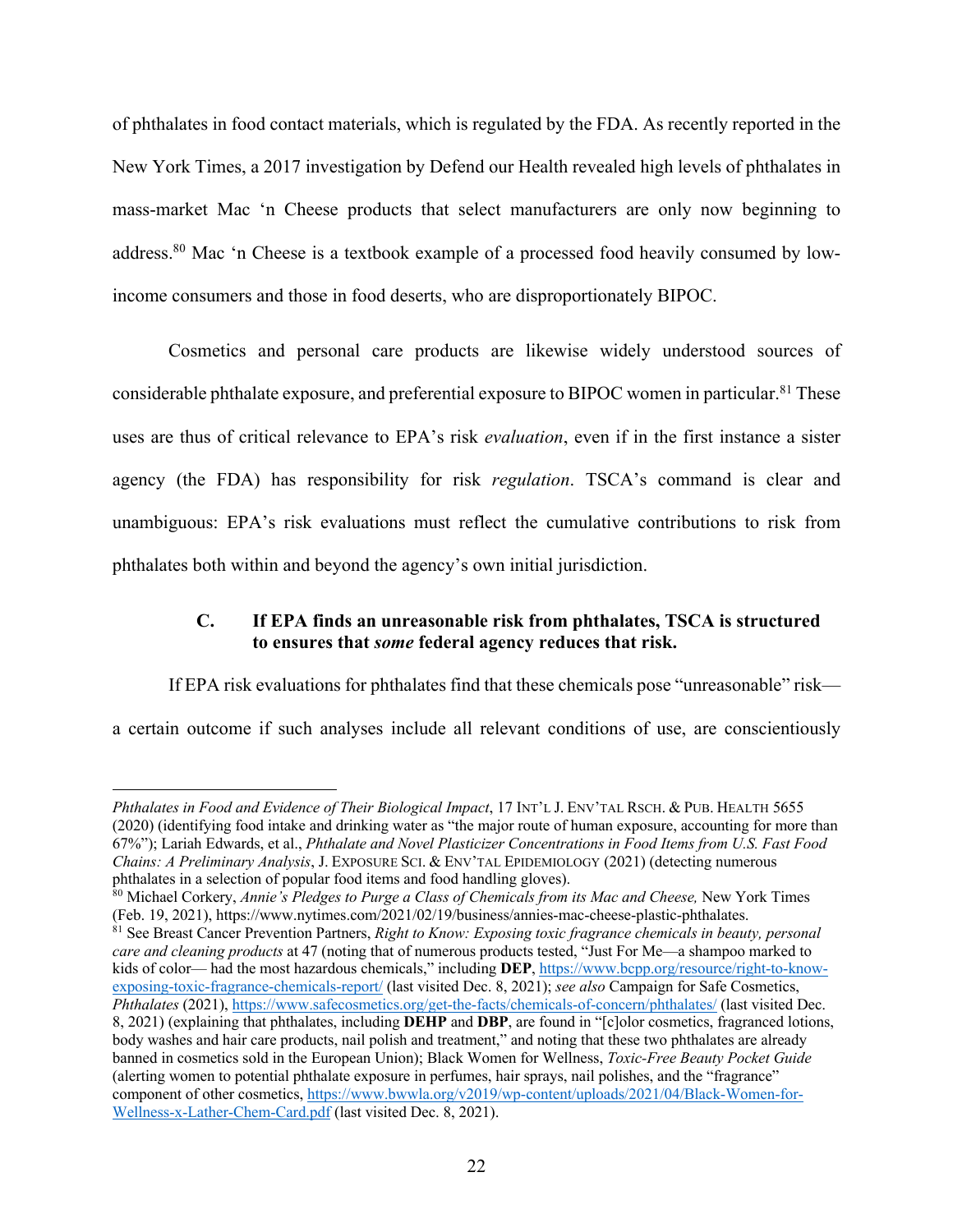of phthalates in food contact materials, which is regulated by the FDA. As recently reported in the New York Times, a 2017 investigation by Defend our Health revealed high levels of phthalates in mass-market Mac 'n Cheese products that select manufacturers are only now beginning to address.80 Mac 'n Cheese is a textbook example of a processed food heavily consumed by lowincome consumers and those in food deserts, who are disproportionately BIPOC.

Cosmetics and personal care products are likewise widely understood sources of considerable phthalate exposure, and preferential exposure to BIPOC women in particular.<sup>81</sup> These uses are thus of critical relevance to EPA's risk *evaluation*, even if in the first instance a sister agency (the FDA) has responsibility for risk *regulation*. TSCA's command is clear and unambiguous: EPA's risk evaluations must reflect the cumulative contributions to risk from phthalates both within and beyond the agency's own initial jurisdiction.

## **C. If EPA finds an unreasonable risk from phthalates, TSCA is structured to ensures that** *some* **federal agency reduces that risk.**

If EPA risk evaluations for phthalates find that these chemicals pose "unreasonable" risk—

a certain outcome if such analyses include all relevant conditions of use, are conscientiously

*Phthalates in Food and Evidence of Their Biological Impact*, 17 INT'L J. ENV'TAL RSCH. & PUB. HEALTH 5655 (2020) (identifying food intake and drinking water as "the major route of human exposure, accounting for more than 67%"); Lariah Edwards, et al., *Phthalate and Novel Plasticizer Concentrations in Food Items from U.S. Fast Food Chains: A Preliminary Analysis*, J. EXPOSURE SCI. & ENV'TAL EPIDEMIOLOGY (2021) (detecting numerous phthalates in a selection of popular food items and food handling gloves).

<sup>80</sup> Michael Corkery, *Annie's Pledges to Purge a Class of Chemicals from its Mac and Cheese,* New York Times (Feb. 19, 2021), https://www.nytimes.com/2021/02/19/business/annies-mac-cheese-plastic-phthalates.

<sup>81</sup> See Breast Cancer Prevention Partners, *Right to Know: Exposing toxic fragrance chemicals in beauty, personal care and cleaning products* at 47 (noting that of numerous products tested, "Just For Me—a shampoo marked to kids of color— had the most hazardous chemicals," including **DEP**, https://www.bcpp.org/resource/right-to-knowexposing-toxic-fragrance-chemicals-report/ (last visited Dec. 8, 2021); *see also* Campaign for Safe Cosmetics, *Phthalates* (2021), https://www.safecosmetics.org/get-the-facts/chemicals-of-concern/phthalates/ (last visited Dec. 8, 2021) (explaining that phthalates, including **DEHP** and **DBP**, are found in "[c]olor cosmetics, fragranced lotions, body washes and hair care products, nail polish and treatment," and noting that these two phthalates are already banned in cosmetics sold in the European Union); Black Women for Wellness, *Toxic-Free Beauty Pocket Guide*  (alerting women to potential phthalate exposure in perfumes, hair sprays, nail polishes, and the "fragrance" component of other cosmetics, https://www.bwwla.org/v2019/wp-content/uploads/2021/04/Black-Women-for-Wellness-x-Lather-Chem-Card.pdf (last visited Dec. 8, 2021).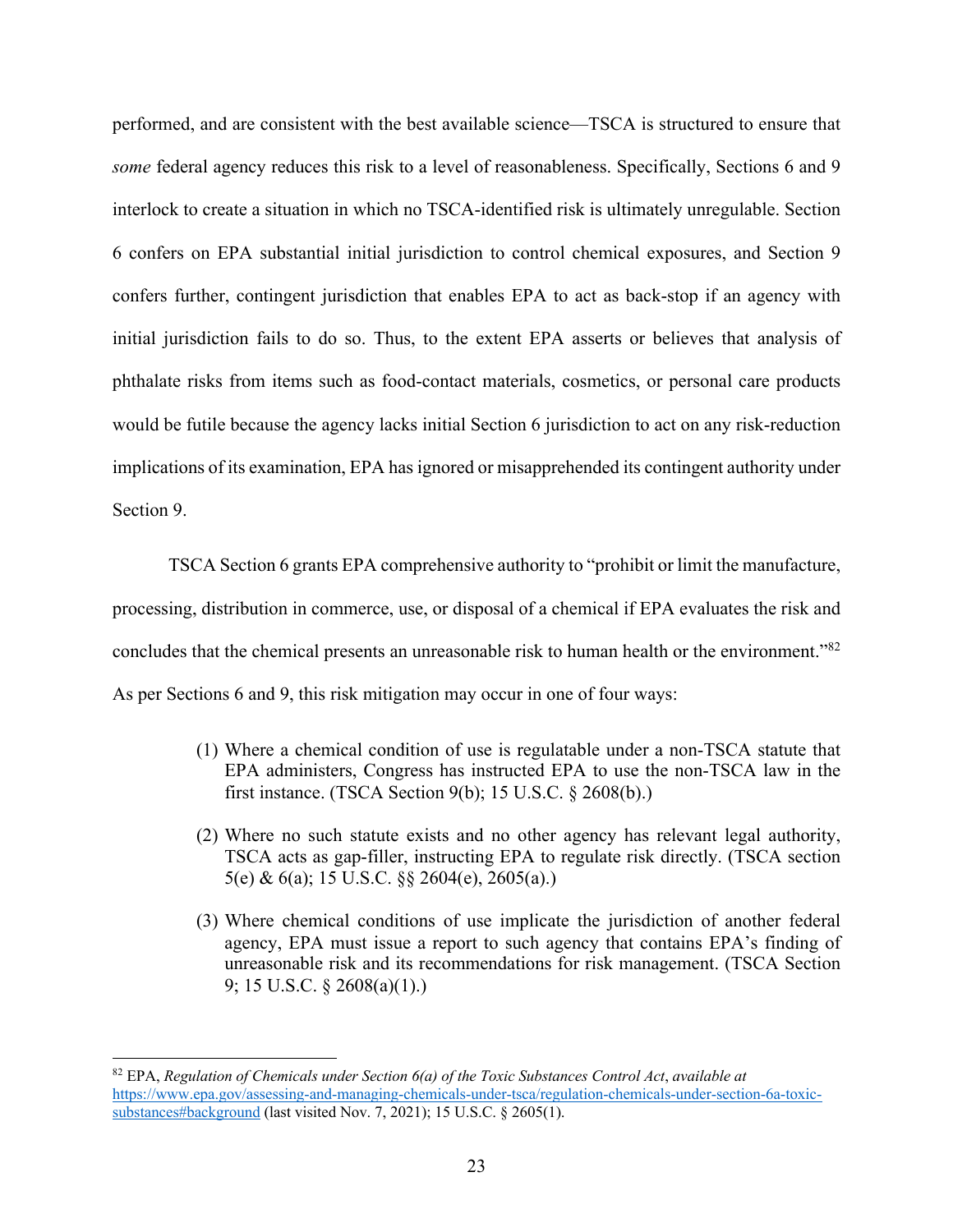performed, and are consistent with the best available science—TSCA is structured to ensure that *some* federal agency reduces this risk to a level of reasonableness. Specifically, Sections 6 and 9 interlock to create a situation in which no TSCA-identified risk is ultimately unregulable. Section 6 confers on EPA substantial initial jurisdiction to control chemical exposures, and Section 9 confers further, contingent jurisdiction that enables EPA to act as back-stop if an agency with initial jurisdiction fails to do so. Thus, to the extent EPA asserts or believes that analysis of phthalate risks from items such as food-contact materials, cosmetics, or personal care products would be futile because the agency lacks initial Section 6 jurisdiction to act on any risk-reduction implications of its examination, EPA has ignored or misapprehended its contingent authority under Section 9.

TSCA Section 6 grants EPA comprehensive authority to "prohibit or limit the manufacture, processing, distribution in commerce, use, or disposal of a chemical if EPA evaluates the risk and concludes that the chemical presents an unreasonable risk to human health or the environment."82 As per Sections 6 and 9, this risk mitigation may occur in one of four ways:

- (1) Where a chemical condition of use is regulatable under a non-TSCA statute that EPA administers, Congress has instructed EPA to use the non-TSCA law in the first instance. (TSCA Section 9(b); 15 U.S.C. § 2608(b).)
- (2) Where no such statute exists and no other agency has relevant legal authority, TSCA acts as gap-filler, instructing EPA to regulate risk directly. (TSCA section 5(e) & 6(a); 15 U.S.C. §§ 2604(e), 2605(a).)
- (3) Where chemical conditions of use implicate the jurisdiction of another federal agency, EPA must issue a report to such agency that contains EPA's finding of unreasonable risk and its recommendations for risk management. (TSCA Section 9; 15 U.S.C. § 2608(a)(1).)

<sup>82</sup> EPA, *Regulation of Chemicals under Section 6(a) of the Toxic Substances Control Act*, *available at* https://www.epa.gov/assessing-and-managing-chemicals-under-tsca/regulation-chemicals-under-section-6a-toxicsubstances#background (last visited Nov. 7, 2021); 15 U.S.C. § 2605(1).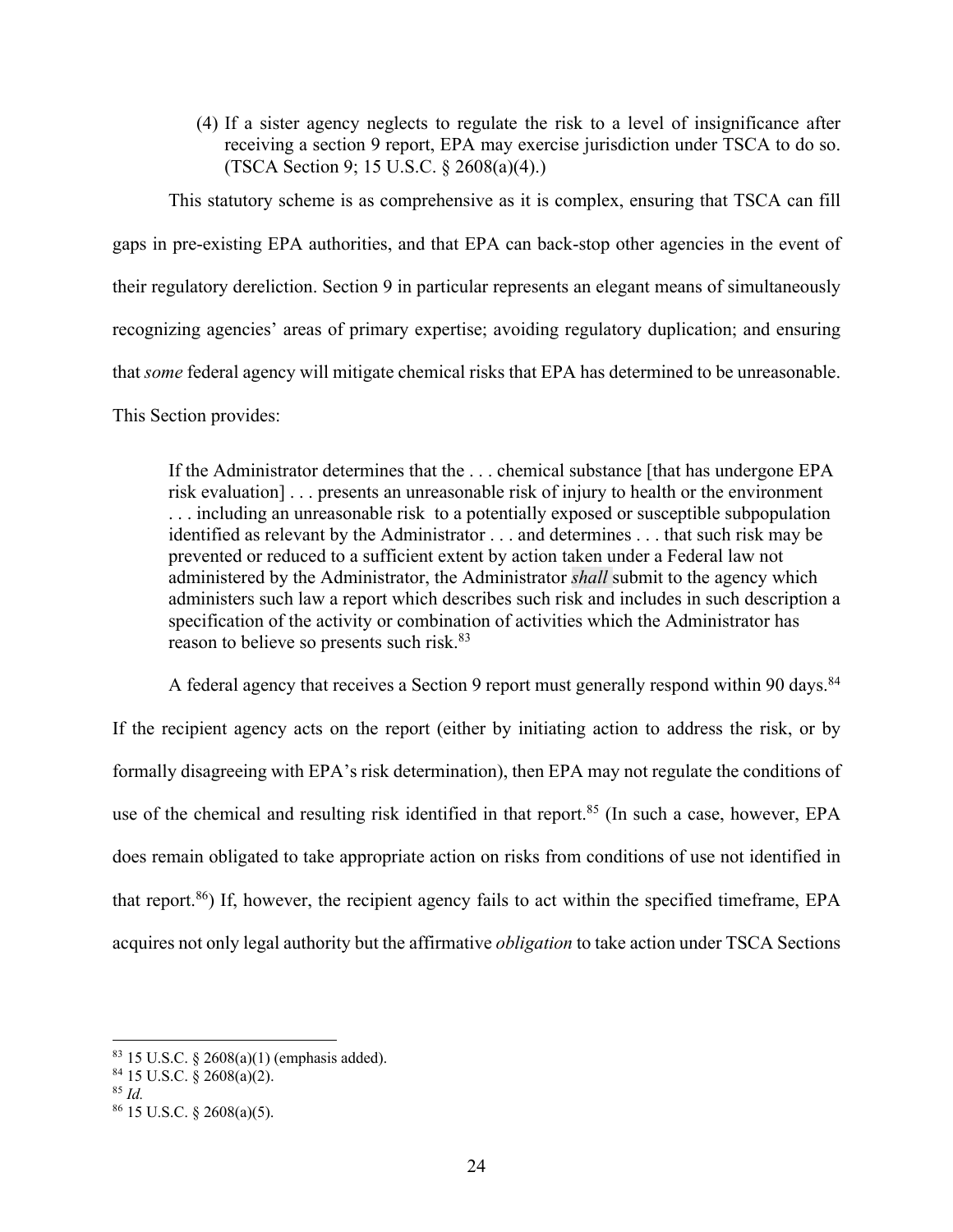(4) If a sister agency neglects to regulate the risk to a level of insignificance after receiving a section 9 report, EPA may exercise jurisdiction under TSCA to do so. (TSCA Section 9; 15 U.S.C. § 2608(a)(4).)

This statutory scheme is as comprehensive as it is complex, ensuring that TSCA can fill gaps in pre-existing EPA authorities, and that EPA can back-stop other agencies in the event of their regulatory dereliction. Section 9 in particular represents an elegant means of simultaneously recognizing agencies' areas of primary expertise; avoiding regulatory duplication; and ensuring that *some* federal agency will mitigate chemical risks that EPA has determined to be unreasonable. This Section provides:

If the Administrator determines that the . . . chemical substance [that has undergone EPA risk evaluation] . . . presents an unreasonable risk of injury to health or the environment . . . including an unreasonable risk to a potentially exposed or susceptible subpopulation identified as relevant by the Administrator . . . and determines . . . that such risk may be prevented or reduced to a sufficient extent by action taken under a Federal law not administered by the Administrator, the Administrator *shall* submit to the agency which administers such law a report which describes such risk and includes in such description a specification of the activity or combination of activities which the Administrator has reason to believe so presents such risk.<sup>83</sup>

A federal agency that receives a Section 9 report must generally respond within 90 days.<sup>84</sup> If the recipient agency acts on the report (either by initiating action to address the risk, or by formally disagreeing with EPA's risk determination), then EPA may not regulate the conditions of use of the chemical and resulting risk identified in that report. <sup>85</sup> (In such a case, however, EPA does remain obligated to take appropriate action on risks from conditions of use not identified in that report. $86$ ) If, however, the recipient agency fails to act within the specified timeframe, EPA acquires not only legal authority but the affirmative *obligation* to take action under TSCA Sections

 $83$  15 U.S.C.  $\S$  2608(a)(1) (emphasis added).

<sup>84</sup> 15 U.S.C. § 2608(a)(2).

<sup>85</sup> *Id.*

 $86$  15 U.S.C. § 2608(a)(5).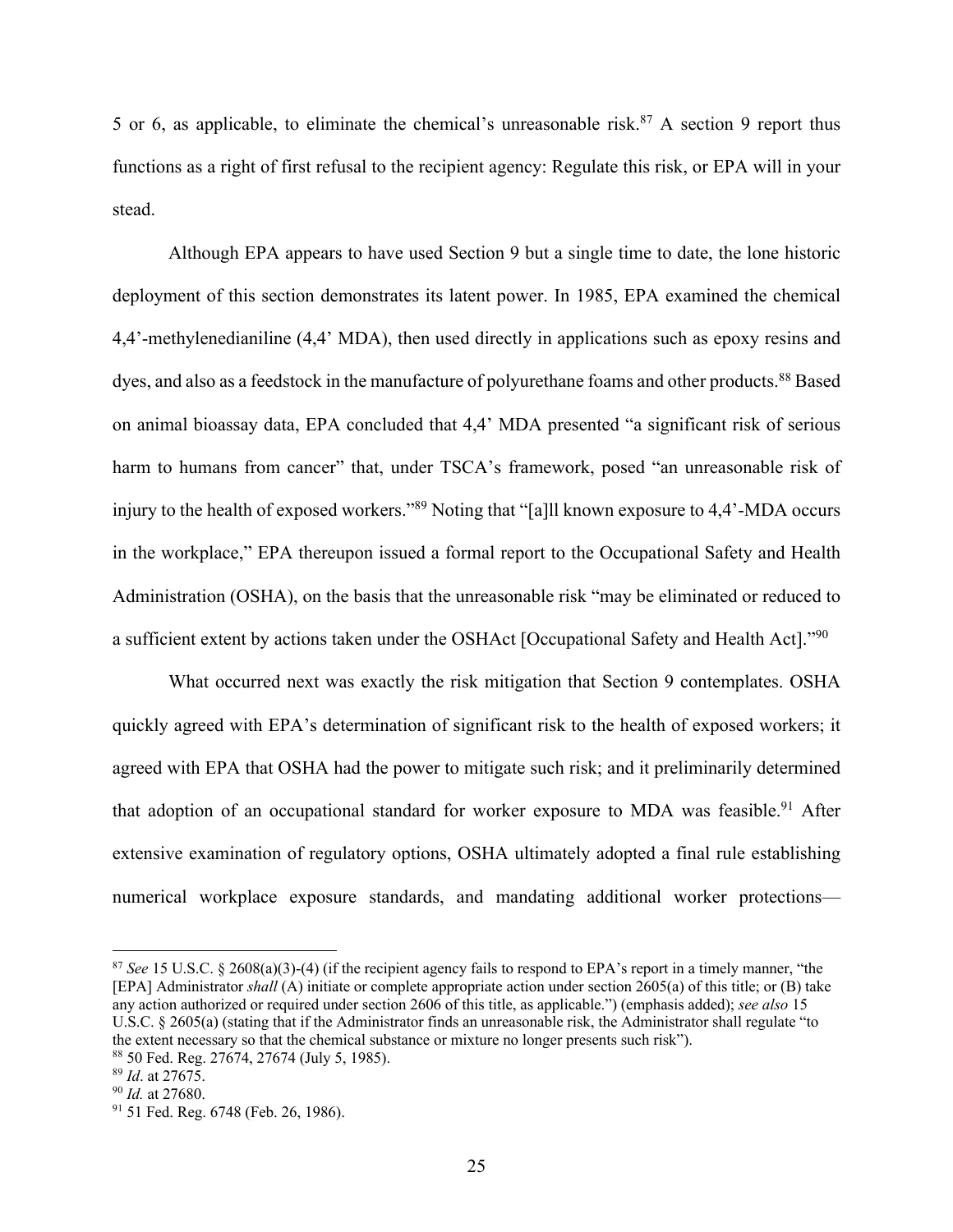5 or 6, as applicable, to eliminate the chemical's unreasonable risk.<sup>87</sup> A section 9 report thus functions as a right of first refusal to the recipient agency: Regulate this risk, or EPA will in your stead.

Although EPA appears to have used Section 9 but a single time to date, the lone historic deployment of this section demonstrates its latent power. In 1985, EPA examined the chemical 4,4'-methylenedianiline (4,4' MDA), then used directly in applications such as epoxy resins and dyes, and also as a feedstock in the manufacture of polyurethane foams and other products.<sup>88</sup> Based on animal bioassay data, EPA concluded that 4,4' MDA presented "a significant risk of serious harm to humans from cancer" that, under TSCA's framework, posed "an unreasonable risk of injury to the health of exposed workers."89 Noting that "[a]ll known exposure to 4,4'-MDA occurs in the workplace," EPA thereupon issued a formal report to the Occupational Safety and Health Administration (OSHA), on the basis that the unreasonable risk "may be eliminated or reduced to a sufficient extent by actions taken under the OSHAct [Occupational Safety and Health Act]."90

What occurred next was exactly the risk mitigation that Section 9 contemplates. OSHA quickly agreed with EPA's determination of significant risk to the health of exposed workers; it agreed with EPA that OSHA had the power to mitigate such risk; and it preliminarily determined that adoption of an occupational standard for worker exposure to MDA was feasible.<sup>91</sup> After extensive examination of regulatory options, OSHA ultimately adopted a final rule establishing numerical workplace exposure standards, and mandating additional worker protections—

<sup>87</sup> *See* 15 U.S.C. § 2608(a)(3)-(4) (if the recipient agency fails to respond to EPA's report in a timely manner, "the [EPA] Administrator *shall* (A) initiate or complete appropriate action under section 2605(a) of this title; or (B) take any action authorized or required under section 2606 of this title, as applicable.") (emphasis added); *see also* 15 U.S.C. § 2605(a) (stating that if the Administrator finds an unreasonable risk, the Administrator shall regulate "to the extent necessary so that the chemical substance or mixture no longer presents such risk"). <sup>88</sup> 50 Fed. Reg. 27674, 27674 (July 5, 1985).

<sup>89</sup> *Id*. at 27675.

<sup>90</sup> *Id.* at 27680.

<sup>&</sup>lt;sup>91</sup> 51 Fed. Reg. 6748 (Feb. 26, 1986).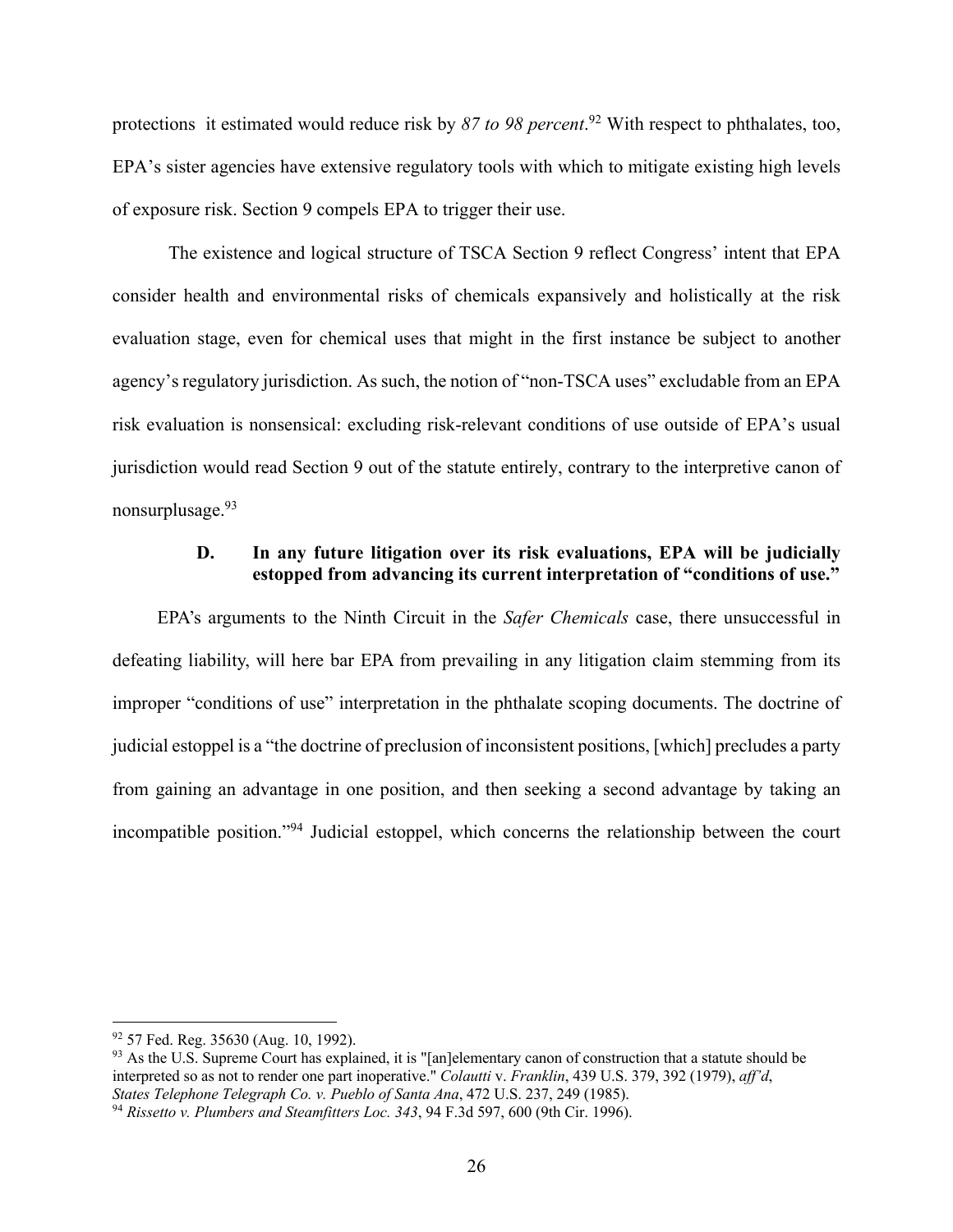protections it estimated would reduce risk by *87 to 98 percent*. <sup>92</sup> With respect to phthalates, too, EPA's sister agencies have extensive regulatory tools with which to mitigate existing high levels of exposure risk. Section 9 compels EPA to trigger their use.

The existence and logical structure of TSCA Section 9 reflect Congress' intent that EPA consider health and environmental risks of chemicals expansively and holistically at the risk evaluation stage, even for chemical uses that might in the first instance be subject to another agency's regulatory jurisdiction. As such, the notion of "non-TSCA uses" excludable from an EPA risk evaluation is nonsensical: excluding risk-relevant conditions of use outside of EPA's usual jurisdiction would read Section 9 out of the statute entirely, contrary to the interpretive canon of nonsurplusage.93

#### **D. In any future litigation over its risk evaluations, EPA will be judicially estopped from advancing its current interpretation of "conditions of use."**

EPA's arguments to the Ninth Circuit in the *Safer Chemicals* case, there unsuccessful in defeating liability, will here bar EPA from prevailing in any litigation claim stemming from its improper "conditions of use" interpretation in the phthalate scoping documents. The doctrine of judicial estoppel is a "the doctrine of preclusion of inconsistent positions, [which] precludes a party from gaining an advantage in one position, and then seeking a second advantage by taking an incompatible position."94 Judicial estoppel, which concerns the relationship between the court

<sup>92</sup> 57 Fed. Reg. 35630 (Aug. 10, 1992).

<sup>&</sup>lt;sup>93</sup> As the U.S. Supreme Court has explained, it is "[an]elementary canon of construction that a statute should be interpreted so as not to render one part inoperative." *Colautti* v. *Franklin*, 439 U.S. 379, 392 (1979), *aff'd*, *States Telephone Telegraph Co. v. Pueblo of Santa Ana*, 472 U.S. 237, 249 (1985).

<sup>94</sup> *Rissetto v. Plumbers and Steamfitters Loc. 343*, 94 F.3d 597, 600 (9th Cir. 1996).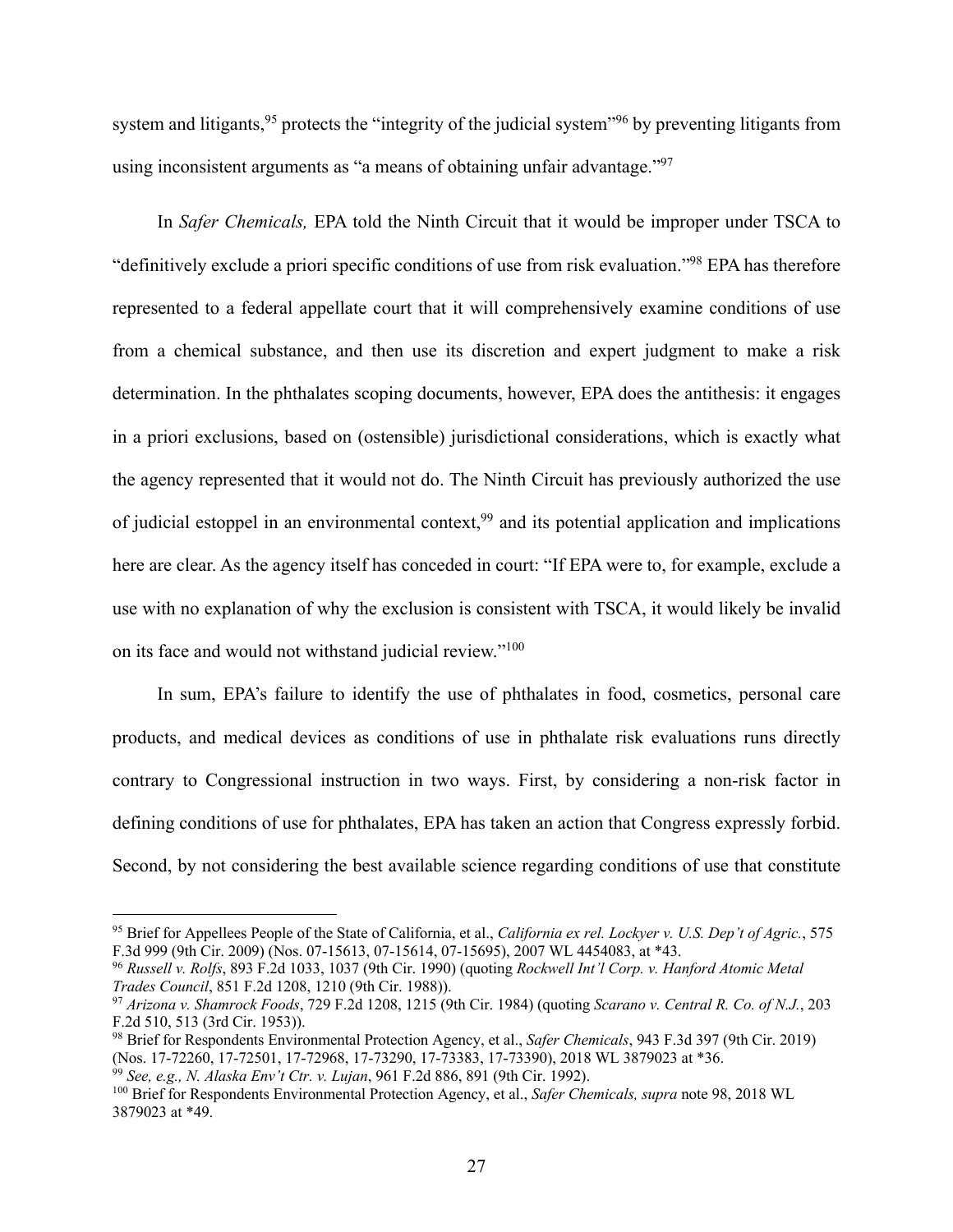system and litigants,<sup>95</sup> protects the "integrity of the judicial system"<sup>96</sup> by preventing litigants from using inconsistent arguments as "a means of obtaining unfair advantage."97

In *Safer Chemicals,* EPA told the Ninth Circuit that it would be improper under TSCA to "definitively exclude a priori specific conditions of use from risk evaluation."98 EPA has therefore represented to a federal appellate court that it will comprehensively examine conditions of use from a chemical substance, and then use its discretion and expert judgment to make a risk determination. In the phthalates scoping documents, however, EPA does the antithesis: it engages in a priori exclusions, based on (ostensible) jurisdictional considerations, which is exactly what the agency represented that it would not do. The Ninth Circuit has previously authorized the use of judicial estoppel in an environmental context,<sup>99</sup> and its potential application and implications here are clear. As the agency itself has conceded in court: "If EPA were to, for example, exclude a use with no explanation of why the exclusion is consistent with TSCA, it would likely be invalid on its face and would not withstand judicial review."100

In sum, EPA's failure to identify the use of phthalates in food, cosmetics, personal care products, and medical devices as conditions of use in phthalate risk evaluations runs directly contrary to Congressional instruction in two ways. First, by considering a non-risk factor in defining conditions of use for phthalates, EPA has taken an action that Congress expressly forbid. Second, by not considering the best available science regarding conditions of use that constitute

<sup>95</sup> Brief for Appellees People of the State of California, et al., *California ex rel. Lockyer v. U.S. Dep't of Agric.*, 575 F.3d 999 (9th Cir. 2009) (Nos. 07-15613, 07-15614, 07-15695), 2007 WL 4454083, at \*43.

<sup>96</sup> *Russell v. Rolfs*, 893 F.2d 1033, 1037 (9th Cir. 1990) (quoting *Rockwell Int'l Corp. v. Hanford Atomic Metal Trades Council*, 851 F.2d 1208, 1210 (9th Cir. 1988)).

<sup>97</sup> *Arizona v. Shamrock Foods*, 729 F.2d 1208, 1215 (9th Cir. 1984) (quoting *Scarano v. Central R. Co. of N.J.*, 203 F.2d 510, 513 (3rd Cir. 1953)).

<sup>98</sup> Brief for Respondents Environmental Protection Agency, et al., *Safer Chemicals*, 943 F.3d 397 (9th Cir. 2019) (Nos. 17-72260, 17-72501, 17-72968, 17-73290, 17-73383, 17-73390), 2018 WL 3879023 at \*36.

<sup>99</sup> *See, e.g., N. Alaska Env't Ctr. v. Lujan*, 961 F.2d 886, 891 (9th Cir. 1992).

<sup>100</sup> Brief for Respondents Environmental Protection Agency, et al., *Safer Chemicals, supra* note 98, 2018 WL 3879023 at \*49.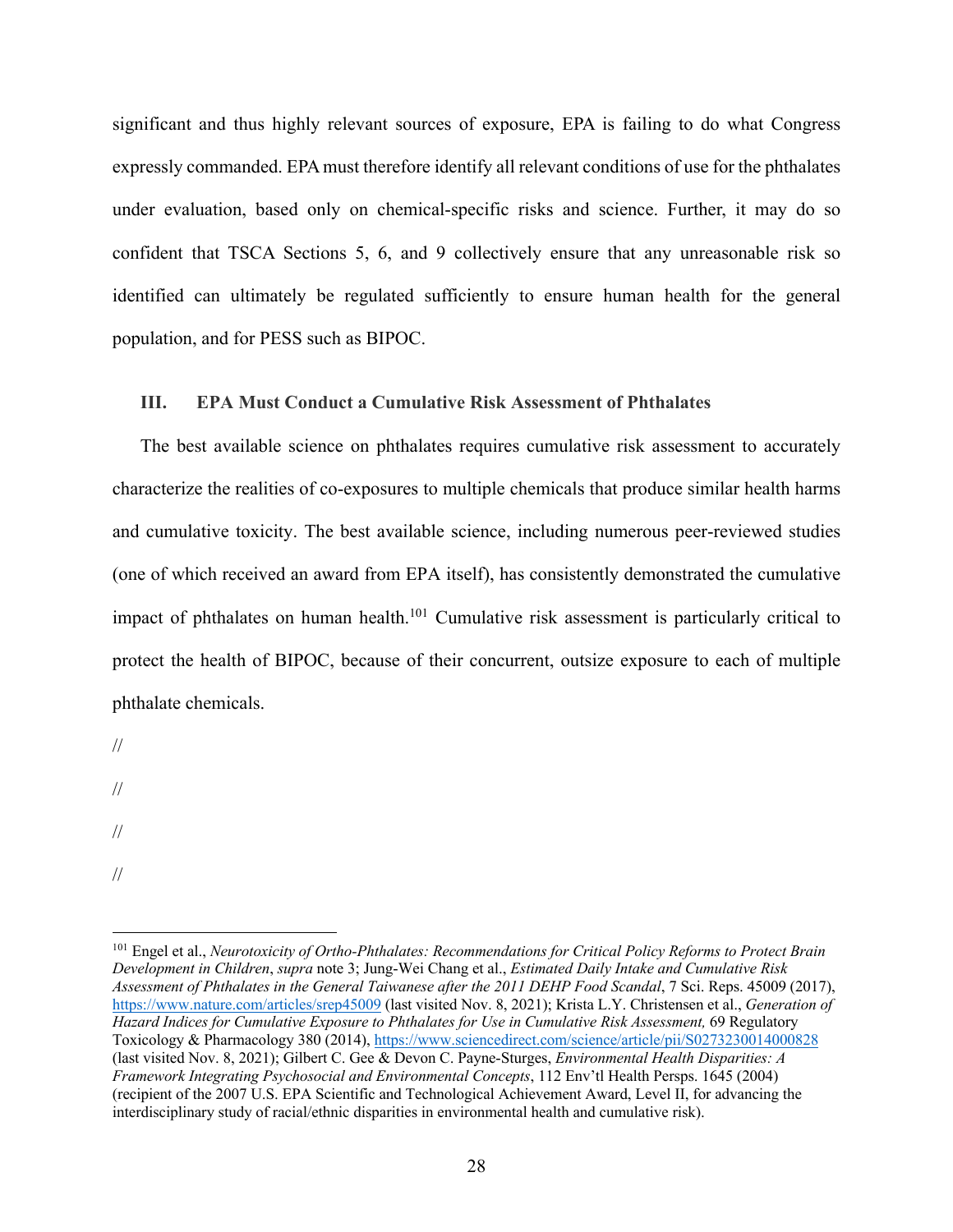significant and thus highly relevant sources of exposure, EPA is failing to do what Congress expressly commanded. EPA must therefore identify all relevant conditions of use for the phthalates under evaluation, based only on chemical-specific risks and science. Further, it may do so confident that TSCA Sections 5, 6, and 9 collectively ensure that any unreasonable risk so identified can ultimately be regulated sufficiently to ensure human health for the general population, and for PESS such as BIPOC.

### **III. EPA Must Conduct a Cumulative Risk Assessment of Phthalates**

The best available science on phthalates requires cumulative risk assessment to accurately characterize the realities of co-exposures to multiple chemicals that produce similar health harms and cumulative toxicity. The best available science, including numerous peer-reviewed studies (one of which received an award from EPA itself), has consistently demonstrated the cumulative impact of phthalates on human health.<sup>101</sup> Cumulative risk assessment is particularly critical to protect the health of BIPOC, because of their concurrent, outsize exposure to each of multiple phthalate chemicals.

//

//

//

//

<sup>101</sup> Engel et al., *Neurotoxicity of Ortho-Phthalates: Recommendations for Critical Policy Reforms to Protect Brain Development in Children*, *supra* note 3; Jung-Wei Chang et al., *Estimated Daily Intake and Cumulative Risk Assessment of Phthalates in the General Taiwanese after the 2011 DEHP Food Scandal*, 7 Sci. Reps. 45009 (2017), https://www.nature.com/articles/srep45009 (last visited Nov. 8, 2021); Krista L.Y. Christensen et al., *Generation of Hazard Indices for Cumulative Exposure to Phthalates for Use in Cumulative Risk Assessment, 69 Regulatory* Toxicology & Pharmacology 380 (2014), https://www.sciencedirect.com/science/article/pii/S0273230014000828 (last visited Nov. 8, 2021); Gilbert C. Gee & Devon C. Payne-Sturges, *Environmental Health Disparities: A Framework Integrating Psychosocial and Environmental Concepts*, 112 Env'tl Health Persps. 1645 (2004) (recipient of the 2007 U.S. EPA Scientific and Technological Achievement Award, Level II, for advancing the interdisciplinary study of racial/ethnic disparities in environmental health and cumulative risk).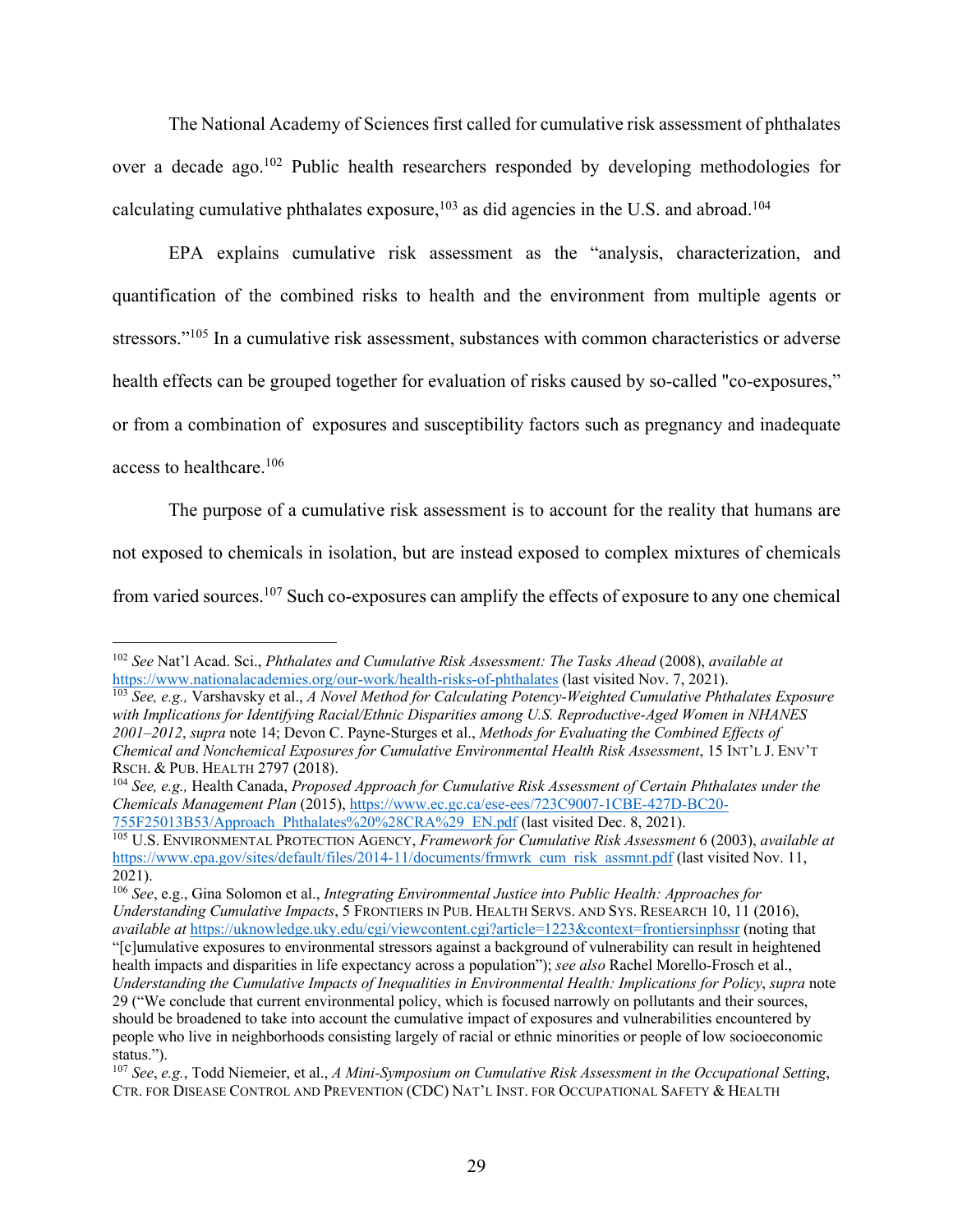The National Academy of Sciences first called for cumulative risk assessment of phthalates over a decade ago.102 Public health researchers responded by developing methodologies for calculating cumulative phthalates exposure, $103$  as did agencies in the U.S. and abroad.<sup>104</sup>

EPA explains cumulative risk assessment as the "analysis, characterization, and quantification of the combined risks to health and the environment from multiple agents or stressors."<sup>105</sup> In a cumulative risk assessment, substances with common characteristics or adverse health effects can be grouped together for evaluation of risks caused by so-called "co-exposures," or from a combination of exposures and susceptibility factors such as pregnancy and inadequate access to healthcare.106

The purpose of a cumulative risk assessment is to account for the reality that humans are not exposed to chemicals in isolation, but are instead exposed to complex mixtures of chemicals from varied sources.107 Such co-exposures can amplify the effects of exposure to any one chemical

<sup>102</sup> *See* Nat'l Acad. Sci., *Phthalates and Cumulative Risk Assessment: The Tasks Ahead* (2008), *available at* https://www.nationalacademies.org/our-work/health-risks-of-phthalates (last visited Nov. 7, 2021).

<sup>103</sup> *See, e.g.,* Varshavsky et al., *A Novel Method for Calculating Potency-Weighted Cumulative Phthalates Exposure with Implications for Identifying Racial/Ethnic Disparities among U.S. Reproductive-Aged Women in NHANES 2001–2012*, *supra* note 14; Devon C. Payne-Sturges et al., *Methods for Evaluating the Combined Effects of Chemical and Nonchemical Exposures for Cumulative Environmental Health Risk Assessment*, 15 INT'L J. ENV'T RSCH. & PUB. HEALTH 2797 (2018).

<sup>104</sup> *See, e.g.,* Health Canada, *Proposed Approach for Cumulative Risk Assessment of Certain Phthalates under the Chemicals Management Plan* (2015), https://www.ec.gc.ca/ese-ees/723C9007-1CBE-427D-BC20- 755F25013B53/Approach\_Phthalates%20%28CRA%29\_EN.pdf (last visited Dec. 8, 2021).

<sup>105</sup> U.S. ENVIRONMENTAL PROTECTION AGENCY, *Framework for Cumulative Risk Assessment* 6 (2003), *available at*  https://www.epa.gov/sites/default/files/2014-11/documents/frmwrk\_cum\_risk\_assmnt.pdf (last visited Nov. 11, 2021).

<sup>106</sup> *See*, e.g., Gina Solomon et al., *Integrating Environmental Justice into Public Health: Approaches for Understanding Cumulative Impacts*, 5 FRONTIERS IN PUB. HEALTH SERVS. AND SYS. RESEARCH 10, 11 (2016), *available at* https://uknowledge.uky.edu/cgi/viewcontent.cgi?article=1223&context=frontiersinphssr (noting that "[c]umulative exposures to environmental stressors against a background of vulnerability can result in heightened

health impacts and disparities in life expectancy across a population"); *see also* Rachel Morello-Frosch et al., *Understanding the Cumulative Impacts of Inequalities in Environmental Health: Implications for Policy*, *supra* note 29 ("We conclude that current environmental policy, which is focused narrowly on pollutants and their sources, should be broadened to take into account the cumulative impact of exposures and vulnerabilities encountered by people who live in neighborhoods consisting largely of racial or ethnic minorities or people of low socioeconomic status.").

<sup>107</sup> *See*, *e.g.*, Todd Niemeier, et al., *A Mini-Symposium on Cumulative Risk Assessment in the Occupational Setting*, CTR. FOR DISEASE CONTROL AND PREVENTION (CDC) NAT'L INST. FOR OCCUPATIONAL SAFETY & HEALTH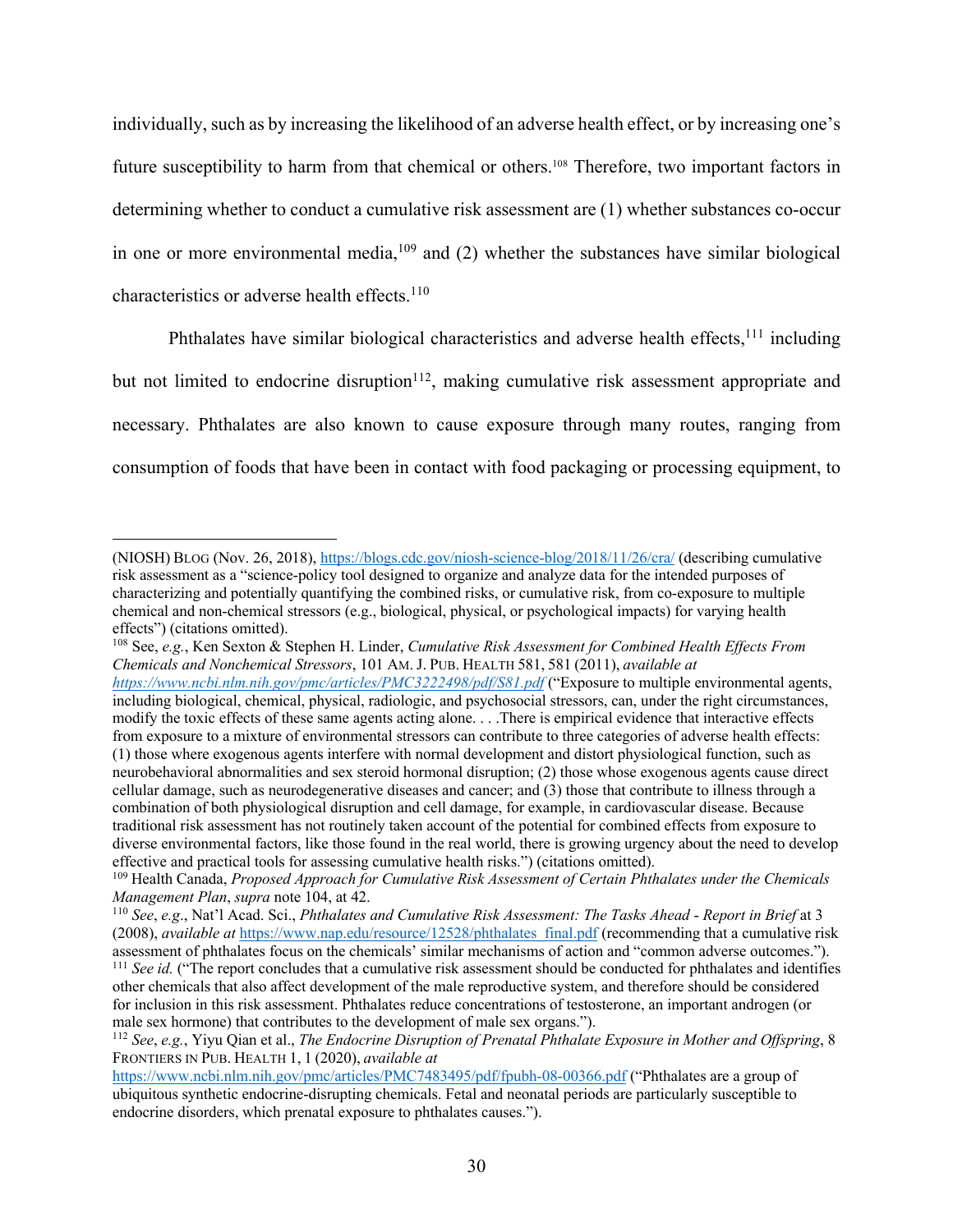individually, such as by increasing the likelihood of an adverse health effect, or by increasing one's future susceptibility to harm from that chemical or others.108 Therefore, two important factors in determining whether to conduct a cumulative risk assessment are (1) whether substances co-occur in one or more environmental media, $109$  and (2) whether the substances have similar biological characteristics or adverse health effects.<sup>110</sup>

Phthalates have similar biological characteristics and adverse health effects,  $111$  including but not limited to endocrine disruption $112$ , making cumulative risk assessment appropriate and necessary. Phthalates are also known to cause exposure through many routes, ranging from consumption of foods that have been in contact with food packaging or processing equipment, to

<sup>(</sup>NIOSH) BLOG (Nov. 26, 2018), https://blogs.cdc.gov/niosh-science-blog/2018/11/26/cra/ (describing cumulative risk assessment as a "science-policy tool designed to organize and analyze data for the intended purposes of characterizing and potentially quantifying the combined risks, or cumulative risk, from co-exposure to multiple chemical and non-chemical stressors (e.g., biological, physical, or psychological impacts) for varying health effects") (citations omitted).

<sup>108</sup> See, *e.g.*, Ken Sexton & Stephen H. Linder, *Cumulative Risk Assessment for Combined Health Effects From Chemicals and Nonchemical Stressors*, 101 AM. J. PUB. HEALTH 581, 581 (2011), *available at https://www.ncbi.nlm.nih.gov/pmc/articles/PMC3222498/pdf/S81.pdf* ("Exposure to multiple environmental agents, including biological, chemical, physical, radiologic, and psychosocial stressors, can, under the right circumstances, modify the toxic effects of these same agents acting alone. . . .There is empirical evidence that interactive effects from exposure to a mixture of environmental stressors can contribute to three categories of adverse health effects: (1) those where exogenous agents interfere with normal development and distort physiological function, such as neurobehavioral abnormalities and sex steroid hormonal disruption; (2) those whose exogenous agents cause direct cellular damage, such as neurodegenerative diseases and cancer; and (3) those that contribute to illness through a combination of both physiological disruption and cell damage, for example, in cardiovascular disease. Because traditional risk assessment has not routinely taken account of the potential for combined effects from exposure to diverse environmental factors, like those found in the real world, there is growing urgency about the need to develop

effective and practical tools for assessing cumulative health risks.") (citations omitted).<br><sup>109</sup> Health Canada, *Proposed Approach for Cumulative Risk Assessment of Certain Phthalates under the Chemicals Management Plan*, *supra* note 104, at 42.

<sup>110</sup> *See*, *e.g*., Nat'l Acad. Sci., *Phthalates and Cumulative Risk Assessment: The Tasks Ahead* - *Report in Brief* at 3 (2008), *available at https://www.nap.edu/resource/12528/phthalates\_final.pdf* (recommending that a cumulative risk assessment of phthalates focus on the chemicals' similar mechanisms of action and "common adverse outcomes  $^{111}$  See id. ("The report concludes that a cumulative risk assessment should be conducted for phthalates and identifies other chemicals that also affect development of the male reproductive system, and therefore should be considered for inclusion in this risk assessment. Phthalates reduce concentrations of testosterone, an important androgen (or male sex hormone) that contributes to the development of male sex organs.").

<sup>112</sup> *See*, *e.g.*, Yiyu Qian et al., *The Endocrine Disruption of Prenatal Phthalate Exposure in Mother and Offspring*, 8 FRONTIERS IN PUB. HEALTH 1, 1 (2020), *available at* 

https://www.ncbi.nlm.nih.gov/pmc/articles/PMC7483495/pdf/fpubh-08-00366.pdf ("Phthalates are a group of ubiquitous synthetic endocrine-disrupting chemicals. Fetal and neonatal periods are particularly susceptible to endocrine disorders, which prenatal exposure to phthalates causes.").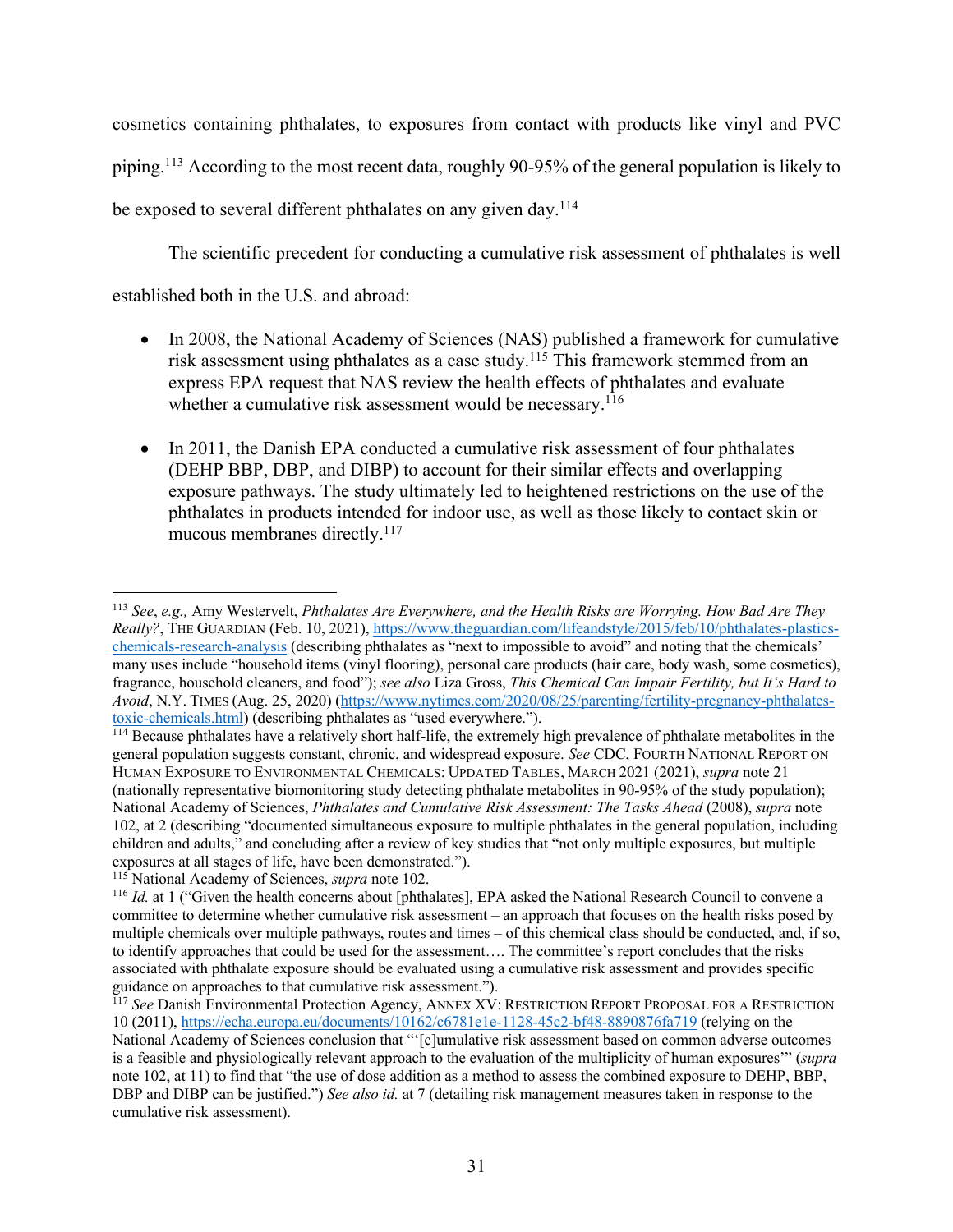cosmetics containing phthalates, to exposures from contact with products like vinyl and PVC piping.113 According to the most recent data, roughly 90-95% of the general population is likely to be exposed to several different phthalates on any given day.<sup>114</sup>

The scientific precedent for conducting a cumulative risk assessment of phthalates is well

established both in the U.S. and abroad:

- In 2008, the National Academy of Sciences (NAS) published a framework for cumulative risk assessment using phthalates as a case study.<sup>115</sup> This framework stemmed from an express EPA request that NAS review the health effects of phthalates and evaluate whether a cumulative risk assessment would be necessary.<sup>116</sup>
- In 2011, the Danish EPA conducted a cumulative risk assessment of four phthalates (DEHP BBP, DBP, and DIBP) to account for their similar effects and overlapping exposure pathways. The study ultimately led to heightened restrictions on the use of the phthalates in products intended for indoor use, as well as those likely to contact skin or mucous membranes directly.<sup>117</sup>

<sup>113</sup> *See*, *e.g.,* Amy Westervelt, *Phthalates Are Everywhere, and the Health Risks are Worrying. How Bad Are They Really?*, THE GUARDIAN (Feb. 10, 2021), https://www.theguardian.com/lifeandstyle/2015/feb/10/phthalates-plasticschemicals-research-analysis (describing phthalates as "next to impossible to avoid" and noting that the chemicals' many uses include "household items (vinyl flooring), personal care products (hair care, body wash, some cosmetics), fragrance, household cleaners, and food"); *see also* Liza Gross, *This Chemical Can Impair Fertility, but It's Hard to Avoid*, N.Y. TIMES (Aug. 25, 2020) (https://www.nytimes.com/2020/08/25/parenting/fertility-pregnancy-phthalatestoxic-chemicals.html) (describing phthalates as "used everywhere.").

<sup>&</sup>lt;sup>114</sup> Because phthalates have a relatively short half-life, the extremely high prevalence of phthalate metabolites in the general population suggests constant, chronic, and widespread exposure. *See* CDC, FOURTH NATIONAL REPORT ON HUMAN EXPOSURE TO ENVIRONMENTAL CHEMICALS: UPDATED TABLES, MARCH 2021 (2021), *supra* note 21 (nationally representative biomonitoring study detecting phthalate metabolites in 90-95% of the study population); National Academy of Sciences, *Phthalates and Cumulative Risk Assessment: The Tasks Ahead* (2008), *supra* note 102, at 2 (describing "documented simultaneous exposure to multiple phthalates in the general population, including children and adults," and concluding after a review of key studies that "not only multiple exposures, but multiple exposures at all stages of life, have been demonstrated.").

<sup>115</sup> National Academy of Sciences, *supra* note 102.

<sup>116</sup> *Id.* at 1 ("Given the health concerns about [phthalates], EPA asked the National Research Council to convene a committee to determine whether cumulative risk assessment – an approach that focuses on the health risks posed by multiple chemicals over multiple pathways, routes and times – of this chemical class should be conducted, and, if so, to identify approaches that could be used for the assessment…. The committee's report concludes that the risks associated with phthalate exposure should be evaluated using a cumulative risk assessment and provides specific guidance on approaches to that cumulative risk assessment.").

<sup>&</sup>lt;sup>117</sup> See Danish Environmental Protection Agency, ANNEX XV: RESTRICTION REPORT PROPOSAL FOR A RESTRICTION 10 (2011), https://echa.europa.eu/documents/10162/c6781e1e-1128-45c2-bf48-8890876fa719 (relying on the National Academy of Sciences conclusion that "'[c]umulative risk assessment based on common adverse outcomes is a feasible and physiologically relevant approach to the evaluation of the multiplicity of human exposures'" (*supra*  note 102, at 11) to find that "the use of dose addition as a method to assess the combined exposure to DEHP, BBP, DBP and DIBP can be justified.") *See also id.* at 7 (detailing risk management measures taken in response to the cumulative risk assessment).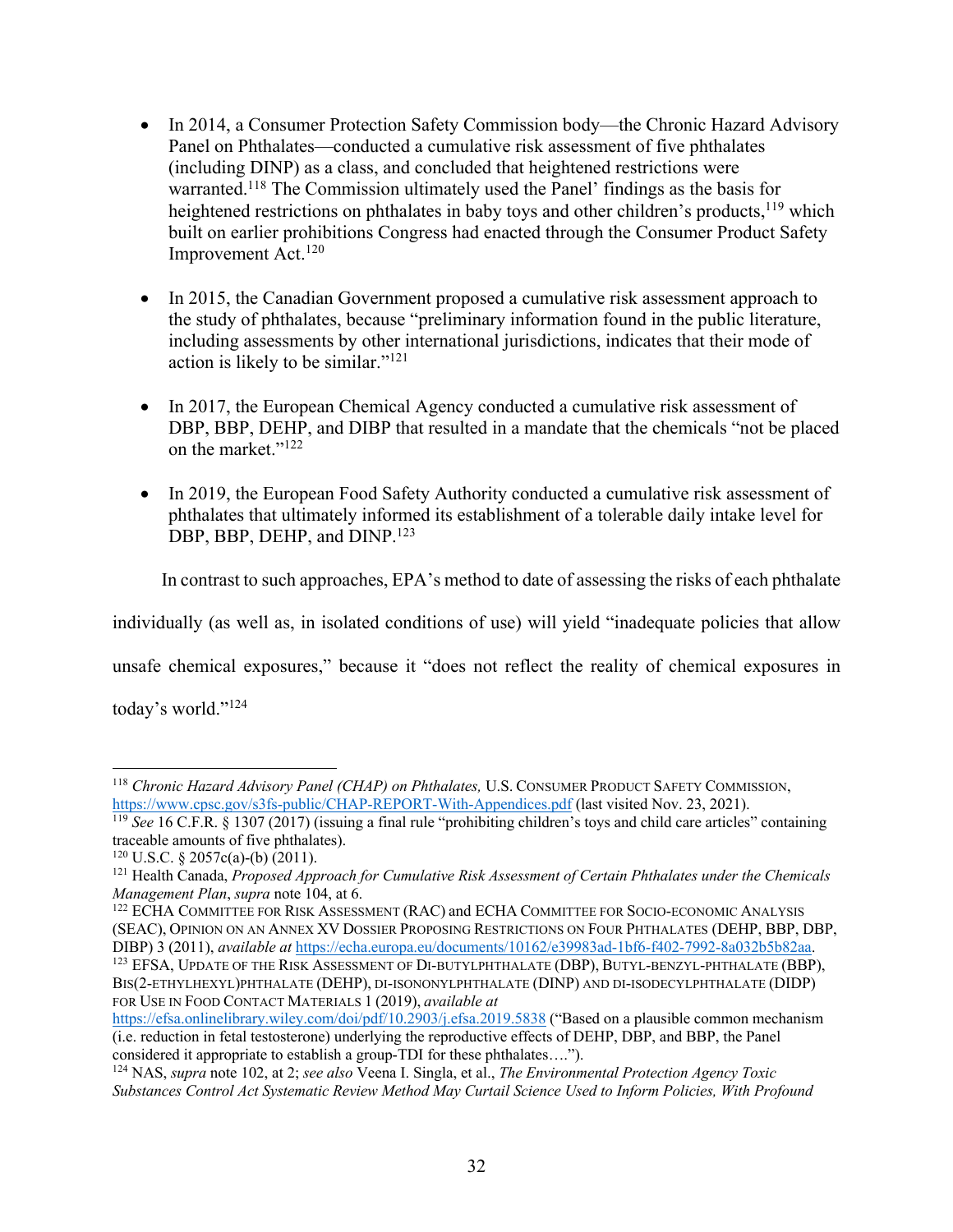- In 2014, a Consumer Protection Safety Commission body—the Chronic Hazard Advisory Panel on Phthalates—conducted a cumulative risk assessment of five phthalates (including DINP) as a class, and concluded that heightened restrictions were warranted.118 The Commission ultimately used the Panel' findings as the basis for heightened restrictions on phthalates in baby toys and other children's products,  $119$  which built on earlier prohibitions Congress had enacted through the Consumer Product Safety Improvement Act.120
- In 2015, the Canadian Government proposed a cumulative risk assessment approach to the study of phthalates, because "preliminary information found in the public literature, including assessments by other international jurisdictions, indicates that their mode of action is likely to be similar."121
- In 2017, the European Chemical Agency conducted a cumulative risk assessment of DBP, BBP, DEHP, and DIBP that resulted in a mandate that the chemicals "not be placed on the market."122
- In 2019, the European Food Safety Authority conducted a cumulative risk assessment of phthalates that ultimately informed its establishment of a tolerable daily intake level for DBP, BBP, DEHP, and DINP.<sup>123</sup>

In contrast to such approaches, EPA's method to date of assessing the risks of each phthalate

individually (as well as, in isolated conditions of use) will yield "inadequate policies that allow

unsafe chemical exposures," because it "does not reflect the reality of chemical exposures in

today's world."124

<sup>&</sup>lt;sup>118</sup> *Chronic Hazard Advisory Panel (CHAP) on Phthalates, U.S. CONSUMER PRODUCT SAFETY COMMISSION,* https://www.cpsc.gov/s3fs-public/CHAP-REPORT-With-Appendices.pdf (last visited Nov. 23, 2021).

<sup>&</sup>lt;sup>119</sup> *See* 16 C.F.R. § 1307 (2017) (issuing a final rule "prohibiting children's toys and child care articles" containing traceable amounts of five phthalates).

<sup>&</sup>lt;sup>120</sup> U.S.C. § 2057c(a)-(b)  $(2011)$ .

<sup>121</sup> Health Canada, *Proposed Approach for Cumulative Risk Assessment of Certain Phthalates under the Chemicals Management Plan*, *supra* note 104, at 6.

<sup>122</sup> ECHA COMMITTEE FOR RISK ASSESSMENT (RAC) and ECHA COMMITTEE FOR SOCIO-ECONOMIC ANALYSIS (SEAC), OPINION ON AN ANNEX XV DOSSIER PROPOSING RESTRICTIONS ON FOUR PHTHALATES (DEHP, BBP, DBP, DIBP) 3 (2011), *available at* https://echa.europa.eu/documents/10162/e39983ad-1bf6-f402-7992-8a032b5b82aa.<br><sup>123</sup> EFSA, UPDATE OF THE RISK ASSESSMENT OF DI-BUTYLPHTHALATE (DBP), BUTYL-BENZYL-PHTHALATE (BBP), BIS(2-ETHYLHEXYL)PHTHALATE (DEHP), DI-ISONONYLPHTHALATE (DINP) AND DI-ISODECYLPHTHALATE (DIDP) FOR USE IN FOOD CONTACT MATERIALS 1 (2019), *available at* 

https://efsa.onlinelibrary.wiley.com/doi/pdf/10.2903/j.efsa.2019.5838 ("Based on a plausible common mechanism (i.e. reduction in fetal testosterone) underlying the reproductive effects of DEHP, DBP, and BBP, the Panel considered it appropriate to establish a group-TDI for these phthalates…."). 124 NAS, *supra* note 102, at 2; *see also* Veena I. Singla, et al., *The Environmental Protection Agency Toxic* 

*Substances Control Act Systematic Review Method May Curtail Science Used to Inform Policies, With Profound*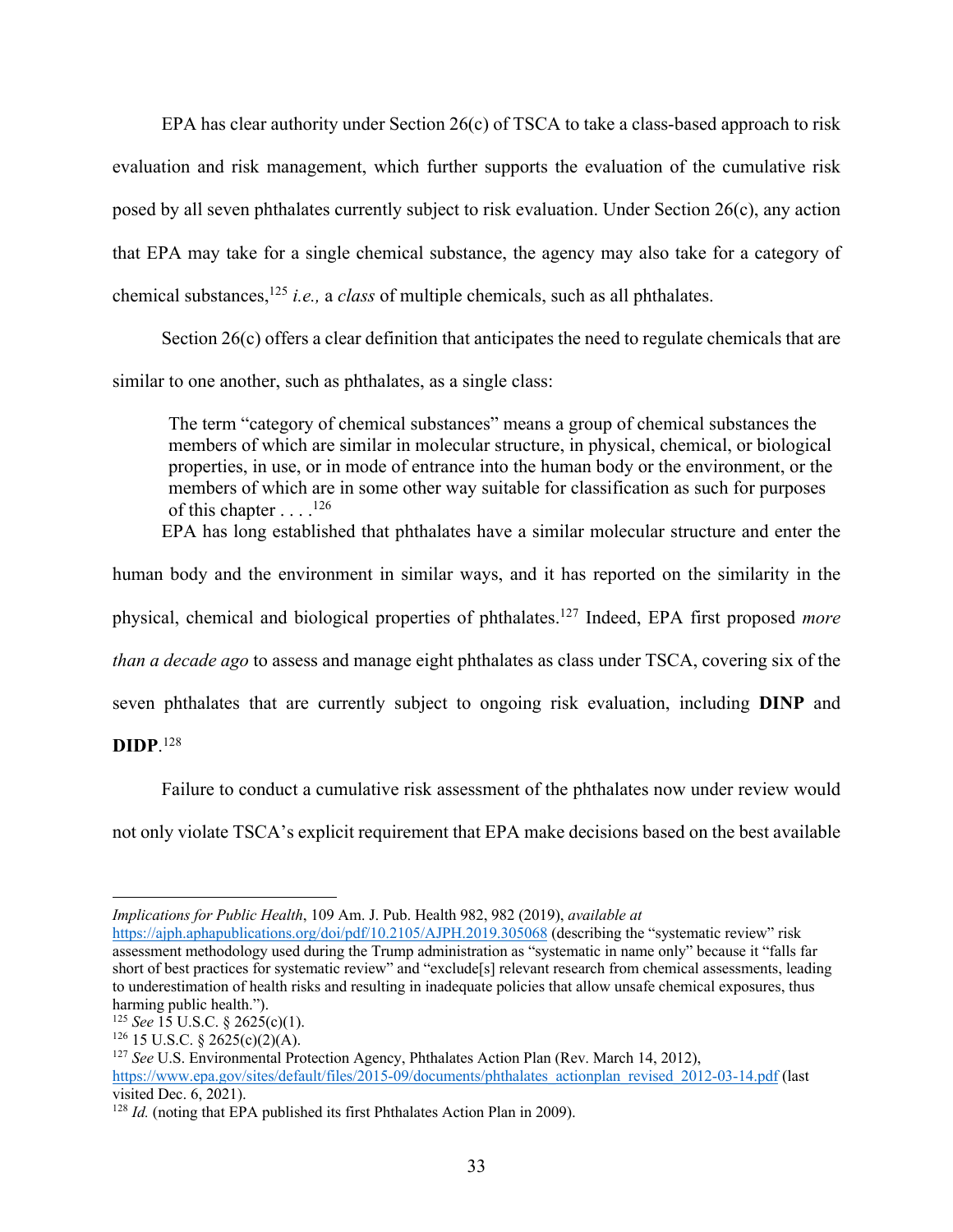EPA has clear authority under Section 26(c) of TSCA to take a class-based approach to risk evaluation and risk management, which further supports the evaluation of the cumulative risk posed by all seven phthalates currently subject to risk evaluation. Under Section 26(c), any action that EPA may take for a single chemical substance, the agency may also take for a category of chemical substances, <sup>125</sup> *i.e.,* a *class* of multiple chemicals, such as all phthalates.

Section 26(c) offers a clear definition that anticipates the need to regulate chemicals that are similar to one another, such as phthalates, as a single class:

The term "category of chemical substances" means a group of chemical substances the members of which are similar in molecular structure, in physical, chemical, or biological properties, in use, or in mode of entrance into the human body or the environment, or the members of which are in some other way suitable for classification as such for purposes of this chapter . . . .<sup>126</sup>

EPA has long established that phthalates have a similar molecular structure and enter the

human body and the environment in similar ways, and it has reported on the similarity in the

physical, chemical and biological properties of phthalates.127 Indeed, EPA first proposed *more* 

*than a decade ago* to assess and manage eight phthalates as class under TSCA, covering six of the

seven phthalates that are currently subject to ongoing risk evaluation, including **DINP** and

**DIDP**. 128

Failure to conduct a cumulative risk assessment of the phthalates now under review would not only violate TSCA's explicit requirement that EPA make decisions based on the best available

*Implications for Public Health*, 109 Am. J. Pub. Health 982, 982 (2019), *available at* 

https://ajph.aphapublications.org/doi/pdf/10.2105/AJPH.2019.305068 (describing the "systematic review" risk assessment methodology used during the Trump administration as "systematic in name only" because it "falls far short of best practices for systematic review" and "exclude[s] relevant research from chemical assessments, leading to underestimation of health risks and resulting in inadequate policies that allow unsafe chemical exposures, thus harming public health.").

<sup>125</sup> *See* 15 U.S.C. § 2625(c)(1).

 $126$  15 U.S.C. § 2625(c)(2)(A).

<sup>&</sup>lt;sup>127</sup> See U.S. Environmental Protection Agency, Phthalates Action Plan (Rev. March 14, 2012),

https://www.epa.gov/sites/default/files/2015-09/documents/phthalates\_actionplan\_revised\_2012-03-14.pdf (last visited Dec. 6, 2021).

<sup>&</sup>lt;sup>128</sup> *Id.* (noting that EPA published its first Phthalates Action Plan in 2009).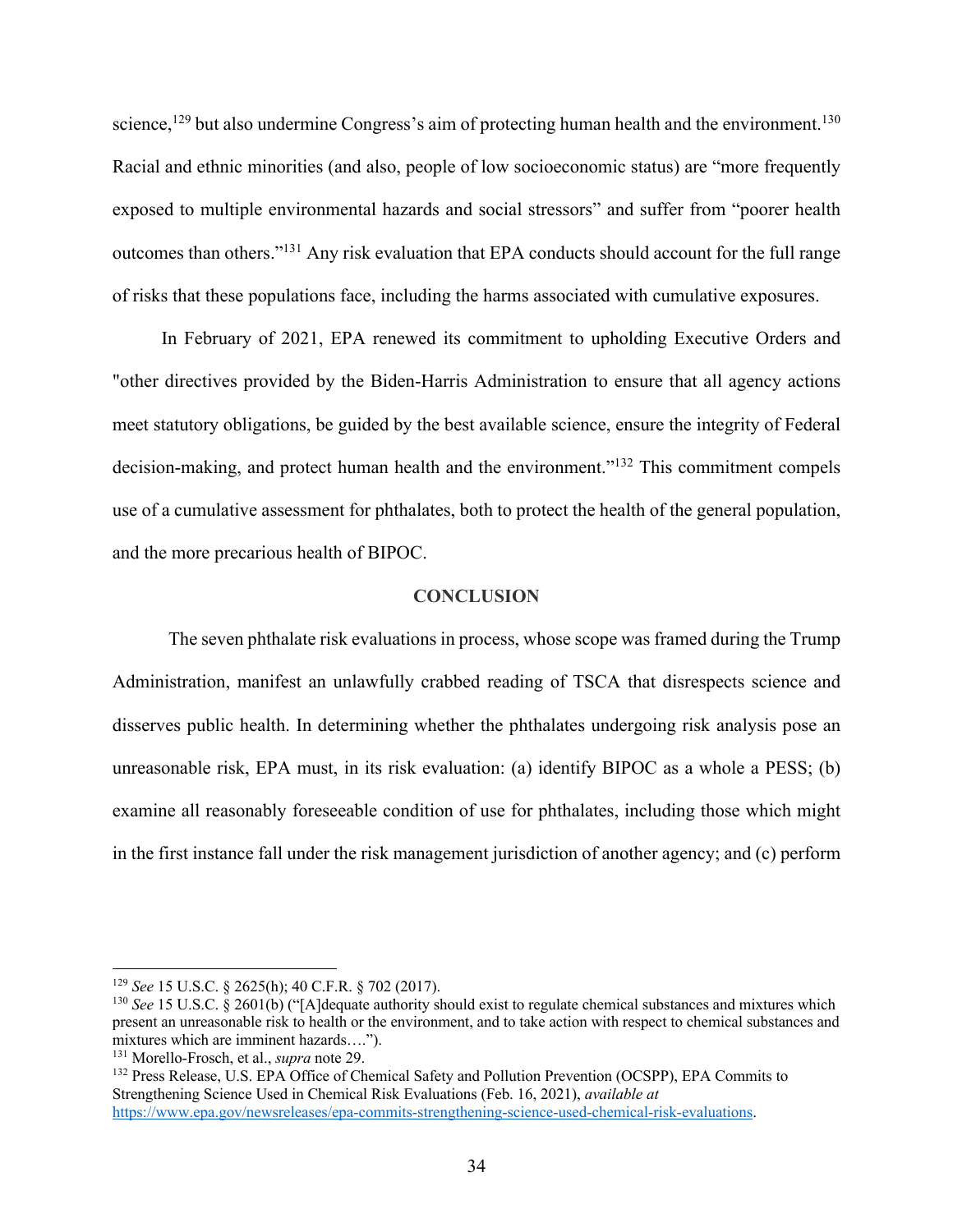science,<sup>129</sup> but also undermine Congress's aim of protecting human health and the environment.<sup>130</sup> Racial and ethnic minorities (and also, people of low socioeconomic status) are "more frequently exposed to multiple environmental hazards and social stressors" and suffer from "poorer health outcomes than others."131 Any risk evaluation that EPA conducts should account for the full range of risks that these populations face, including the harms associated with cumulative exposures.

In February of 2021, EPA renewed its commitment to upholding Executive Orders and "other directives provided by the Biden-Harris Administration to ensure that all agency actions meet statutory obligations, be guided by the best available science, ensure the integrity of Federal decision-making, and protect human health and the environment."<sup>132</sup> This commitment compels use of a cumulative assessment for phthalates, both to protect the health of the general population, and the more precarious health of BIPOC.

#### **CONCLUSION**

The seven phthalate risk evaluations in process, whose scope was framed during the Trump Administration, manifest an unlawfully crabbed reading of TSCA that disrespects science and disserves public health. In determining whether the phthalates undergoing risk analysis pose an unreasonable risk, EPA must, in its risk evaluation: (a) identify BIPOC as a whole a PESS; (b) examine all reasonably foreseeable condition of use for phthalates, including those which might in the first instance fall under the risk management jurisdiction of another agency; and (c) perform

<sup>129</sup> *See* 15 U.S.C. § 2625(h); 40 C.F.R. § 702 (2017).

<sup>&</sup>lt;sup>130</sup> *See* 15 U.S.C. § 2601(b) ("[A]dequate authority should exist to regulate chemical substances and mixtures which present an unreasonable risk to health or the environment, and to take action with respect to chemical substances and mixtures which are imminent hazards….").

<sup>131</sup> Morello-Frosch, et al., *supra* note 29.

<sup>132</sup> Press Release, U.S. EPA Office of Chemical Safety and Pollution Prevention (OCSPP), EPA Commits to Strengthening Science Used in Chemical Risk Evaluations (Feb. 16, 2021), *available at*  https://www.epa.gov/newsreleases/epa-commits-strengthening-science-used-chemical-risk-evaluations.